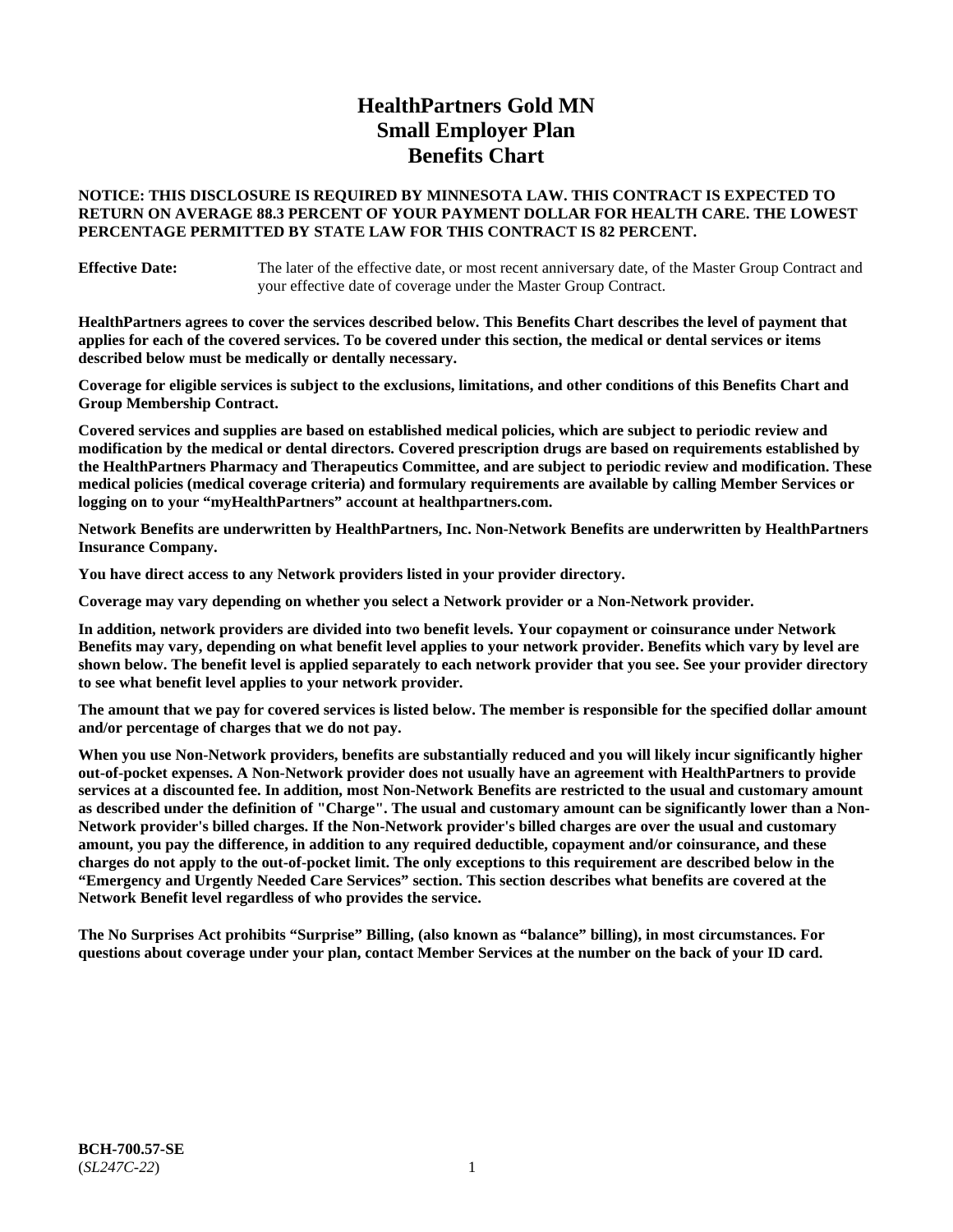# **HealthPartners Gold MN Small Employer Plan Benefits Chart**

# **NOTICE: THIS DISCLOSURE IS REQUIRED BY MINNESOTA LAW. THIS CONTRACT IS EXPECTED TO RETURN ON AVERAGE 88.3 PERCENT OF YOUR PAYMENT DOLLAR FOR HEALTH CARE. THE LOWEST PERCENTAGE PERMITTED BY STATE LAW FOR THIS CONTRACT IS 82 PERCENT.**

**Effective Date:** The later of the effective date, or most recent anniversary date, of the Master Group Contract and your effective date of coverage under the Master Group Contract.

**HealthPartners agrees to cover the services described below. This Benefits Chart describes the level of payment that applies for each of the covered services. To be covered under this section, the medical or dental services or items described below must be medically or dentally necessary.**

**Coverage for eligible services is subject to the exclusions, limitations, and other conditions of this Benefits Chart and Group Membership Contract.**

**Covered services and supplies are based on established medical policies, which are subject to periodic review and modification by the medical or dental directors. Covered prescription drugs are based on requirements established by the HealthPartners Pharmacy and Therapeutics Committee, and are subject to periodic review and modification. These medical policies (medical coverage criteria) and formulary requirements are available by calling Member Services or logging on to your "myHealthPartners" account at [healthpartners.com.](https://www.healthpartners.com/hp/index.html)**

**Network Benefits are underwritten by HealthPartners, Inc. Non-Network Benefits are underwritten by HealthPartners Insurance Company.** 

**You have direct access to any Network providers listed in your provider directory.**

**Coverage may vary depending on whether you select a Network provider or a Non-Network provider.**

**In addition, network providers are divided into two benefit levels. Your copayment or coinsurance under Network Benefits may vary, depending on what benefit level applies to your network provider. Benefits which vary by level are shown below. The benefit level is applied separately to each network provider that you see. See your provider directory to see what benefit level applies to your network provider.**

**The amount that we pay for covered services is listed below. The member is responsible for the specified dollar amount and/or percentage of charges that we do not pay.**

**When you use Non-Network providers, benefits are substantially reduced and you will likely incur significantly higher out-of-pocket expenses. A Non-Network provider does not usually have an agreement with HealthPartners to provide services at a discounted fee. In addition, most Non-Network Benefits are restricted to the usual and customary amount as described under the definition of "Charge". The usual and customary amount can be significantly lower than a Non-Network provider's billed charges. If the Non-Network provider's billed charges are over the usual and customary amount, you pay the difference, in addition to any required deductible, copayment and/or coinsurance, and these charges do not apply to the out-of-pocket limit. The only exceptions to this requirement are described below in the "Emergency and Urgently Needed Care Services" section. This section describes what benefits are covered at the Network Benefit level regardless of who provides the service.**

**The No Surprises Act prohibits "Surprise" Billing, (also known as "balance" billing), in most circumstances. For questions about coverage under your plan, contact Member Services at the number on the back of your ID card.**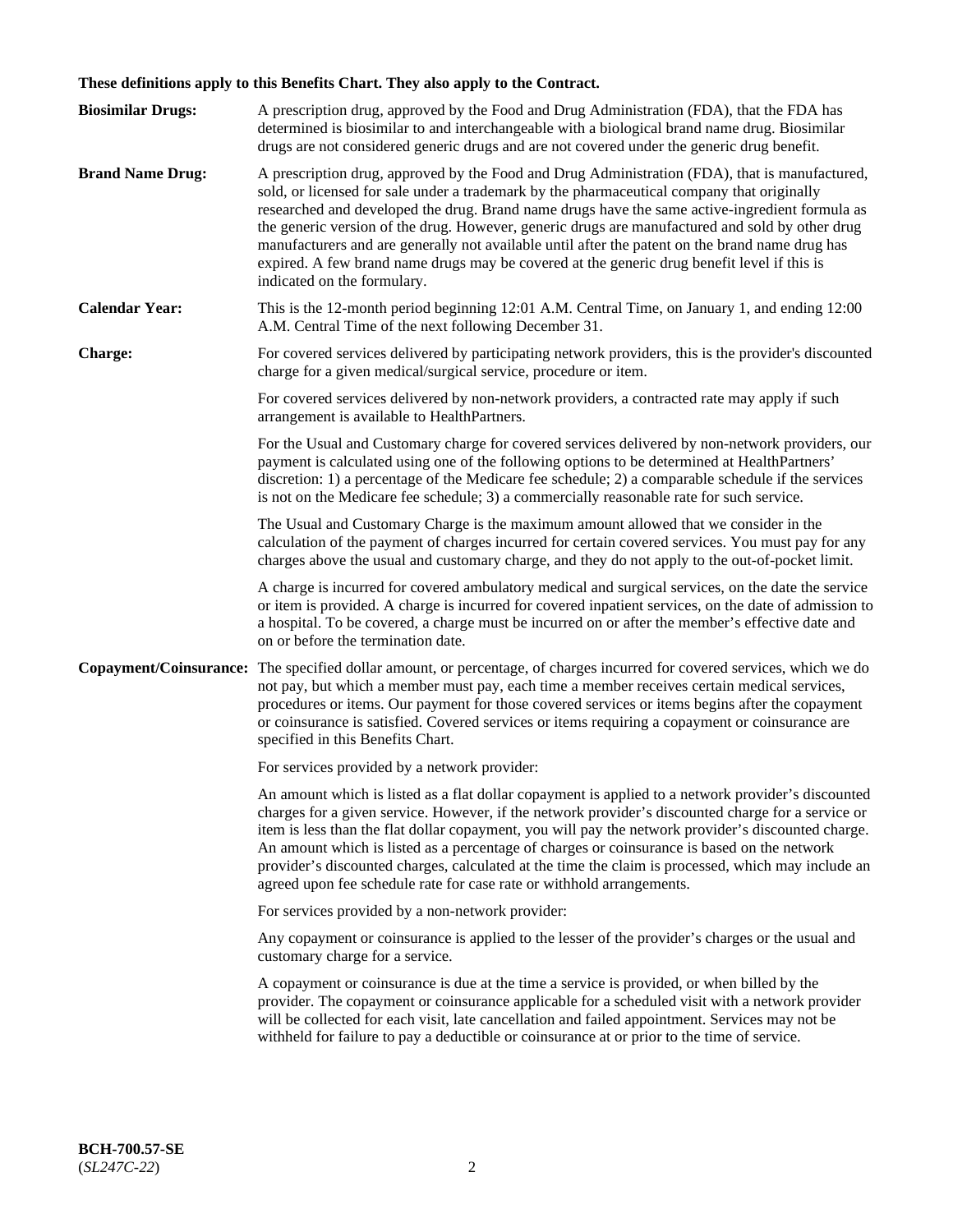# **These definitions apply to this Benefits Chart. They also apply to the Contract.**

| <b>Biosimilar Drugs:</b> | A prescription drug, approved by the Food and Drug Administration (FDA), that the FDA has<br>determined is biosimilar to and interchangeable with a biological brand name drug. Biosimilar<br>drugs are not considered generic drugs and are not covered under the generic drug benefit.                                                                                                                                                                                                                                                                                                                                           |
|--------------------------|------------------------------------------------------------------------------------------------------------------------------------------------------------------------------------------------------------------------------------------------------------------------------------------------------------------------------------------------------------------------------------------------------------------------------------------------------------------------------------------------------------------------------------------------------------------------------------------------------------------------------------|
| <b>Brand Name Drug:</b>  | A prescription drug, approved by the Food and Drug Administration (FDA), that is manufactured,<br>sold, or licensed for sale under a trademark by the pharmaceutical company that originally<br>researched and developed the drug. Brand name drugs have the same active-ingredient formula as<br>the generic version of the drug. However, generic drugs are manufactured and sold by other drug<br>manufacturers and are generally not available until after the patent on the brand name drug has<br>expired. A few brand name drugs may be covered at the generic drug benefit level if this is<br>indicated on the formulary. |
| <b>Calendar Year:</b>    | This is the 12-month period beginning 12:01 A.M. Central Time, on January 1, and ending 12:00<br>A.M. Central Time of the next following December 31.                                                                                                                                                                                                                                                                                                                                                                                                                                                                              |
| <b>Charge:</b>           | For covered services delivered by participating network providers, this is the provider's discounted<br>charge for a given medical/surgical service, procedure or item.                                                                                                                                                                                                                                                                                                                                                                                                                                                            |
|                          | For covered services delivered by non-network providers, a contracted rate may apply if such<br>arrangement is available to HealthPartners.                                                                                                                                                                                                                                                                                                                                                                                                                                                                                        |
|                          | For the Usual and Customary charge for covered services delivered by non-network providers, our<br>payment is calculated using one of the following options to be determined at HealthPartners'<br>discretion: 1) a percentage of the Medicare fee schedule; 2) a comparable schedule if the services<br>is not on the Medicare fee schedule; 3) a commercially reasonable rate for such service.                                                                                                                                                                                                                                  |
|                          | The Usual and Customary Charge is the maximum amount allowed that we consider in the<br>calculation of the payment of charges incurred for certain covered services. You must pay for any<br>charges above the usual and customary charge, and they do not apply to the out-of-pocket limit.                                                                                                                                                                                                                                                                                                                                       |
|                          | A charge is incurred for covered ambulatory medical and surgical services, on the date the service<br>or item is provided. A charge is incurred for covered inpatient services, on the date of admission to<br>a hospital. To be covered, a charge must be incurred on or after the member's effective date and<br>on or before the termination date.                                                                                                                                                                                                                                                                              |
| Copayment/Coinsurance:   | The specified dollar amount, or percentage, of charges incurred for covered services, which we do<br>not pay, but which a member must pay, each time a member receives certain medical services,<br>procedures or items. Our payment for those covered services or items begins after the copayment<br>or coinsurance is satisfied. Covered services or items requiring a copayment or coinsurance are<br>specified in this Benefits Chart.                                                                                                                                                                                        |
|                          | For services provided by a network provider:                                                                                                                                                                                                                                                                                                                                                                                                                                                                                                                                                                                       |
|                          | An amount which is listed as a flat dollar copayment is applied to a network provider's discounted<br>charges for a given service. However, if the network provider's discounted charge for a service or<br>item is less than the flat dollar copayment, you will pay the network provider's discounted charge.<br>An amount which is listed as a percentage of charges or coinsurance is based on the network<br>provider's discounted charges, calculated at the time the claim is processed, which may include an<br>agreed upon fee schedule rate for case rate or withhold arrangements.                                      |
|                          | For services provided by a non-network provider:                                                                                                                                                                                                                                                                                                                                                                                                                                                                                                                                                                                   |
|                          | Any copayment or coinsurance is applied to the lesser of the provider's charges or the usual and<br>customary charge for a service.                                                                                                                                                                                                                                                                                                                                                                                                                                                                                                |
|                          | A copayment or coinsurance is due at the time a service is provided, or when billed by the<br>provider. The copayment or coinsurance applicable for a scheduled visit with a network provider<br>will be collected for each visit, late cancellation and failed appointment. Services may not be<br>withheld for failure to pay a deductible or coinsurance at or prior to the time of service.                                                                                                                                                                                                                                    |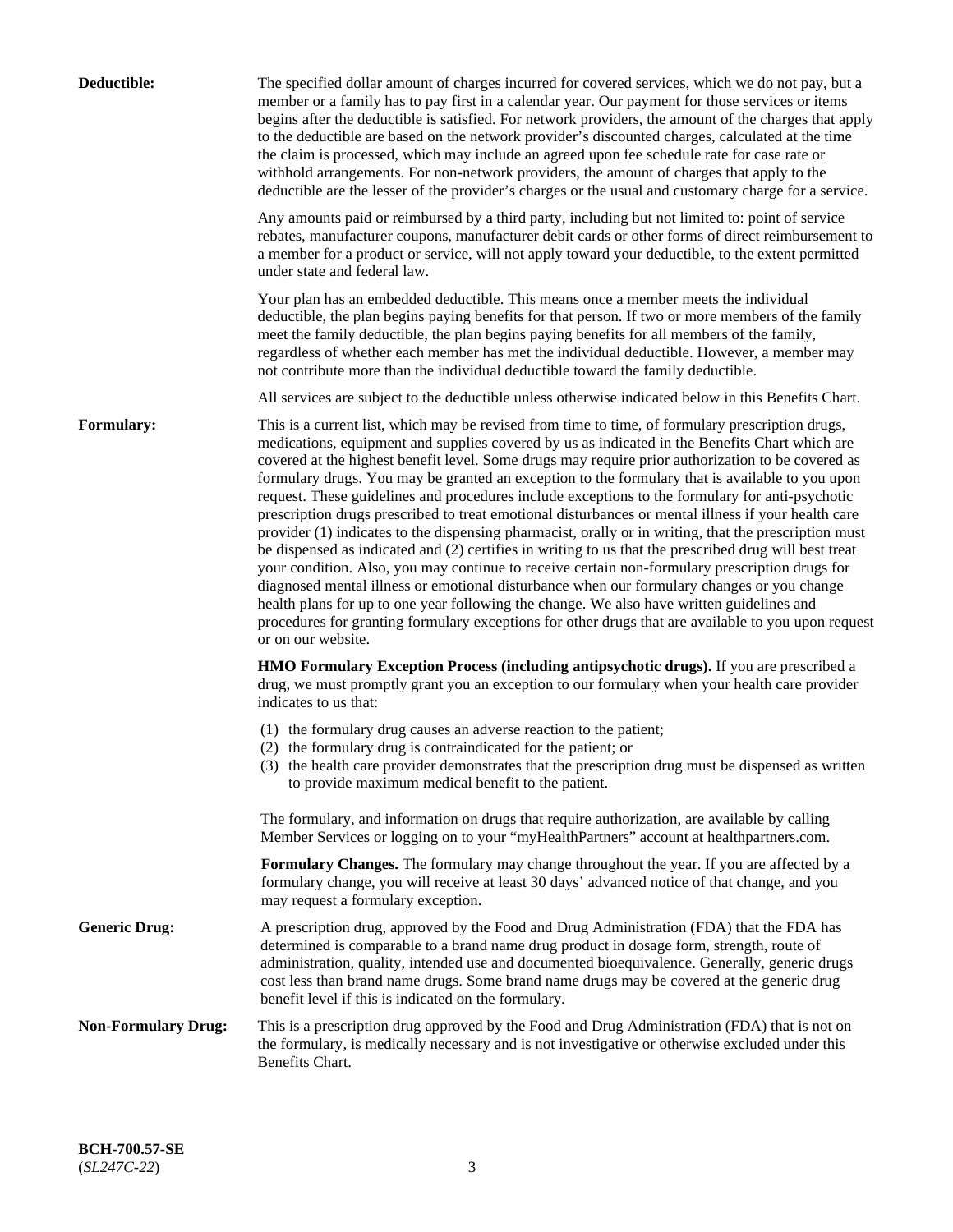| Deductible:                | The specified dollar amount of charges incurred for covered services, which we do not pay, but a<br>member or a family has to pay first in a calendar year. Our payment for those services or items<br>begins after the deductible is satisfied. For network providers, the amount of the charges that apply<br>to the deductible are based on the network provider's discounted charges, calculated at the time<br>the claim is processed, which may include an agreed upon fee schedule rate for case rate or<br>withhold arrangements. For non-network providers, the amount of charges that apply to the<br>deductible are the lesser of the provider's charges or the usual and customary charge for a service.                                                                                                                                                                                                                                                                                                                                                                                                                                                                                                                                             |
|----------------------------|------------------------------------------------------------------------------------------------------------------------------------------------------------------------------------------------------------------------------------------------------------------------------------------------------------------------------------------------------------------------------------------------------------------------------------------------------------------------------------------------------------------------------------------------------------------------------------------------------------------------------------------------------------------------------------------------------------------------------------------------------------------------------------------------------------------------------------------------------------------------------------------------------------------------------------------------------------------------------------------------------------------------------------------------------------------------------------------------------------------------------------------------------------------------------------------------------------------------------------------------------------------|
|                            | Any amounts paid or reimbursed by a third party, including but not limited to: point of service<br>rebates, manufacturer coupons, manufacturer debit cards or other forms of direct reimbursement to<br>a member for a product or service, will not apply toward your deductible, to the extent permitted<br>under state and federal law.                                                                                                                                                                                                                                                                                                                                                                                                                                                                                                                                                                                                                                                                                                                                                                                                                                                                                                                        |
|                            | Your plan has an embedded deductible. This means once a member meets the individual<br>deductible, the plan begins paying benefits for that person. If two or more members of the family<br>meet the family deductible, the plan begins paying benefits for all members of the family,<br>regardless of whether each member has met the individual deductible. However, a member may<br>not contribute more than the individual deductible toward the family deductible.                                                                                                                                                                                                                                                                                                                                                                                                                                                                                                                                                                                                                                                                                                                                                                                         |
|                            | All services are subject to the deductible unless otherwise indicated below in this Benefits Chart.                                                                                                                                                                                                                                                                                                                                                                                                                                                                                                                                                                                                                                                                                                                                                                                                                                                                                                                                                                                                                                                                                                                                                              |
| Formulary:                 | This is a current list, which may be revised from time to time, of formulary prescription drugs,<br>medications, equipment and supplies covered by us as indicated in the Benefits Chart which are<br>covered at the highest benefit level. Some drugs may require prior authorization to be covered as<br>formulary drugs. You may be granted an exception to the formulary that is available to you upon<br>request. These guidelines and procedures include exceptions to the formulary for anti-psychotic<br>prescription drugs prescribed to treat emotional disturbances or mental illness if your health care<br>provider (1) indicates to the dispensing pharmacist, orally or in writing, that the prescription must<br>be dispensed as indicated and (2) certifies in writing to us that the prescribed drug will best treat<br>your condition. Also, you may continue to receive certain non-formulary prescription drugs for<br>diagnosed mental illness or emotional disturbance when our formulary changes or you change<br>health plans for up to one year following the change. We also have written guidelines and<br>procedures for granting formulary exceptions for other drugs that are available to you upon request<br>or on our website. |
|                            | <b>HMO Formulary Exception Process (including antipsychotic drugs).</b> If you are prescribed a<br>drug, we must promptly grant you an exception to our formulary when your health care provider<br>indicates to us that:                                                                                                                                                                                                                                                                                                                                                                                                                                                                                                                                                                                                                                                                                                                                                                                                                                                                                                                                                                                                                                        |
|                            | (1) the formulary drug causes an adverse reaction to the patient;<br>(2) the formulary drug is contraindicated for the patient; or<br>(3) the health care provider demonstrates that the prescription drug must be dispensed as written<br>to provide maximum medical benefit to the patient.                                                                                                                                                                                                                                                                                                                                                                                                                                                                                                                                                                                                                                                                                                                                                                                                                                                                                                                                                                    |
|                            | The formulary, and information on drugs that require authorization, are available by calling<br>Member Services or logging on to your "myHealthPartners" account at healthpartners.com.                                                                                                                                                                                                                                                                                                                                                                                                                                                                                                                                                                                                                                                                                                                                                                                                                                                                                                                                                                                                                                                                          |
|                            | Formulary Changes. The formulary may change throughout the year. If you are affected by a<br>formulary change, you will receive at least 30 days' advanced notice of that change, and you<br>may request a formulary exception.                                                                                                                                                                                                                                                                                                                                                                                                                                                                                                                                                                                                                                                                                                                                                                                                                                                                                                                                                                                                                                  |
| <b>Generic Drug:</b>       | A prescription drug, approved by the Food and Drug Administration (FDA) that the FDA has<br>determined is comparable to a brand name drug product in dosage form, strength, route of<br>administration, quality, intended use and documented bioequivalence. Generally, generic drugs<br>cost less than brand name drugs. Some brand name drugs may be covered at the generic drug<br>benefit level if this is indicated on the formulary.                                                                                                                                                                                                                                                                                                                                                                                                                                                                                                                                                                                                                                                                                                                                                                                                                       |
| <b>Non-Formulary Drug:</b> | This is a prescription drug approved by the Food and Drug Administration (FDA) that is not on<br>the formulary, is medically necessary and is not investigative or otherwise excluded under this<br>Benefits Chart.                                                                                                                                                                                                                                                                                                                                                                                                                                                                                                                                                                                                                                                                                                                                                                                                                                                                                                                                                                                                                                              |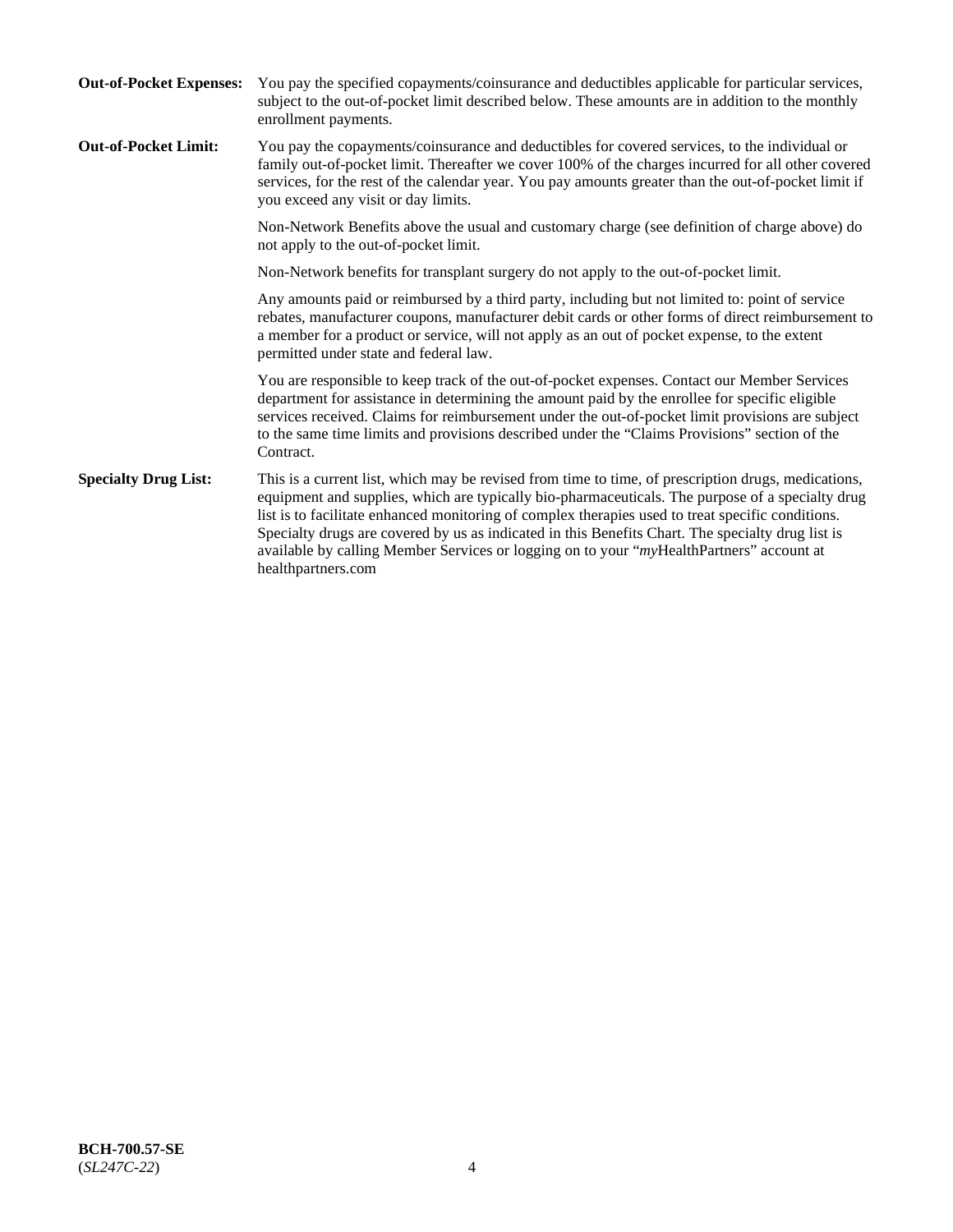| <b>Out-of-Pocket Expenses:</b> | You pay the specified copayments/coinsurance and deductibles applicable for particular services,<br>subject to the out-of-pocket limit described below. These amounts are in addition to the monthly<br>enrollment payments.                                                                                                                                                                                                                                                                                                        |
|--------------------------------|-------------------------------------------------------------------------------------------------------------------------------------------------------------------------------------------------------------------------------------------------------------------------------------------------------------------------------------------------------------------------------------------------------------------------------------------------------------------------------------------------------------------------------------|
| <b>Out-of-Pocket Limit:</b>    | You pay the copayments/coinsurance and deductibles for covered services, to the individual or<br>family out-of-pocket limit. Thereafter we cover 100% of the charges incurred for all other covered<br>services, for the rest of the calendar year. You pay amounts greater than the out-of-pocket limit if<br>you exceed any visit or day limits.                                                                                                                                                                                  |
|                                | Non-Network Benefits above the usual and customary charge (see definition of charge above) do<br>not apply to the out-of-pocket limit.                                                                                                                                                                                                                                                                                                                                                                                              |
|                                | Non-Network benefits for transplant surgery do not apply to the out-of-pocket limit.                                                                                                                                                                                                                                                                                                                                                                                                                                                |
|                                | Any amounts paid or reimbursed by a third party, including but not limited to: point of service<br>rebates, manufacturer coupons, manufacturer debit cards or other forms of direct reimbursement to<br>a member for a product or service, will not apply as an out of pocket expense, to the extent<br>permitted under state and federal law.                                                                                                                                                                                      |
|                                | You are responsible to keep track of the out-of-pocket expenses. Contact our Member Services<br>department for assistance in determining the amount paid by the enrollee for specific eligible<br>services received. Claims for reimbursement under the out-of-pocket limit provisions are subject<br>to the same time limits and provisions described under the "Claims Provisions" section of the<br>Contract.                                                                                                                    |
| <b>Specialty Drug List:</b>    | This is a current list, which may be revised from time to time, of prescription drugs, medications,<br>equipment and supplies, which are typically bio-pharmaceuticals. The purpose of a specialty drug<br>list is to facilitate enhanced monitoring of complex therapies used to treat specific conditions.<br>Specialty drugs are covered by us as indicated in this Benefits Chart. The specialty drug list is<br>available by calling Member Services or logging on to your "myHealthPartners" account at<br>healthpartners.com |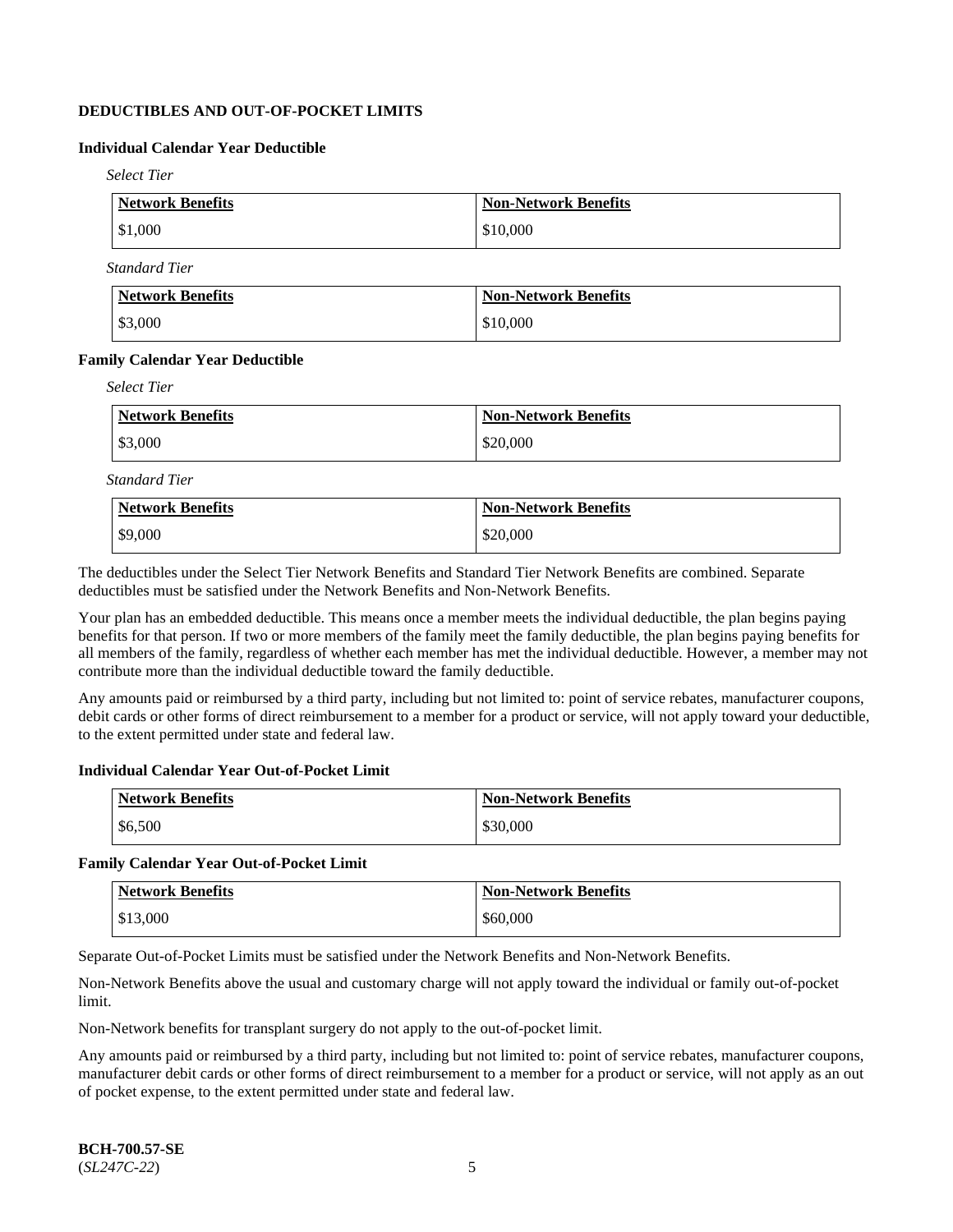# **DEDUCTIBLES AND OUT-OF-POCKET LIMITS**

# **Individual Calendar Year Deductible**

*Select Tier*

| Network Benefits | <b>Non-Network Benefits</b> |
|------------------|-----------------------------|
| \$1,000          | \$10,000                    |

*Standard Tier*

| Network Benefits | <b>Non-Network Benefits</b> |
|------------------|-----------------------------|
| \$3,000          | \$10,000                    |

### **Family Calendar Year Deductible**

*Select Tier*

| Network Benefits | <b>Non-Network Benefits</b> |
|------------------|-----------------------------|
| $\$3,000$        | \$20,000                    |

*Standard Tier*

| <b>Network Benefits</b> | <b>Non-Network Benefits</b> |
|-------------------------|-----------------------------|
| \$9,000                 | \$20,000                    |

The deductibles under the Select Tier Network Benefits and Standard Tier Network Benefits are combined. Separate deductibles must be satisfied under the Network Benefits and Non-Network Benefits.

Your plan has an embedded deductible. This means once a member meets the individual deductible, the plan begins paying benefits for that person. If two or more members of the family meet the family deductible, the plan begins paying benefits for all members of the family, regardless of whether each member has met the individual deductible. However, a member may not contribute more than the individual deductible toward the family deductible.

Any amounts paid or reimbursed by a third party, including but not limited to: point of service rebates, manufacturer coupons, debit cards or other forms of direct reimbursement to a member for a product or service, will not apply toward your deductible, to the extent permitted under state and federal law.

# **Individual Calendar Year Out-of-Pocket Limit**

| <b>Network Benefits</b> | <b>Non-Network Benefits</b> |
|-------------------------|-----------------------------|
| \$6,500                 | \$30,000                    |

#### **Family Calendar Year Out-of-Pocket Limit**

| <b>Network Benefits</b> | <b>Non-Network Benefits</b> |
|-------------------------|-----------------------------|
| \$13,000                | \$60,000                    |

Separate Out-of-Pocket Limits must be satisfied under the Network Benefits and Non-Network Benefits.

Non-Network Benefits above the usual and customary charge will not apply toward the individual or family out-of-pocket limit.

Non-Network benefits for transplant surgery do not apply to the out-of-pocket limit.

Any amounts paid or reimbursed by a third party, including but not limited to: point of service rebates, manufacturer coupons, manufacturer debit cards or other forms of direct reimbursement to a member for a product or service, will not apply as an out of pocket expense, to the extent permitted under state and federal law.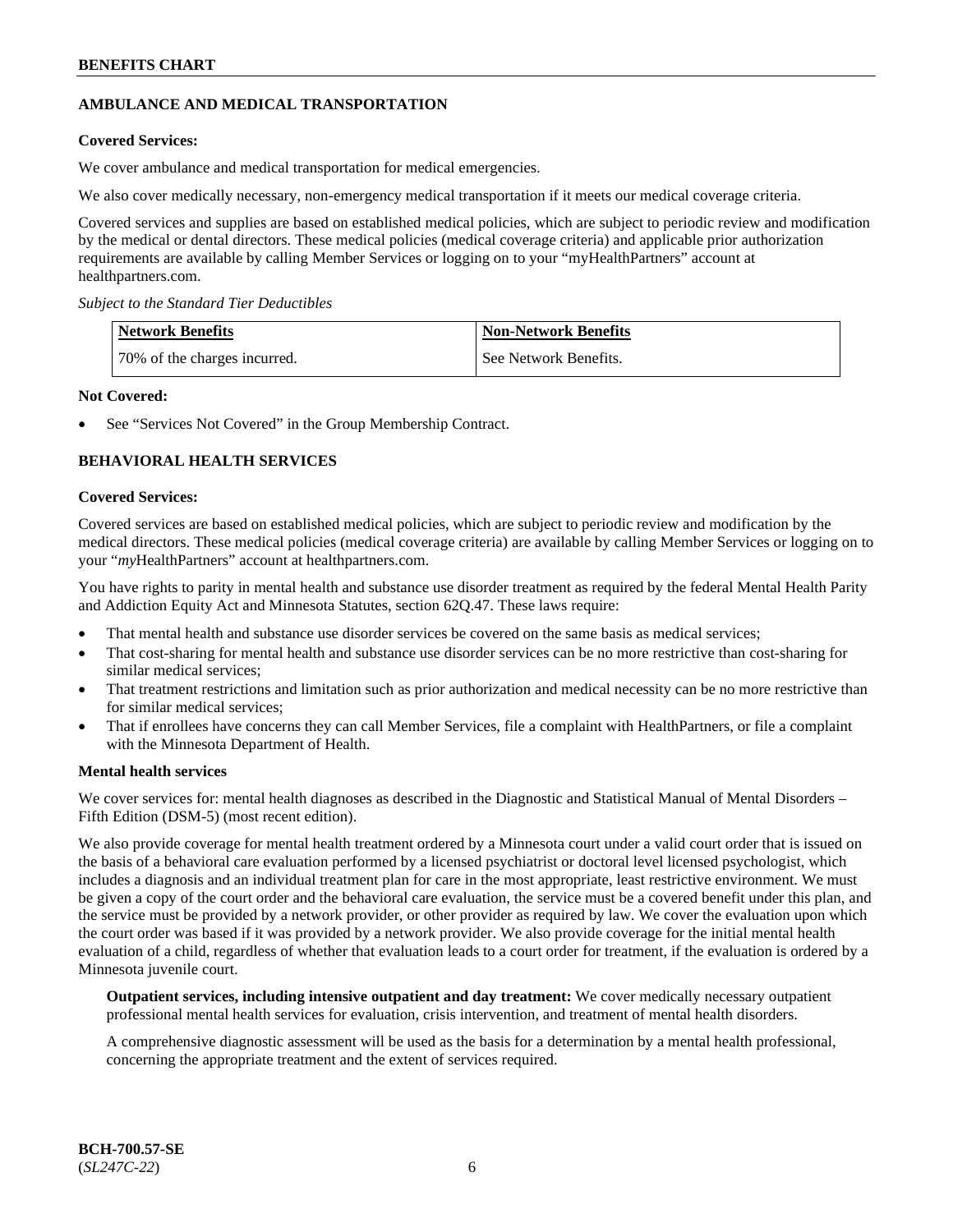# **AMBULANCE AND MEDICAL TRANSPORTATION**

# **Covered Services:**

We cover ambulance and medical transportation for medical emergencies.

We also cover medically necessary, non-emergency medical transportation if it meets our medical coverage criteria.

Covered services and supplies are based on established medical policies, which are subject to periodic review and modification by the medical or dental directors. These medical policies (medical coverage criteria) and applicable prior authorization requirements are available by calling Member Services or logging on to your "myHealthPartners" account at [healthpartners.com.](https://www.healthpartners.com/hp/index.html)

*Subject to the Standard Tier Deductibles*

| <b>Network Benefits</b>      | <b>Non-Network Benefits</b> |
|------------------------------|-----------------------------|
| 70% of the charges incurred. | See Network Benefits.       |

### **Not Covered:**

See "Services Not Covered" in the Group Membership Contract.

# **BEHAVIORAL HEALTH SERVICES**

### **Covered Services:**

Covered services are based on established medical policies, which are subject to periodic review and modification by the medical directors. These medical policies (medical coverage criteria) are available by calling Member Services or logging on to your "*my*HealthPartners" account at [healthpartners.com.](http://www.healthpartners.com/)

You have rights to parity in mental health and substance use disorder treatment as required by the federal Mental Health Parity and Addiction Equity Act and Minnesota Statutes, section 62Q.47. These laws require:

- That mental health and substance use disorder services be covered on the same basis as medical services;
- That cost-sharing for mental health and substance use disorder services can be no more restrictive than cost-sharing for similar medical services;
- That treatment restrictions and limitation such as prior authorization and medical necessity can be no more restrictive than for similar medical services;
- That if enrollees have concerns they can call Member Services, file a complaint with HealthPartners, or file a complaint with the Minnesota Department of Health.

#### **Mental health services**

We cover services for: mental health diagnoses as described in the Diagnostic and Statistical Manual of Mental Disorders – Fifth Edition (DSM-5) (most recent edition).

We also provide coverage for mental health treatment ordered by a Minnesota court under a valid court order that is issued on the basis of a behavioral care evaluation performed by a licensed psychiatrist or doctoral level licensed psychologist, which includes a diagnosis and an individual treatment plan for care in the most appropriate, least restrictive environment. We must be given a copy of the court order and the behavioral care evaluation, the service must be a covered benefit under this plan, and the service must be provided by a network provider, or other provider as required by law. We cover the evaluation upon which the court order was based if it was provided by a network provider. We also provide coverage for the initial mental health evaluation of a child, regardless of whether that evaluation leads to a court order for treatment, if the evaluation is ordered by a Minnesota juvenile court.

**Outpatient services, including intensive outpatient and day treatment:** We cover medically necessary outpatient professional mental health services for evaluation, crisis intervention, and treatment of mental health disorders.

A comprehensive diagnostic assessment will be used as the basis for a determination by a mental health professional, concerning the appropriate treatment and the extent of services required.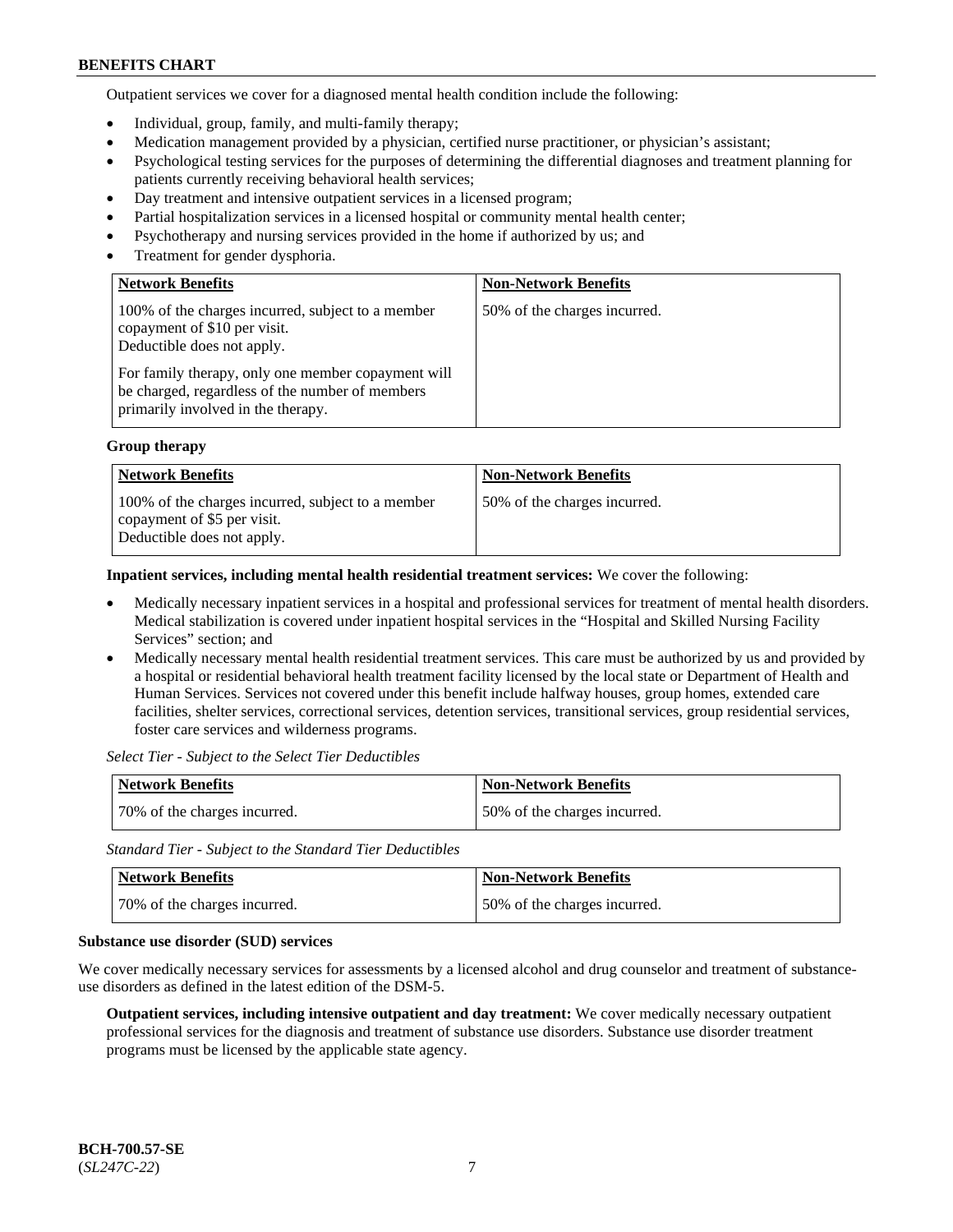Outpatient services we cover for a diagnosed mental health condition include the following:

- Individual, group, family, and multi-family therapy;
- Medication management provided by a physician, certified nurse practitioner, or physician's assistant;
- Psychological testing services for the purposes of determining the differential diagnoses and treatment planning for patients currently receiving behavioral health services;
- Day treatment and intensive outpatient services in a licensed program;
- Partial hospitalization services in a licensed hospital or community mental health center;
- Psychotherapy and nursing services provided in the home if authorized by us; and
- Treatment for gender dysphoria.

| <b>Network Benefits</b>                                                                                                                                                                                                                                        | <b>Non-Network Benefits</b>  |
|----------------------------------------------------------------------------------------------------------------------------------------------------------------------------------------------------------------------------------------------------------------|------------------------------|
| 100% of the charges incurred, subject to a member<br>copayment of \$10 per visit.<br>Deductible does not apply.<br>For family therapy, only one member copayment will<br>be charged, regardless of the number of members<br>primarily involved in the therapy. | 50% of the charges incurred. |

### **Group therapy**

| <b>Network Benefits</b>                                                                                        | <b>Non-Network Benefits</b>  |
|----------------------------------------------------------------------------------------------------------------|------------------------------|
| 100% of the charges incurred, subject to a member<br>copayment of \$5 per visit.<br>Deductible does not apply. | 50% of the charges incurred. |

**Inpatient services, including mental health residential treatment services:** We cover the following:

- Medically necessary inpatient services in a hospital and professional services for treatment of mental health disorders. Medical stabilization is covered under inpatient hospital services in the "Hospital and Skilled Nursing Facility Services" section; and
- Medically necessary mental health residential treatment services. This care must be authorized by us and provided by a hospital or residential behavioral health treatment facility licensed by the local state or Department of Health and Human Services. Services not covered under this benefit include halfway houses, group homes, extended care facilities, shelter services, correctional services, detention services, transitional services, group residential services, foster care services and wilderness programs.

*Select Tier - Subject to the Select Tier Deductibles*

| Network Benefits             | <b>Non-Network Benefits</b>  |
|------------------------------|------------------------------|
| 70% of the charges incurred. | 50% of the charges incurred. |

*Standard Tier - Subject to the Standard Tier Deductibles*

| Network Benefits             | <b>Non-Network Benefits</b>  |
|------------------------------|------------------------------|
| 70% of the charges incurred. | 50% of the charges incurred. |

#### **Substance use disorder (SUD) services**

We cover medically necessary services for assessments by a licensed alcohol and drug counselor and treatment of substanceuse disorders as defined in the latest edition of the DSM-5.

**Outpatient services, including intensive outpatient and day treatment:** We cover medically necessary outpatient professional services for the diagnosis and treatment of substance use disorders. Substance use disorder treatment programs must be licensed by the applicable state agency.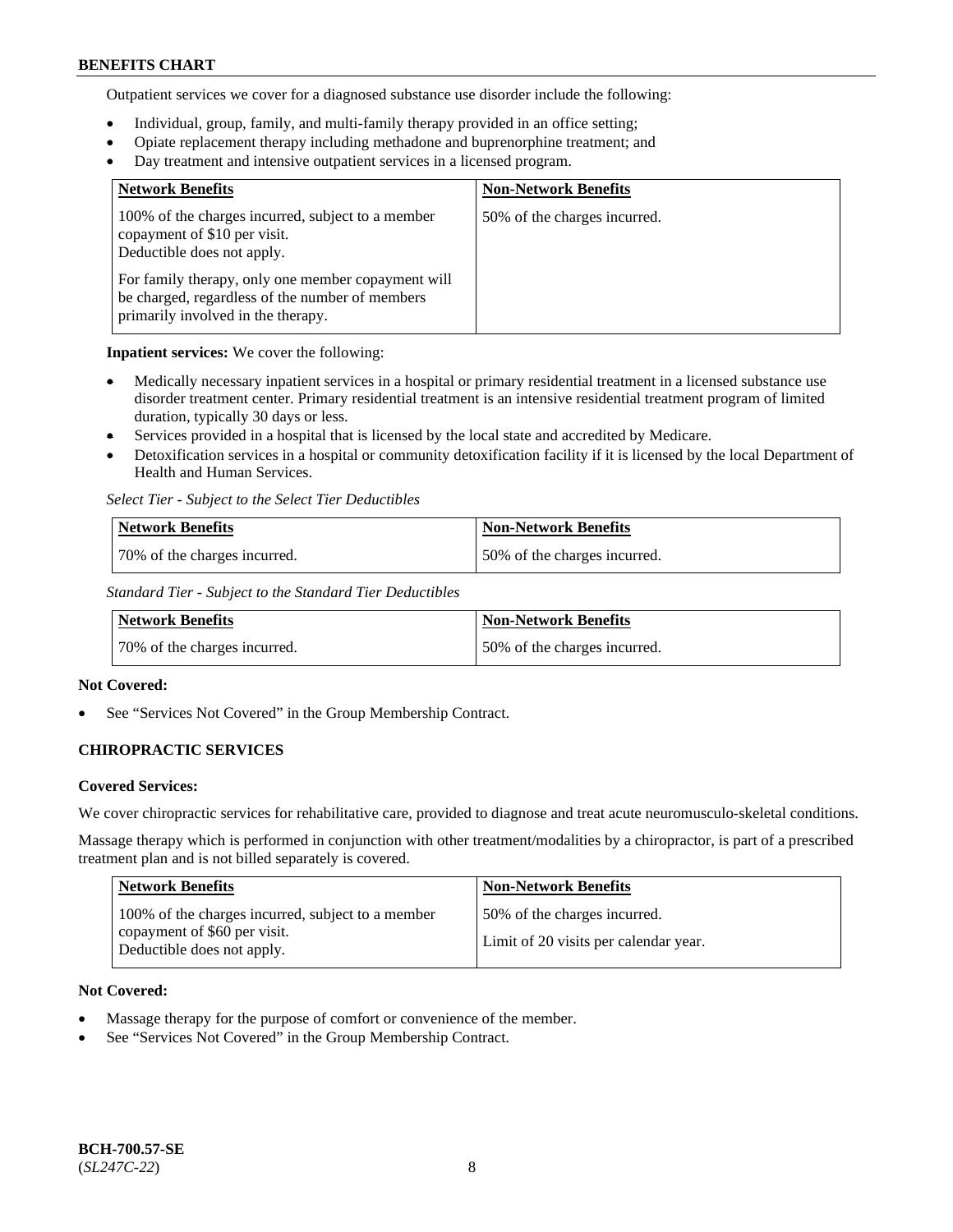Outpatient services we cover for a diagnosed substance use disorder include the following:

- Individual, group, family, and multi-family therapy provided in an office setting;
- Opiate replacement therapy including methadone and buprenorphine treatment; and
- Day treatment and intensive outpatient services in a licensed program.

| <b>Network Benefits</b>                                                                                                                     | <b>Non-Network Benefits</b>  |
|---------------------------------------------------------------------------------------------------------------------------------------------|------------------------------|
| 100% of the charges incurred, subject to a member<br>copayment of \$10 per visit.<br>Deductible does not apply.                             | 50% of the charges incurred. |
| For family therapy, only one member copayment will<br>be charged, regardless of the number of members<br>primarily involved in the therapy. |                              |

**Inpatient services:** We cover the following:

- Medically necessary inpatient services in a hospital or primary residential treatment in a licensed substance use disorder treatment center. Primary residential treatment is an intensive residential treatment program of limited duration, typically 30 days or less.
- Services provided in a hospital that is licensed by the local state and accredited by Medicare.
- Detoxification services in a hospital or community detoxification facility if it is licensed by the local Department of Health and Human Services.

*Select Tier - Subject to the Select Tier Deductibles*

| Network Benefits             | <b>Non-Network Benefits</b>  |
|------------------------------|------------------------------|
| 70% of the charges incurred. | 50% of the charges incurred. |

*Standard Tier - Subject to the Standard Tier Deductibles*

| Network Benefits             | Non-Network Benefits         |
|------------------------------|------------------------------|
| 70% of the charges incurred. | 50% of the charges incurred. |

# **Not Covered:**

See "Services Not Covered" in the Group Membership Contract.

# **CHIROPRACTIC SERVICES**

# **Covered Services:**

We cover chiropractic services for rehabilitative care, provided to diagnose and treat acute neuromusculo-skeletal conditions.

Massage therapy which is performed in conjunction with other treatment/modalities by a chiropractor, is part of a prescribed treatment plan and is not billed separately is covered.

| Network Benefits                                                                                                | <b>Non-Network Benefits</b>                                           |
|-----------------------------------------------------------------------------------------------------------------|-----------------------------------------------------------------------|
| 100% of the charges incurred, subject to a member<br>copayment of \$60 per visit.<br>Deductible does not apply. | 50% of the charges incurred.<br>Limit of 20 visits per calendar year. |

# **Not Covered:**

- Massage therapy for the purpose of comfort or convenience of the member.
- See "Services Not Covered" in the Group Membership Contract.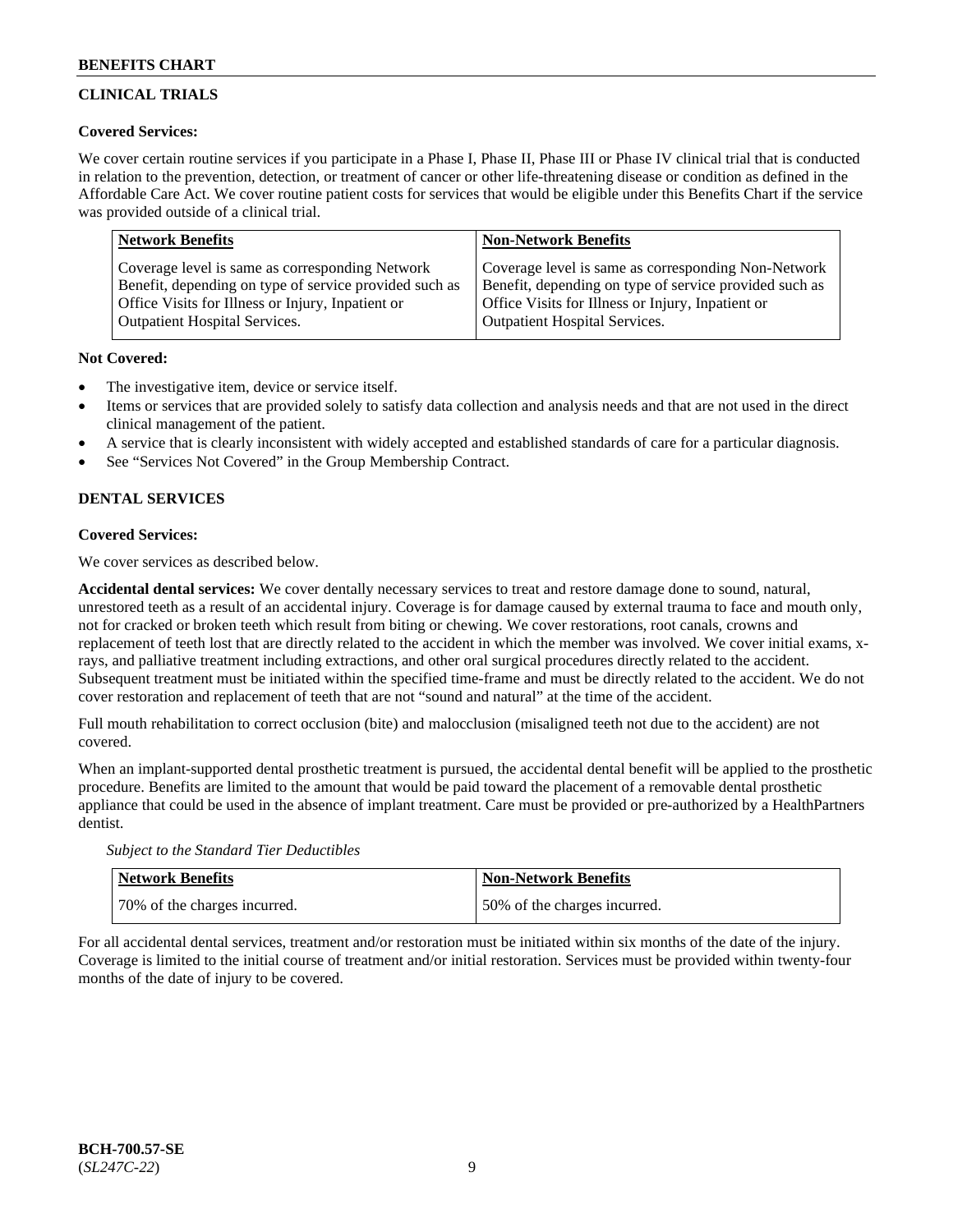# **CLINICAL TRIALS**

# **Covered Services:**

We cover certain routine services if you participate in a Phase I, Phase II, Phase III or Phase IV clinical trial that is conducted in relation to the prevention, detection, or treatment of cancer or other life-threatening disease or condition as defined in the Affordable Care Act. We cover routine patient costs for services that would be eligible under this Benefits Chart if the service was provided outside of a clinical trial.

| <b>Network Benefits</b>                                | <b>Non-Network Benefits</b>                            |
|--------------------------------------------------------|--------------------------------------------------------|
| Coverage level is same as corresponding Network        | Coverage level is same as corresponding Non-Network    |
| Benefit, depending on type of service provided such as | Benefit, depending on type of service provided such as |
| Office Visits for Illness or Injury, Inpatient or      | Office Visits for Illness or Injury, Inpatient or      |
| <b>Outpatient Hospital Services.</b>                   | <b>Outpatient Hospital Services.</b>                   |

# **Not Covered:**

- The investigative item, device or service itself.
- Items or services that are provided solely to satisfy data collection and analysis needs and that are not used in the direct clinical management of the patient.
- A service that is clearly inconsistent with widely accepted and established standards of care for a particular diagnosis.
- See "Services Not Covered" in the Group Membership Contract.

# **DENTAL SERVICES**

# **Covered Services:**

We cover services as described below.

**Accidental dental services:** We cover dentally necessary services to treat and restore damage done to sound, natural, unrestored teeth as a result of an accidental injury. Coverage is for damage caused by external trauma to face and mouth only, not for cracked or broken teeth which result from biting or chewing. We cover restorations, root canals, crowns and replacement of teeth lost that are directly related to the accident in which the member was involved. We cover initial exams, xrays, and palliative treatment including extractions, and other oral surgical procedures directly related to the accident. Subsequent treatment must be initiated within the specified time-frame and must be directly related to the accident. We do not cover restoration and replacement of teeth that are not "sound and natural" at the time of the accident.

Full mouth rehabilitation to correct occlusion (bite) and malocclusion (misaligned teeth not due to the accident) are not covered.

When an implant-supported dental prosthetic treatment is pursued, the accidental dental benefit will be applied to the prosthetic procedure. Benefits are limited to the amount that would be paid toward the placement of a removable dental prosthetic appliance that could be used in the absence of implant treatment. Care must be provided or pre-authorized by a HealthPartners dentist.

*Subject to the Standard Tier Deductibles*

| <b>Network Benefits</b>      | <b>Non-Network Benefits</b>  |
|------------------------------|------------------------------|
| 70% of the charges incurred. | 50% of the charges incurred. |

For all accidental dental services, treatment and/or restoration must be initiated within six months of the date of the injury. Coverage is limited to the initial course of treatment and/or initial restoration. Services must be provided within twenty-four months of the date of injury to be covered.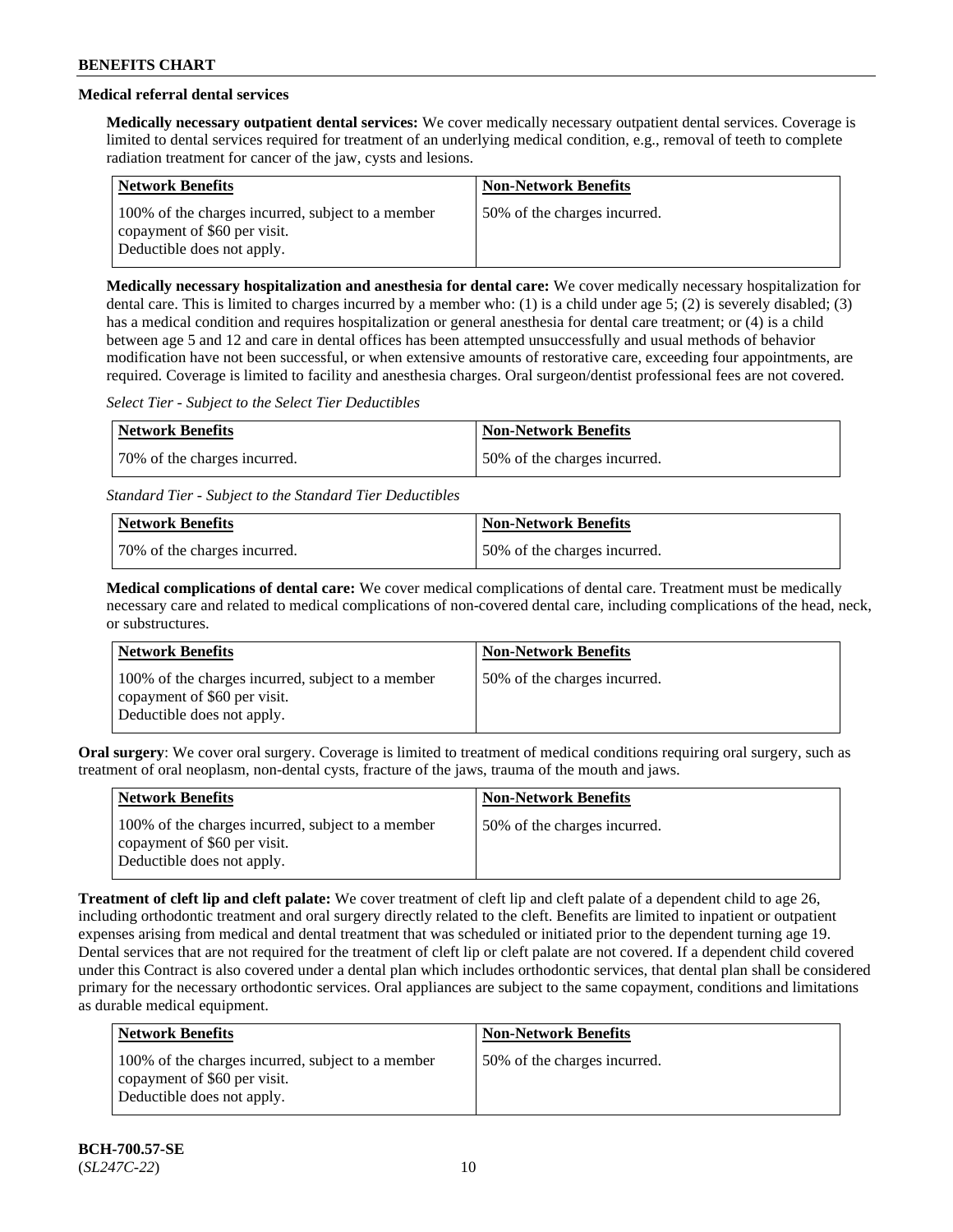# **Medical referral dental services**

**Medically necessary outpatient dental services:** We cover medically necessary outpatient dental services. Coverage is limited to dental services required for treatment of an underlying medical condition, e.g., removal of teeth to complete radiation treatment for cancer of the jaw, cysts and lesions.

| <b>Network Benefits</b>                                                                                         | <b>Non-Network Benefits</b>  |
|-----------------------------------------------------------------------------------------------------------------|------------------------------|
| 100% of the charges incurred, subject to a member<br>copayment of \$60 per visit.<br>Deductible does not apply. | 50% of the charges incurred. |

**Medically necessary hospitalization and anesthesia for dental care:** We cover medically necessary hospitalization for dental care. This is limited to charges incurred by a member who: (1) is a child under age 5; (2) is severely disabled; (3) has a medical condition and requires hospitalization or general anesthesia for dental care treatment; or (4) is a child between age 5 and 12 and care in dental offices has been attempted unsuccessfully and usual methods of behavior modification have not been successful, or when extensive amounts of restorative care, exceeding four appointments, are required. Coverage is limited to facility and anesthesia charges. Oral surgeon/dentist professional fees are not covered.

*Select Tier - Subject to the Select Tier Deductibles*

| Network Benefits             | Non-Network Benefits         |
|------------------------------|------------------------------|
| 70% of the charges incurred. | 50% of the charges incurred. |

*Standard Tier - Subject to the Standard Tier Deductibles*

| Network Benefits             | <b>Non-Network Benefits</b>  |
|------------------------------|------------------------------|
| 70% of the charges incurred. | 50% of the charges incurred. |

**Medical complications of dental care:** We cover medical complications of dental care. Treatment must be medically necessary care and related to medical complications of non-covered dental care, including complications of the head, neck, or substructures.

| <b>Network Benefits</b>                                                                                         | <b>Non-Network Benefits</b>  |
|-----------------------------------------------------------------------------------------------------------------|------------------------------|
| 100% of the charges incurred, subject to a member<br>copayment of \$60 per visit.<br>Deductible does not apply. | 50% of the charges incurred. |

**Oral surgery**: We cover oral surgery. Coverage is limited to treatment of medical conditions requiring oral surgery, such as treatment of oral neoplasm, non-dental cysts, fracture of the jaws, trauma of the mouth and jaws.

| <b>Network Benefits</b>                                                                                         | <b>Non-Network Benefits</b>  |
|-----------------------------------------------------------------------------------------------------------------|------------------------------|
| 100% of the charges incurred, subject to a member<br>copayment of \$60 per visit.<br>Deductible does not apply. | 50% of the charges incurred. |

**Treatment of cleft lip and cleft palate:** We cover treatment of cleft lip and cleft palate of a dependent child to age 26, including orthodontic treatment and oral surgery directly related to the cleft. Benefits are limited to inpatient or outpatient expenses arising from medical and dental treatment that was scheduled or initiated prior to the dependent turning age 19. Dental services that are not required for the treatment of cleft lip or cleft palate are not covered. If a dependent child covered under this Contract is also covered under a dental plan which includes orthodontic services, that dental plan shall be considered primary for the necessary orthodontic services. Oral appliances are subject to the same copayment, conditions and limitations as durable medical equipment.

| Network Benefits                                                                                                | <b>Non-Network Benefits</b>  |
|-----------------------------------------------------------------------------------------------------------------|------------------------------|
| 100% of the charges incurred, subject to a member<br>copayment of \$60 per visit.<br>Deductible does not apply. | 50% of the charges incurred. |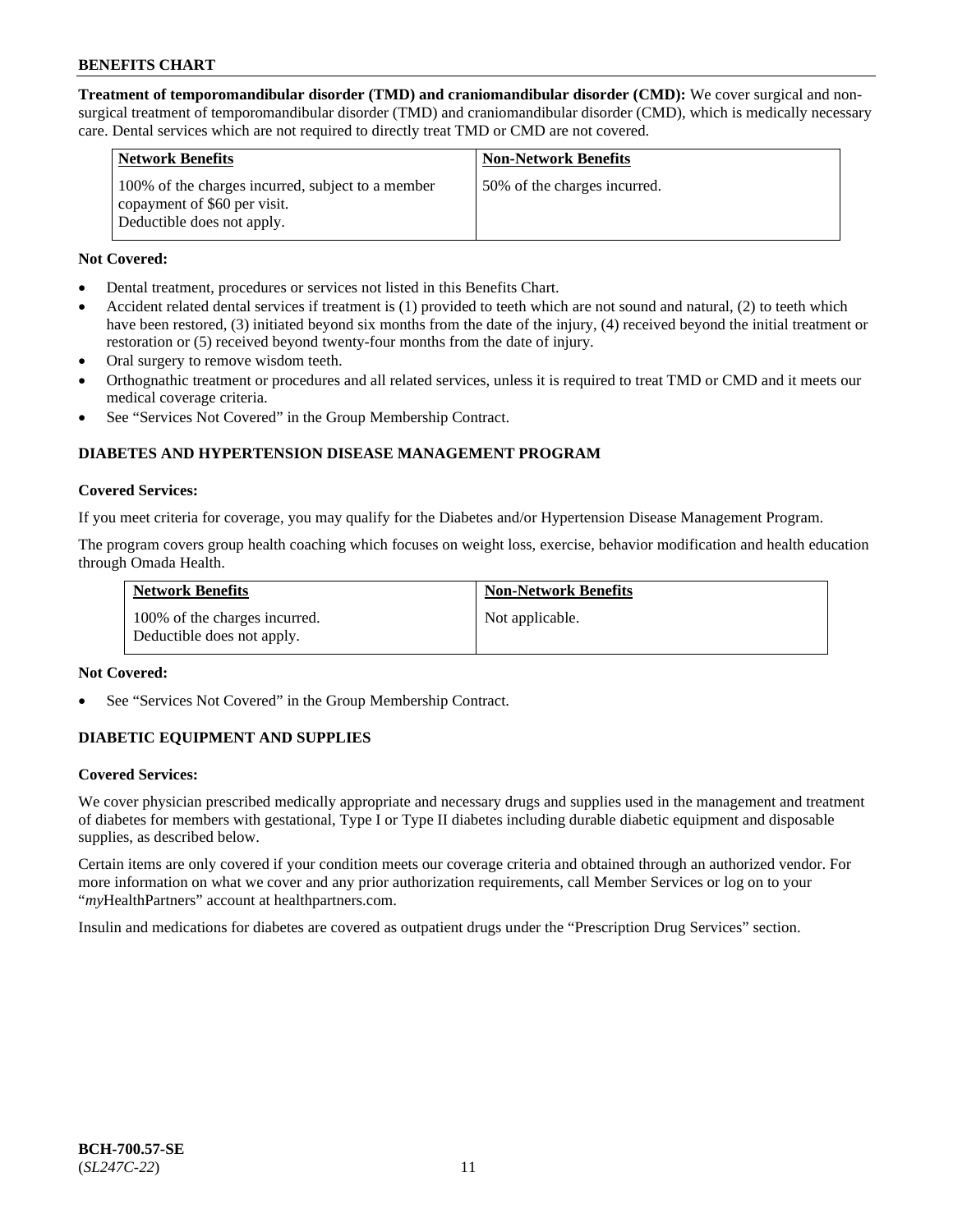**Treatment of temporomandibular disorder (TMD) and craniomandibular disorder (CMD):** We cover surgical and nonsurgical treatment of temporomandibular disorder (TMD) and craniomandibular disorder (CMD), which is medically necessary care. Dental services which are not required to directly treat TMD or CMD are not covered.

| <b>Network Benefits</b>                                                                                         | <b>Non-Network Benefits</b>  |
|-----------------------------------------------------------------------------------------------------------------|------------------------------|
| 100% of the charges incurred, subject to a member<br>copayment of \$60 per visit.<br>Deductible does not apply. | 50% of the charges incurred. |

# **Not Covered:**

- Dental treatment, procedures or services not listed in this Benefits Chart.
- Accident related dental services if treatment is (1) provided to teeth which are not sound and natural, (2) to teeth which have been restored, (3) initiated beyond six months from the date of the injury, (4) received beyond the initial treatment or restoration or (5) received beyond twenty-four months from the date of injury.
- Oral surgery to remove wisdom teeth.
- Orthognathic treatment or procedures and all related services, unless it is required to treat TMD or CMD and it meets our medical coverage criteria.
- See "Services Not Covered" in the Group Membership Contract.

# **DIABETES AND HYPERTENSION DISEASE MANAGEMENT PROGRAM**

### **Covered Services:**

If you meet criteria for coverage, you may qualify for the Diabetes and/or Hypertension Disease Management Program.

The program covers group health coaching which focuses on weight loss, exercise, behavior modification and health education through Omada Health.

| <b>Network Benefits</b>                                     | <b>Non-Network Benefits</b> |
|-------------------------------------------------------------|-----------------------------|
| 100% of the charges incurred.<br>Deductible does not apply. | Not applicable.             |

# **Not Covered:**

See "Services Not Covered" in the Group Membership Contract.

# **DIABETIC EQUIPMENT AND SUPPLIES**

# **Covered Services:**

We cover physician prescribed medically appropriate and necessary drugs and supplies used in the management and treatment of diabetes for members with gestational, Type I or Type II diabetes including durable diabetic equipment and disposable supplies, as described below.

Certain items are only covered if your condition meets our coverage criteria and obtained through an authorized vendor. For more information on what we cover and any prior authorization requirements, call Member Services or log on to your "*my*HealthPartners" account at [healthpartners.com.](http://www.healthpartners.com/)

Insulin and medications for diabetes are covered as outpatient drugs under the "Prescription Drug Services" section.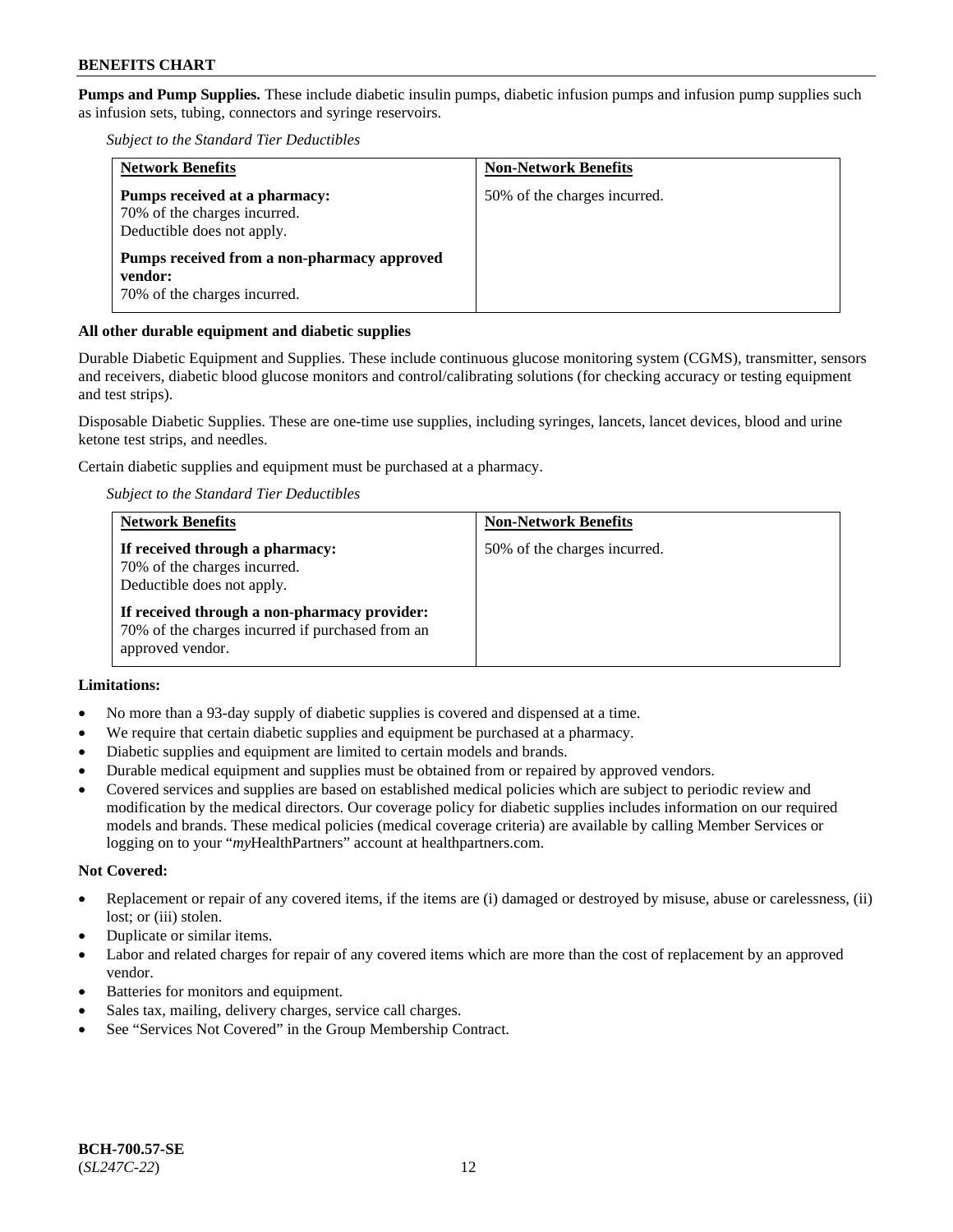**Pumps and Pump Supplies.** These include diabetic insulin pumps, diabetic infusion pumps and infusion pump supplies such as infusion sets, tubing, connectors and syringe reservoirs.

*Subject to the Standard Tier Deductibles*

| <b>Network Benefits</b>                                                                     | <b>Non-Network Benefits</b>  |
|---------------------------------------------------------------------------------------------|------------------------------|
| Pumps received at a pharmacy:<br>70% of the charges incurred.<br>Deductible does not apply. | 50% of the charges incurred. |
| Pumps received from a non-pharmacy approved<br>vendor:<br>70% of the charges incurred.      |                              |

# **All other durable equipment and diabetic supplies**

Durable Diabetic Equipment and Supplies. These include continuous glucose monitoring system (CGMS), transmitter, sensors and receivers, diabetic blood glucose monitors and control/calibrating solutions (for checking accuracy or testing equipment and test strips).

Disposable Diabetic Supplies. These are one-time use supplies, including syringes, lancets, lancet devices, blood and urine ketone test strips, and needles.

Certain diabetic supplies and equipment must be purchased at a pharmacy.

*Subject to the Standard Tier Deductibles*

| <b>Network Benefits</b>                                                                                              | <b>Non-Network Benefits</b>  |
|----------------------------------------------------------------------------------------------------------------------|------------------------------|
| If received through a pharmacy:<br>70% of the charges incurred.<br>Deductible does not apply.                        | 50% of the charges incurred. |
| If received through a non-pharmacy provider:<br>70% of the charges incurred if purchased from an<br>approved vendor. |                              |

# **Limitations:**

- No more than a 93-day supply of diabetic supplies is covered and dispensed at a time.
- We require that certain diabetic supplies and equipment be purchased at a pharmacy.
- Diabetic supplies and equipment are limited to certain models and brands.
- Durable medical equipment and supplies must be obtained from or repaired by approved vendors.
- Covered services and supplies are based on established medical policies which are subject to periodic review and modification by the medical directors. Our coverage policy for diabetic supplies includes information on our required models and brands. These medical policies (medical coverage criteria) are available by calling Member Services or logging on to your "*my*HealthPartners" account at [healthpartners.com.](http://www.healthpartners.com/)

#### **Not Covered:**

- Replacement or repair of any covered items, if the items are (i) damaged or destroyed by misuse, abuse or carelessness, (ii) lost; or (iii) stolen.
- Duplicate or similar items.
- Labor and related charges for repair of any covered items which are more than the cost of replacement by an approved vendor.
- Batteries for monitors and equipment.
- Sales tax, mailing, delivery charges, service call charges.
- See "Services Not Covered" in the Group Membership Contract.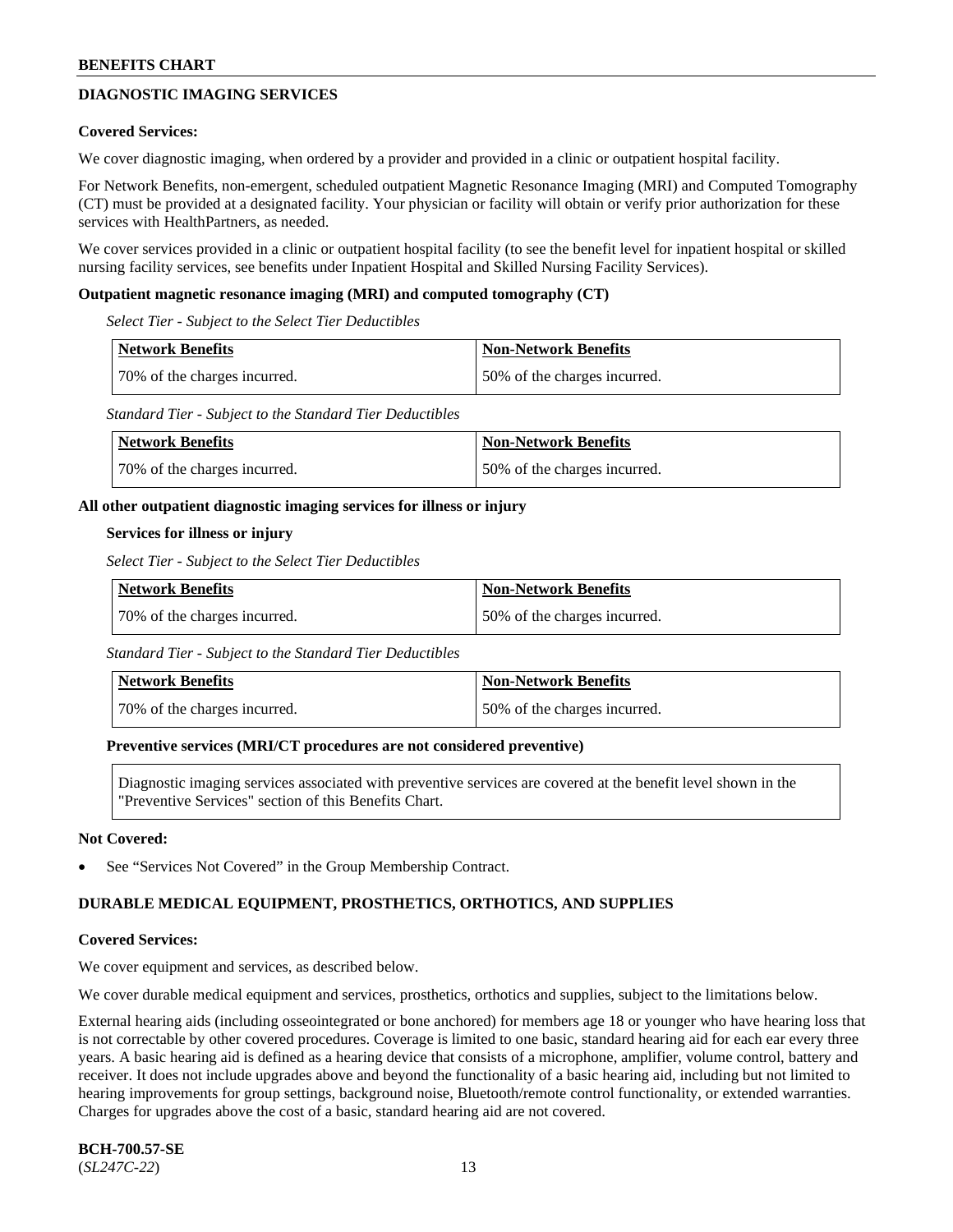# **DIAGNOSTIC IMAGING SERVICES**

### **Covered Services:**

We cover diagnostic imaging, when ordered by a provider and provided in a clinic or outpatient hospital facility.

For Network Benefits, non-emergent, scheduled outpatient Magnetic Resonance Imaging (MRI) and Computed Tomography (CT) must be provided at a designated facility. Your physician or facility will obtain or verify prior authorization for these services with HealthPartners, as needed.

We cover services provided in a clinic or outpatient hospital facility (to see the benefit level for inpatient hospital or skilled nursing facility services, see benefits under Inpatient Hospital and Skilled Nursing Facility Services).

#### **Outpatient magnetic resonance imaging (MRI) and computed tomography (CT)**

*Select Tier - Subject to the Select Tier Deductibles*

| <b>Network Benefits</b>      | <b>Non-Network Benefits</b>  |
|------------------------------|------------------------------|
| 70% of the charges incurred. | 50% of the charges incurred. |

*Standard Tier - Subject to the Standard Tier Deductibles*

| Network Benefits             | Non-Network Benefits         |
|------------------------------|------------------------------|
| 70% of the charges incurred. | 50% of the charges incurred. |

### **All other outpatient diagnostic imaging services for illness or injury**

### **Services for illness or injury**

*Select Tier - Subject to the Select Tier Deductibles*

| Network Benefits             | Non-Network Benefits         |
|------------------------------|------------------------------|
| 70% of the charges incurred. | 50% of the charges incurred. |

*Standard Tier - Subject to the Standard Tier Deductibles*

| Network Benefits             | Non-Network Benefits         |
|------------------------------|------------------------------|
| 70% of the charges incurred. | 50% of the charges incurred. |

#### **Preventive services (MRI/CT procedures are not considered preventive)**

Diagnostic imaging services associated with preventive services are covered at the benefit level shown in the "Preventive Services" section of this Benefits Chart.

#### **Not Covered:**

See "Services Not Covered" in the Group Membership Contract.

# **DURABLE MEDICAL EQUIPMENT, PROSTHETICS, ORTHOTICS, AND SUPPLIES**

#### **Covered Services:**

We cover equipment and services, as described below.

We cover durable medical equipment and services, prosthetics, orthotics and supplies, subject to the limitations below.

External hearing aids (including osseointegrated or bone anchored) for members age 18 or younger who have hearing loss that is not correctable by other covered procedures. Coverage is limited to one basic, standard hearing aid for each ear every three years. A basic hearing aid is defined as a hearing device that consists of a microphone, amplifier, volume control, battery and receiver. It does not include upgrades above and beyond the functionality of a basic hearing aid, including but not limited to hearing improvements for group settings, background noise, Bluetooth/remote control functionality, or extended warranties. Charges for upgrades above the cost of a basic, standard hearing aid are not covered.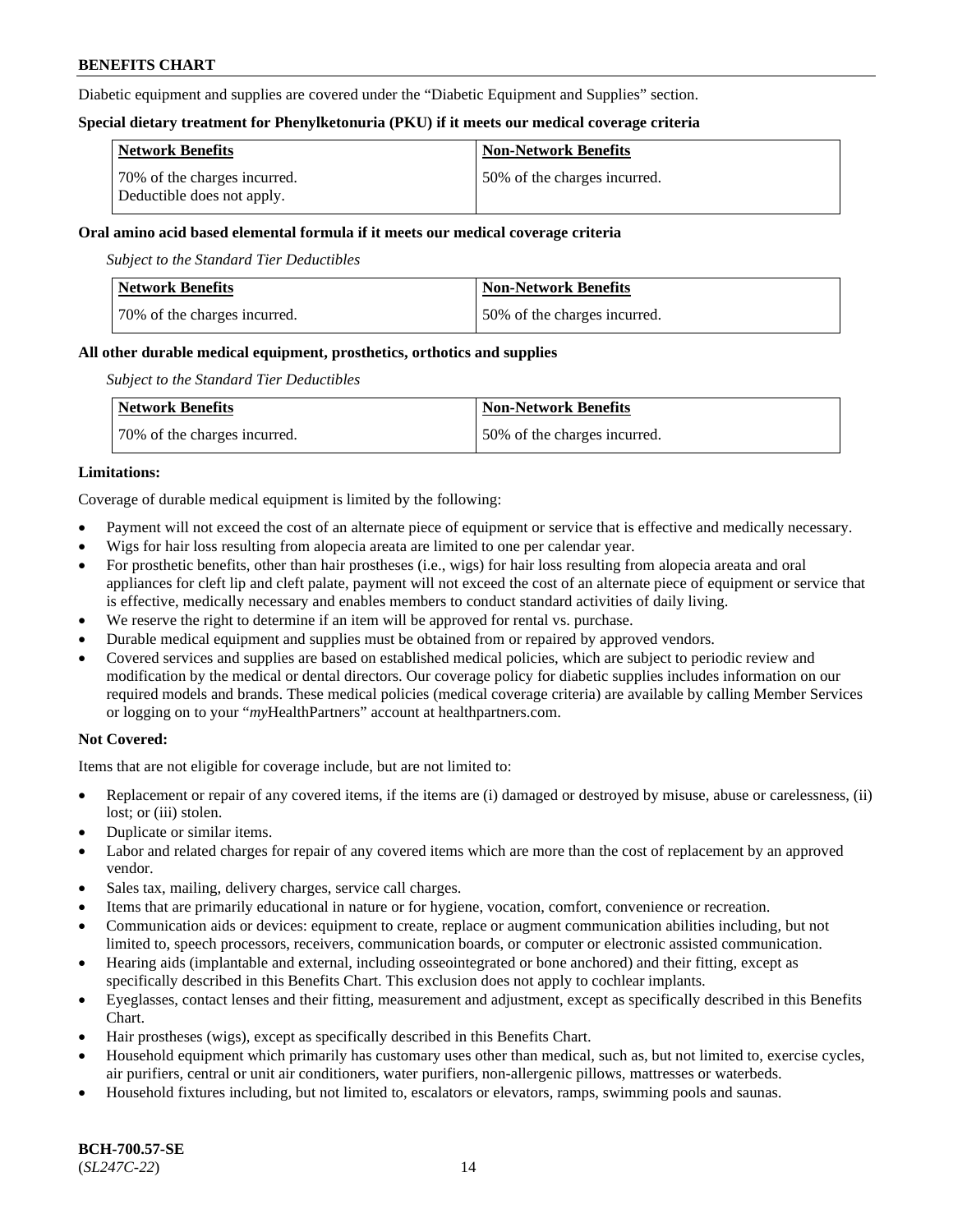Diabetic equipment and supplies are covered under the "Diabetic Equipment and Supplies" section.

### **Special dietary treatment for Phenylketonuria (PKU) if it meets our medical coverage criteria**

| <b>Network Benefits</b>                                    | <b>Non-Network Benefits</b>   |
|------------------------------------------------------------|-------------------------------|
| 70% of the charges incurred.<br>Deductible does not apply. | 150% of the charges incurred. |

### **Oral amino acid based elemental formula if it meets our medical coverage criteria**

*Subject to the Standard Tier Deductibles*

| <b>Network Benefits</b>      | <b>Non-Network Benefits</b>  |
|------------------------------|------------------------------|
| 70% of the charges incurred. | 50% of the charges incurred. |

### **All other durable medical equipment, prosthetics, orthotics and supplies**

*Subject to the Standard Tier Deductibles*

| <b>Network Benefits</b>      | Non-Network Benefits         |
|------------------------------|------------------------------|
| 70% of the charges incurred. | 50% of the charges incurred. |

# **Limitations:**

Coverage of durable medical equipment is limited by the following:

- Payment will not exceed the cost of an alternate piece of equipment or service that is effective and medically necessary.
- Wigs for hair loss resulting from alopecia areata are limited to one per calendar year.
- For prosthetic benefits, other than hair prostheses (i.e., wigs) for hair loss resulting from alopecia areata and oral appliances for cleft lip and cleft palate, payment will not exceed the cost of an alternate piece of equipment or service that is effective, medically necessary and enables members to conduct standard activities of daily living.
- We reserve the right to determine if an item will be approved for rental vs. purchase.
- Durable medical equipment and supplies must be obtained from or repaired by approved vendors.
- Covered services and supplies are based on established medical policies, which are subject to periodic review and modification by the medical or dental directors. Our coverage policy for diabetic supplies includes information on our required models and brands. These medical policies (medical coverage criteria) are available by calling Member Services or logging on to your "*my*HealthPartners" account a[t healthpartners.com.](https://www.healthpartners.com/hp/index.html)

# **Not Covered:**

Items that are not eligible for coverage include, but are not limited to:

- Replacement or repair of any covered items, if the items are (i) damaged or destroyed by misuse, abuse or carelessness, (ii) lost; or (iii) stolen.
- Duplicate or similar items.
- Labor and related charges for repair of any covered items which are more than the cost of replacement by an approved vendor.
- Sales tax, mailing, delivery charges, service call charges.
- Items that are primarily educational in nature or for hygiene, vocation, comfort, convenience or recreation.
- Communication aids or devices: equipment to create, replace or augment communication abilities including, but not limited to, speech processors, receivers, communication boards, or computer or electronic assisted communication.
- Hearing aids (implantable and external, including osseointegrated or bone anchored) and their fitting, except as specifically described in this Benefits Chart. This exclusion does not apply to cochlear implants.
- Eyeglasses, contact lenses and their fitting, measurement and adjustment, except as specifically described in this Benefits Chart.
- Hair prostheses (wigs), except as specifically described in this Benefits Chart.
- Household equipment which primarily has customary uses other than medical, such as, but not limited to, exercise cycles, air purifiers, central or unit air conditioners, water purifiers, non-allergenic pillows, mattresses or waterbeds.
- Household fixtures including, but not limited to, escalators or elevators, ramps, swimming pools and saunas.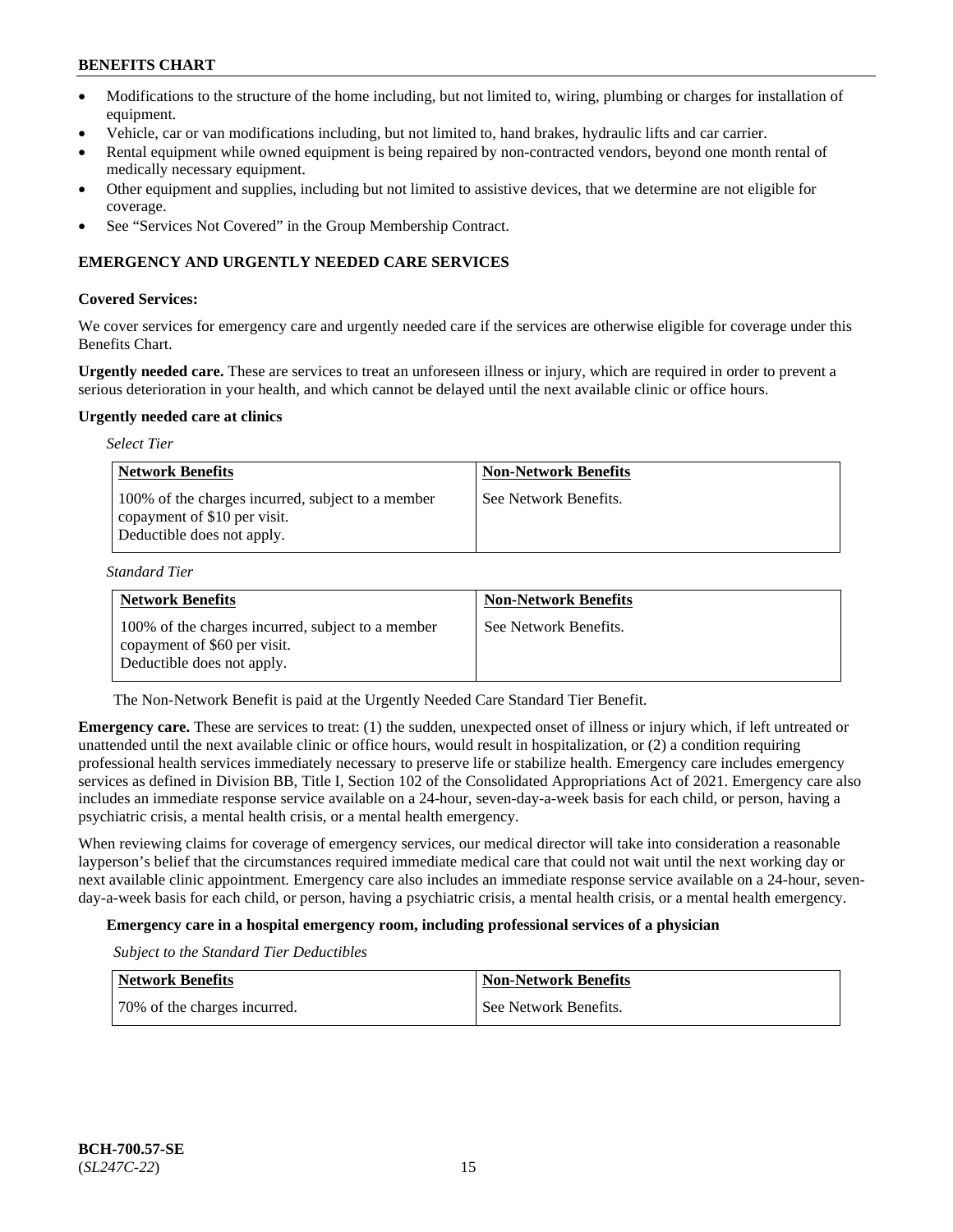- Modifications to the structure of the home including, but not limited to, wiring, plumbing or charges for installation of equipment.
- Vehicle, car or van modifications including, but not limited to, hand brakes, hydraulic lifts and car carrier.
- Rental equipment while owned equipment is being repaired by non-contracted vendors, beyond one month rental of medically necessary equipment.
- Other equipment and supplies, including but not limited to assistive devices, that we determine are not eligible for coverage.
- See "Services Not Covered" in the Group Membership Contract.

# **EMERGENCY AND URGENTLY NEEDED CARE SERVICES**

### **Covered Services:**

We cover services for emergency care and urgently needed care if the services are otherwise eligible for coverage under this Benefits Chart.

**Urgently needed care.** These are services to treat an unforeseen illness or injury, which are required in order to prevent a serious deterioration in your health, and which cannot be delayed until the next available clinic or office hours.

#### **Urgently needed care at clinics**

| <b>Select Tier</b>                                                                                              |                             |  |
|-----------------------------------------------------------------------------------------------------------------|-----------------------------|--|
| <b>Network Benefits</b>                                                                                         | <b>Non-Network Benefits</b> |  |
| 100% of the charges incurred, subject to a member<br>copayment of \$10 per visit.<br>Deductible does not apply. | See Network Benefits.       |  |

*Standard Tier*

| <b>Network Benefits</b>                                                                                         | <b>Non-Network Benefits</b> |
|-----------------------------------------------------------------------------------------------------------------|-----------------------------|
| 100% of the charges incurred, subject to a member<br>copayment of \$60 per visit.<br>Deductible does not apply. | See Network Benefits.       |

The Non-Network Benefit is paid at the Urgently Needed Care Standard Tier Benefit.

**Emergency care.** These are services to treat: (1) the sudden, unexpected onset of illness or injury which, if left untreated or unattended until the next available clinic or office hours, would result in hospitalization, or (2) a condition requiring professional health services immediately necessary to preserve life or stabilize health. Emergency care includes emergency services as defined in Division BB, Title I, Section 102 of the Consolidated Appropriations Act of 2021. Emergency care also includes an immediate response service available on a 24-hour, seven-day-a-week basis for each child, or person, having a psychiatric crisis, a mental health crisis, or a mental health emergency.

When reviewing claims for coverage of emergency services, our medical director will take into consideration a reasonable layperson's belief that the circumstances required immediate medical care that could not wait until the next working day or next available clinic appointment. Emergency care also includes an immediate response service available on a 24-hour, sevenday-a-week basis for each child, or person, having a psychiatric crisis, a mental health crisis, or a mental health emergency.

# **Emergency care in a hospital emergency room, including professional services of a physician**

*Subject to the Standard Tier Deductibles*

| <b>Network Benefits</b>      | <b>Non-Network Benefits</b> |
|------------------------------|-----------------------------|
| 70% of the charges incurred. | See Network Benefits.       |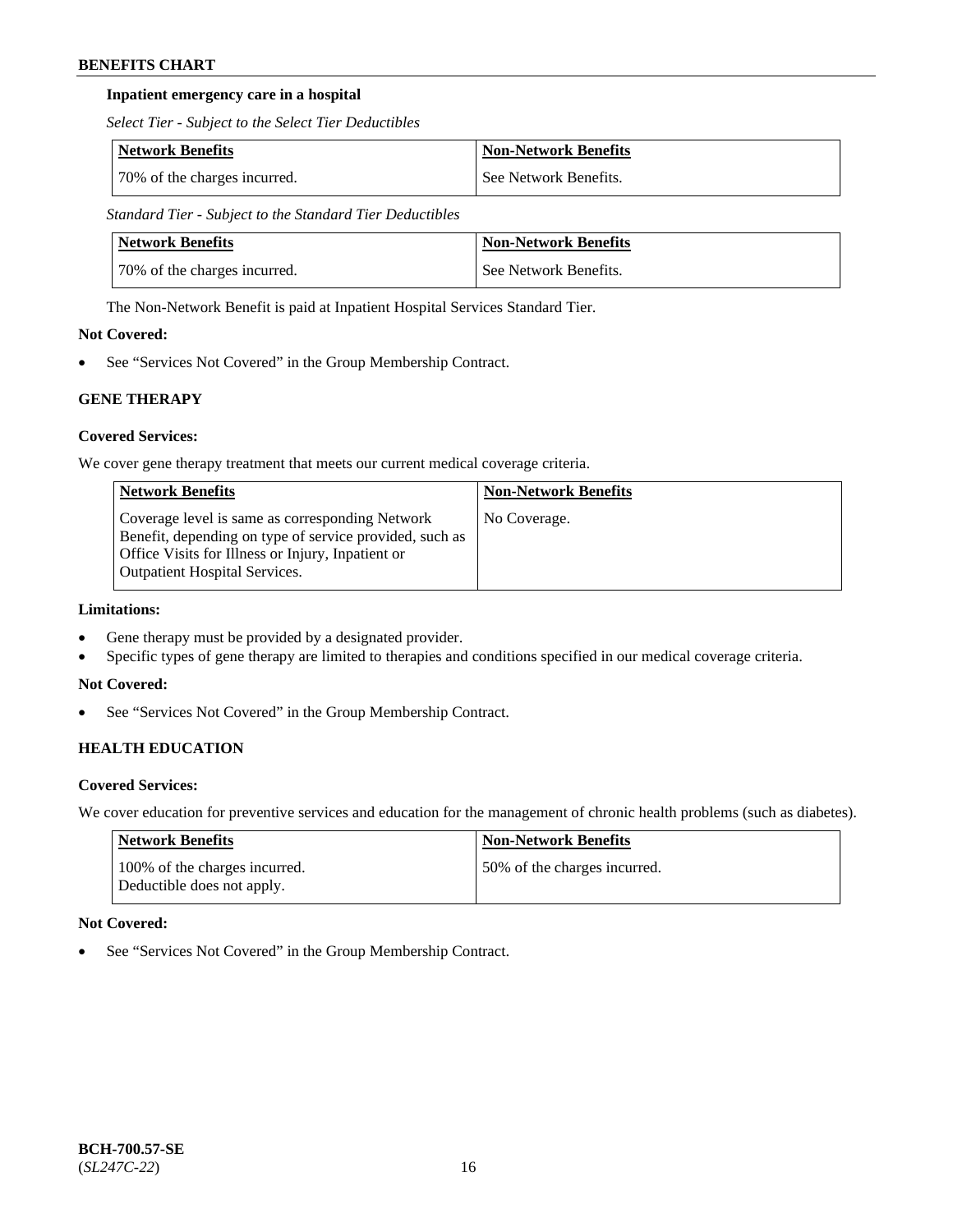# **Inpatient emergency care in a hospital**

*Select Tier - Subject to the Select Tier Deductibles*

| Network Benefits             | Non-Network Benefits  |
|------------------------------|-----------------------|
| 70% of the charges incurred. | See Network Benefits. |

*Standard Tier - Subject to the Standard Tier Deductibles*

| Network Benefits             | <b>Non-Network Benefits</b> |
|------------------------------|-----------------------------|
| 70% of the charges incurred. | See Network Benefits.       |

The Non-Network Benefit is paid at Inpatient Hospital Services Standard Tier.

# **Not Covered:**

See "Services Not Covered" in the Group Membership Contract.

# **GENE THERAPY**

# **Covered Services:**

We cover gene therapy treatment that meets our current medical coverage criteria.

| <b>Network Benefits</b>                                                                                                                                                                                 | <b>Non-Network Benefits</b> |
|---------------------------------------------------------------------------------------------------------------------------------------------------------------------------------------------------------|-----------------------------|
| Coverage level is same as corresponding Network<br>Benefit, depending on type of service provided, such as<br>Office Visits for Illness or Injury, Inpatient or<br><b>Outpatient Hospital Services.</b> | No Coverage.                |

# **Limitations:**

- Gene therapy must be provided by a designated provider.
- Specific types of gene therapy are limited to therapies and conditions specified in our medical coverage criteria.

# **Not Covered:**

• See "Services Not Covered" in the Group Membership Contract.

# **HEALTH EDUCATION**

# **Covered Services:**

We cover education for preventive services and education for the management of chronic health problems (such as diabetes).

| Network Benefits                                            | <b>Non-Network Benefits</b>  |
|-------------------------------------------------------------|------------------------------|
| 100% of the charges incurred.<br>Deductible does not apply. | 50% of the charges incurred. |

# **Not Covered:**

See "Services Not Covered" in the Group Membership Contract.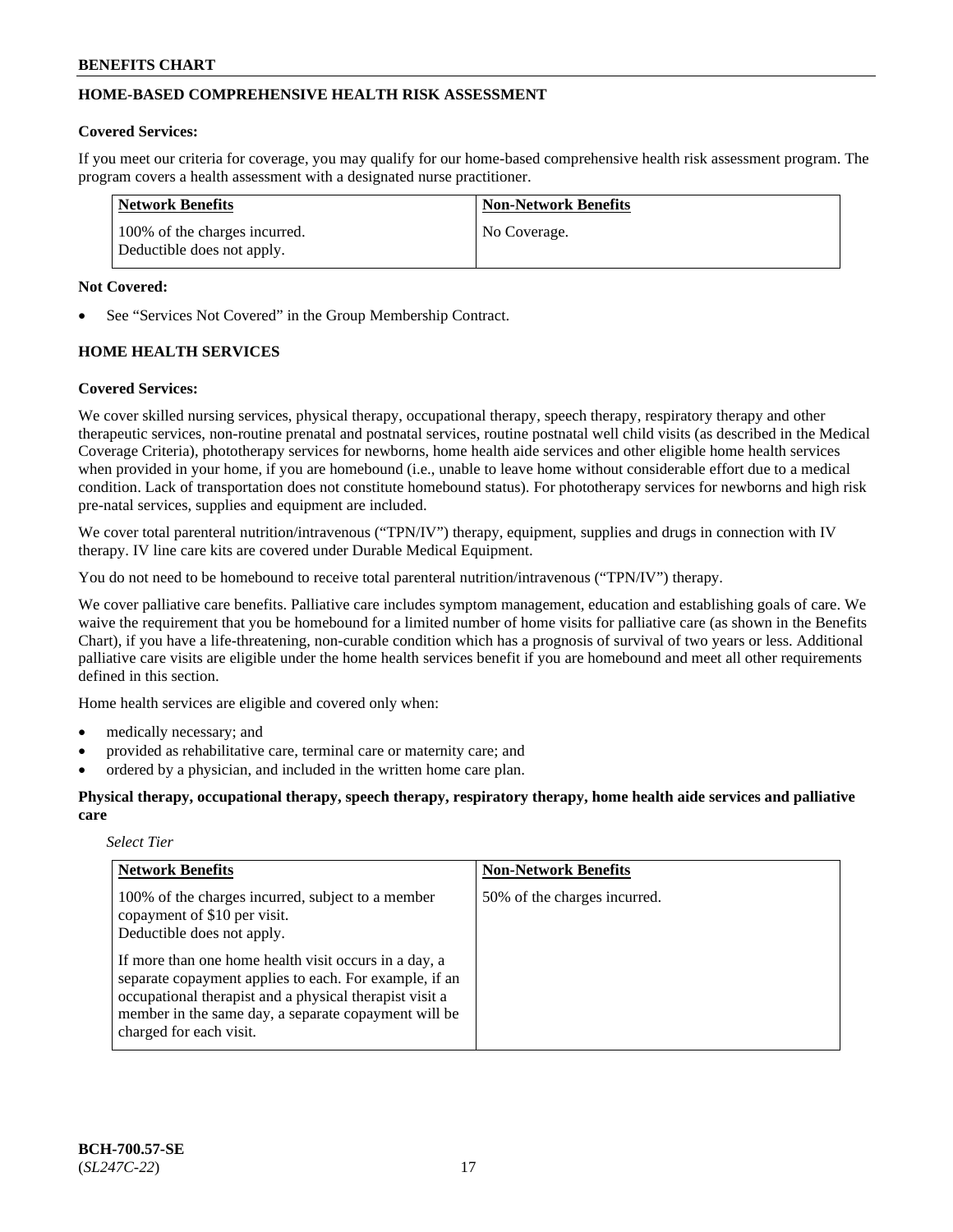# **HOME-BASED COMPREHENSIVE HEALTH RISK ASSESSMENT**

### **Covered Services:**

If you meet our criteria for coverage, you may qualify for our home-based comprehensive health risk assessment program. The program covers a health assessment with a designated nurse practitioner.

| Network Benefits                                            | <b>Non-Network Benefits</b> |
|-------------------------------------------------------------|-----------------------------|
| 100% of the charges incurred.<br>Deductible does not apply. | No Coverage.                |

### **Not Covered:**

See "Services Not Covered" in the Group Membership Contract.

# **HOME HEALTH SERVICES**

### **Covered Services:**

We cover skilled nursing services, physical therapy, occupational therapy, speech therapy, respiratory therapy and other therapeutic services, non-routine prenatal and postnatal services, routine postnatal well child visits (as described in the Medical Coverage Criteria), phototherapy services for newborns, home health aide services and other eligible home health services when provided in your home, if you are homebound (i.e., unable to leave home without considerable effort due to a medical condition. Lack of transportation does not constitute homebound status). For phototherapy services for newborns and high risk pre-natal services, supplies and equipment are included.

We cover total parenteral nutrition/intravenous ("TPN/IV") therapy, equipment, supplies and drugs in connection with IV therapy. IV line care kits are covered under Durable Medical Equipment.

You do not need to be homebound to receive total parenteral nutrition/intravenous ("TPN/IV") therapy.

We cover palliative care benefits. Palliative care includes symptom management, education and establishing goals of care. We waive the requirement that you be homebound for a limited number of home visits for palliative care (as shown in the Benefits Chart), if you have a life-threatening, non-curable condition which has a prognosis of survival of two years or less. Additional palliative care visits are eligible under the home health services benefit if you are homebound and meet all other requirements defined in this section.

Home health services are eligible and covered only when:

- medically necessary; and
- provided as rehabilitative care, terminal care or maternity care; and
- ordered by a physician, and included in the written home care plan.

**Physical therapy, occupational therapy, speech therapy, respiratory therapy, home health aide services and palliative care**

#### *Select Tier*

| <b>Network Benefits</b>                                                                                                                                                                                                                                       | <b>Non-Network Benefits</b>  |
|---------------------------------------------------------------------------------------------------------------------------------------------------------------------------------------------------------------------------------------------------------------|------------------------------|
| 100% of the charges incurred, subject to a member<br>copayment of \$10 per visit.<br>Deductible does not apply.                                                                                                                                               | 50% of the charges incurred. |
| If more than one home health visit occurs in a day, a<br>separate copayment applies to each. For example, if an<br>occupational therapist and a physical therapist visit a<br>member in the same day, a separate copayment will be<br>charged for each visit. |                              |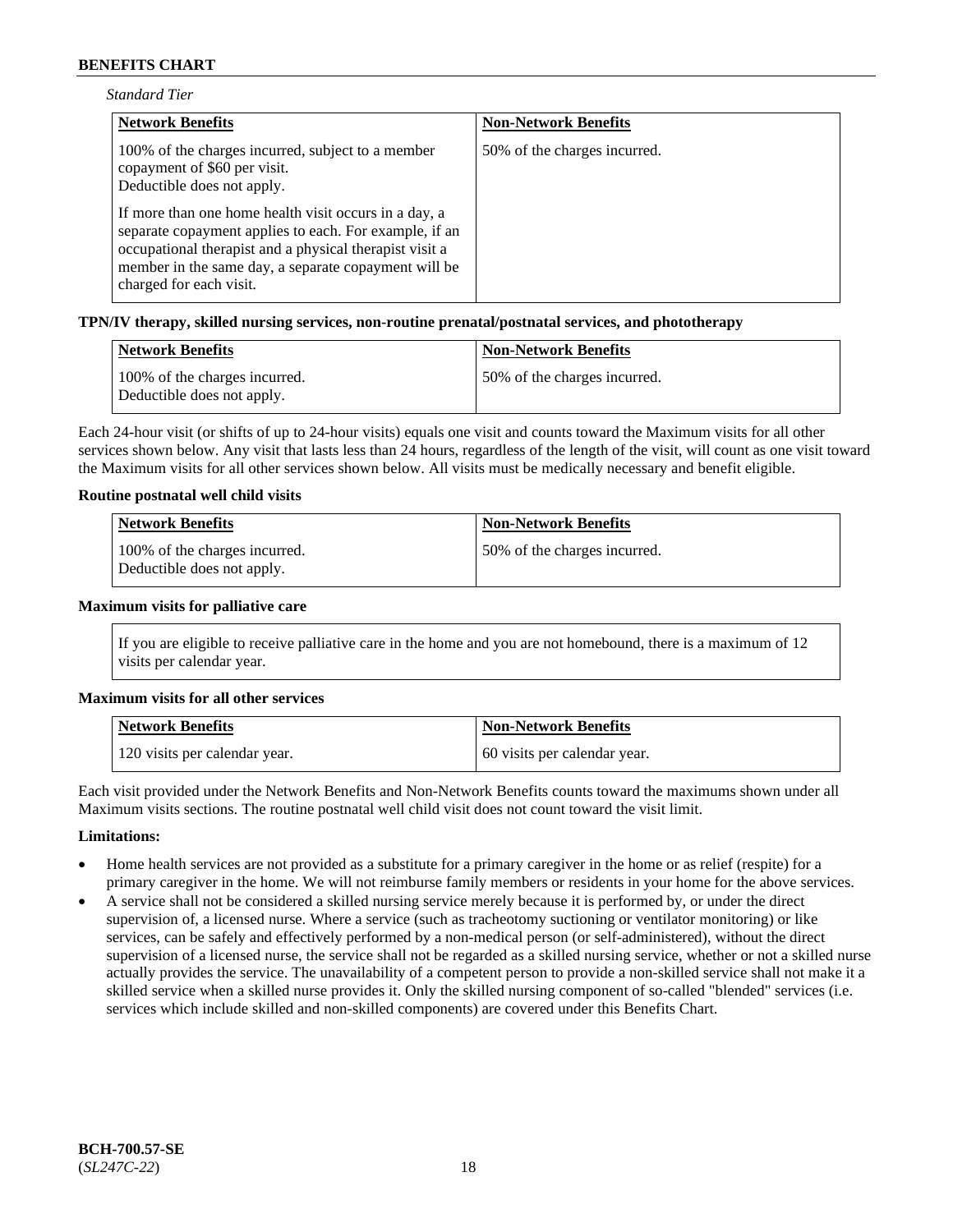| <b>Standard Tier</b> |  |
|----------------------|--|
|----------------------|--|

| <b>Network Benefits</b>                                                                                                                                                                                                                                       | <b>Non-Network Benefits</b>  |
|---------------------------------------------------------------------------------------------------------------------------------------------------------------------------------------------------------------------------------------------------------------|------------------------------|
| 100% of the charges incurred, subject to a member<br>copayment of \$60 per visit.<br>Deductible does not apply.                                                                                                                                               | 50% of the charges incurred. |
| If more than one home health visit occurs in a day, a<br>separate copayment applies to each. For example, if an<br>occupational therapist and a physical therapist visit a<br>member in the same day, a separate copayment will be<br>charged for each visit. |                              |

### **TPN/IV therapy, skilled nursing services, non-routine prenatal/postnatal services, and phototherapy**

| Network Benefits                                            | <b>Non-Network Benefits</b>  |
|-------------------------------------------------------------|------------------------------|
| 100% of the charges incurred.<br>Deductible does not apply. | 50% of the charges incurred. |

Each 24-hour visit (or shifts of up to 24-hour visits) equals one visit and counts toward the Maximum visits for all other services shown below. Any visit that lasts less than 24 hours, regardless of the length of the visit, will count as one visit toward the Maximum visits for all other services shown below. All visits must be medically necessary and benefit eligible.

### **Routine postnatal well child visits**

| Network Benefits                                            | <b>Non-Network Benefits</b>  |
|-------------------------------------------------------------|------------------------------|
| 100% of the charges incurred.<br>Deductible does not apply. | 50% of the charges incurred. |

#### **Maximum visits for palliative care**

If you are eligible to receive palliative care in the home and you are not homebound, there is a maximum of 12 visits per calendar year.

#### **Maximum visits for all other services**

| <b>Network Benefits</b>       | <b>Non-Network Benefits</b>  |
|-------------------------------|------------------------------|
| 120 visits per calendar year. | 60 visits per calendar year. |

Each visit provided under the Network Benefits and Non-Network Benefits counts toward the maximums shown under all Maximum visits sections. The routine postnatal well child visit does not count toward the visit limit.

#### **Limitations:**

- Home health services are not provided as a substitute for a primary caregiver in the home or as relief (respite) for a primary caregiver in the home. We will not reimburse family members or residents in your home for the above services.
- A service shall not be considered a skilled nursing service merely because it is performed by, or under the direct supervision of, a licensed nurse. Where a service (such as tracheotomy suctioning or ventilator monitoring) or like services, can be safely and effectively performed by a non-medical person (or self-administered), without the direct supervision of a licensed nurse, the service shall not be regarded as a skilled nursing service, whether or not a skilled nurse actually provides the service. The unavailability of a competent person to provide a non-skilled service shall not make it a skilled service when a skilled nurse provides it. Only the skilled nursing component of so-called "blended" services (i.e. services which include skilled and non-skilled components) are covered under this Benefits Chart.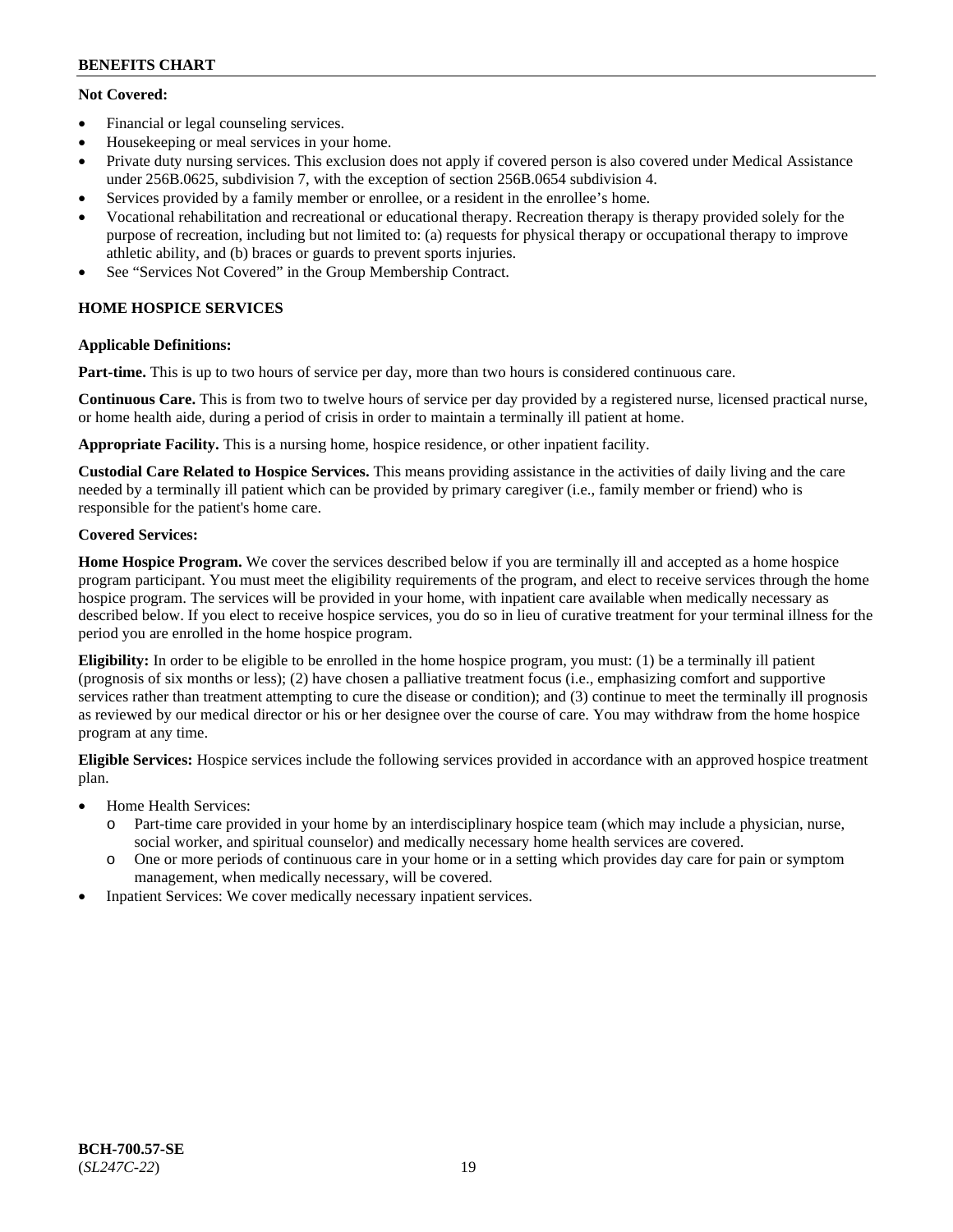# **Not Covered:**

- Financial or legal counseling services.
- Housekeeping or meal services in your home.
- Private duty nursing services. This exclusion does not apply if covered person is also covered under Medical Assistance under 256B.0625, subdivision 7, with the exception of section 256B.0654 subdivision 4.
- Services provided by a family member or enrollee, or a resident in the enrollee's home.
- Vocational rehabilitation and recreational or educational therapy. Recreation therapy is therapy provided solely for the purpose of recreation, including but not limited to: (a) requests for physical therapy or occupational therapy to improve athletic ability, and (b) braces or guards to prevent sports injuries.
- See "Services Not Covered" in the Group Membership Contract.

# **HOME HOSPICE SERVICES**

# **Applicable Definitions:**

**Part-time.** This is up to two hours of service per day, more than two hours is considered continuous care.

**Continuous Care.** This is from two to twelve hours of service per day provided by a registered nurse, licensed practical nurse, or home health aide, during a period of crisis in order to maintain a terminally ill patient at home.

**Appropriate Facility.** This is a nursing home, hospice residence, or other inpatient facility.

**Custodial Care Related to Hospice Services.** This means providing assistance in the activities of daily living and the care needed by a terminally ill patient which can be provided by primary caregiver (i.e., family member or friend) who is responsible for the patient's home care.

# **Covered Services:**

**Home Hospice Program.** We cover the services described below if you are terminally ill and accepted as a home hospice program participant. You must meet the eligibility requirements of the program, and elect to receive services through the home hospice program. The services will be provided in your home, with inpatient care available when medically necessary as described below. If you elect to receive hospice services, you do so in lieu of curative treatment for your terminal illness for the period you are enrolled in the home hospice program.

**Eligibility:** In order to be eligible to be enrolled in the home hospice program, you must: (1) be a terminally ill patient (prognosis of six months or less); (2) have chosen a palliative treatment focus (i.e., emphasizing comfort and supportive services rather than treatment attempting to cure the disease or condition); and (3) continue to meet the terminally ill prognosis as reviewed by our medical director or his or her designee over the course of care. You may withdraw from the home hospice program at any time.

**Eligible Services:** Hospice services include the following services provided in accordance with an approved hospice treatment plan.

- Home Health Services:
	- o Part-time care provided in your home by an interdisciplinary hospice team (which may include a physician, nurse, social worker, and spiritual counselor) and medically necessary home health services are covered.
	- o One or more periods of continuous care in your home or in a setting which provides day care for pain or symptom management, when medically necessary, will be covered.
- Inpatient Services: We cover medically necessary inpatient services.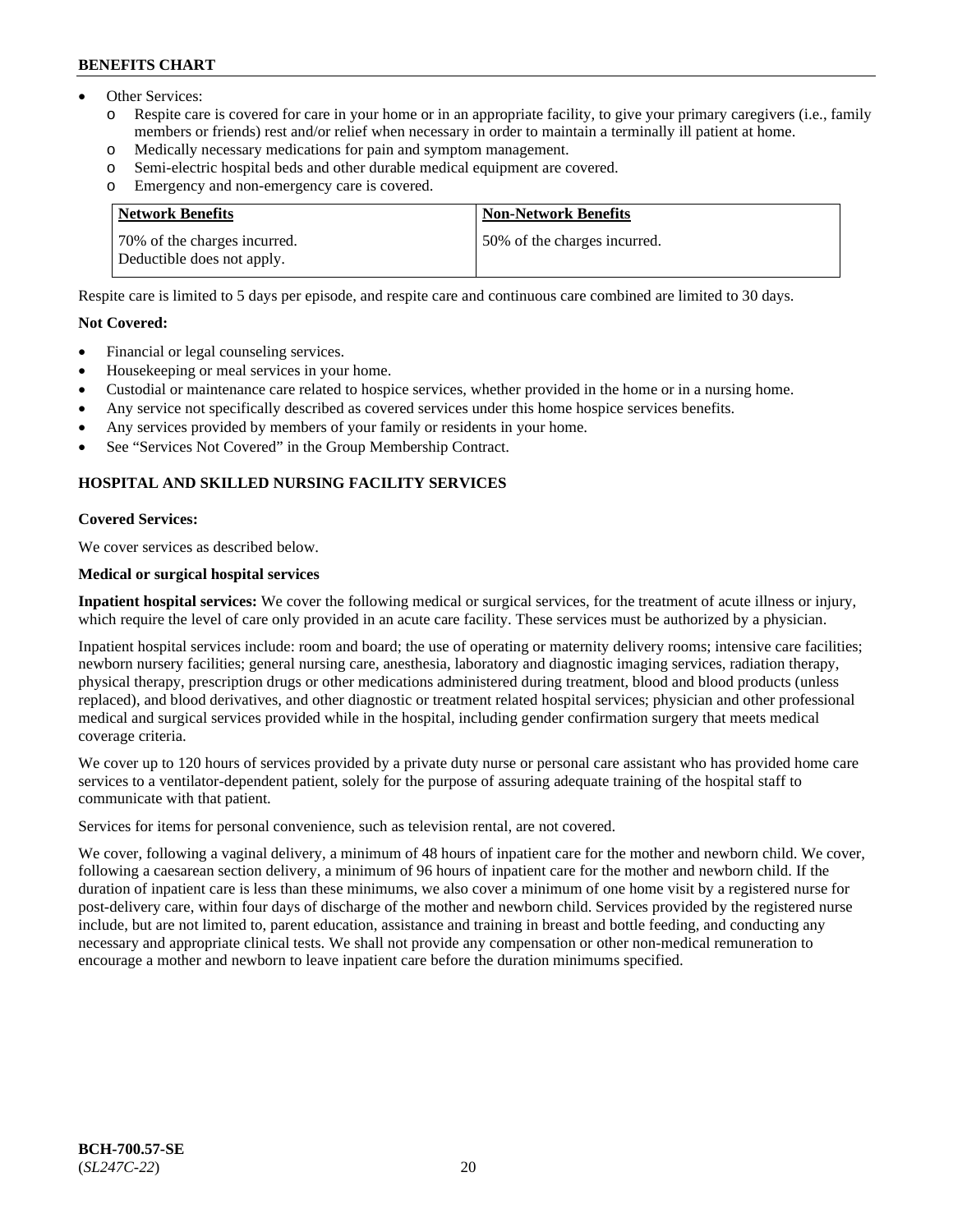- Other Services:
	- Respite care is covered for care in your home or in an appropriate facility, to give your primary caregivers (i.e., family members or friends) rest and/or relief when necessary in order to maintain a terminally ill patient at home.
	- o Medically necessary medications for pain and symptom management.
	- o Semi-electric hospital beds and other durable medical equipment are covered.
	- Emergency and non-emergency care is covered.

| Network Benefits                                           | <b>Non-Network Benefits</b>  |
|------------------------------------------------------------|------------------------------|
| 70% of the charges incurred.<br>Deductible does not apply. | 50% of the charges incurred. |

Respite care is limited to 5 days per episode, and respite care and continuous care combined are limited to 30 days.

# **Not Covered:**

- Financial or legal counseling services.
- Housekeeping or meal services in your home.
- Custodial or maintenance care related to hospice services, whether provided in the home or in a nursing home.
- Any service not specifically described as covered services under this home hospice services benefits.
- Any services provided by members of your family or residents in your home.
- See "Services Not Covered" in the Group Membership Contract.

# **HOSPITAL AND SKILLED NURSING FACILITY SERVICES**

#### **Covered Services:**

We cover services as described below.

# **Medical or surgical hospital services**

**Inpatient hospital services:** We cover the following medical or surgical services, for the treatment of acute illness or injury, which require the level of care only provided in an acute care facility. These services must be authorized by a physician.

Inpatient hospital services include: room and board; the use of operating or maternity delivery rooms; intensive care facilities; newborn nursery facilities; general nursing care, anesthesia, laboratory and diagnostic imaging services, radiation therapy, physical therapy, prescription drugs or other medications administered during treatment, blood and blood products (unless replaced), and blood derivatives, and other diagnostic or treatment related hospital services; physician and other professional medical and surgical services provided while in the hospital, including gender confirmation surgery that meets medical coverage criteria.

We cover up to 120 hours of services provided by a private duty nurse or personal care assistant who has provided home care services to a ventilator-dependent patient, solely for the purpose of assuring adequate training of the hospital staff to communicate with that patient.

Services for items for personal convenience, such as television rental, are not covered.

We cover, following a vaginal delivery, a minimum of 48 hours of inpatient care for the mother and newborn child. We cover, following a caesarean section delivery, a minimum of 96 hours of inpatient care for the mother and newborn child. If the duration of inpatient care is less than these minimums, we also cover a minimum of one home visit by a registered nurse for post-delivery care, within four days of discharge of the mother and newborn child. Services provided by the registered nurse include, but are not limited to, parent education, assistance and training in breast and bottle feeding, and conducting any necessary and appropriate clinical tests. We shall not provide any compensation or other non-medical remuneration to encourage a mother and newborn to leave inpatient care before the duration minimums specified.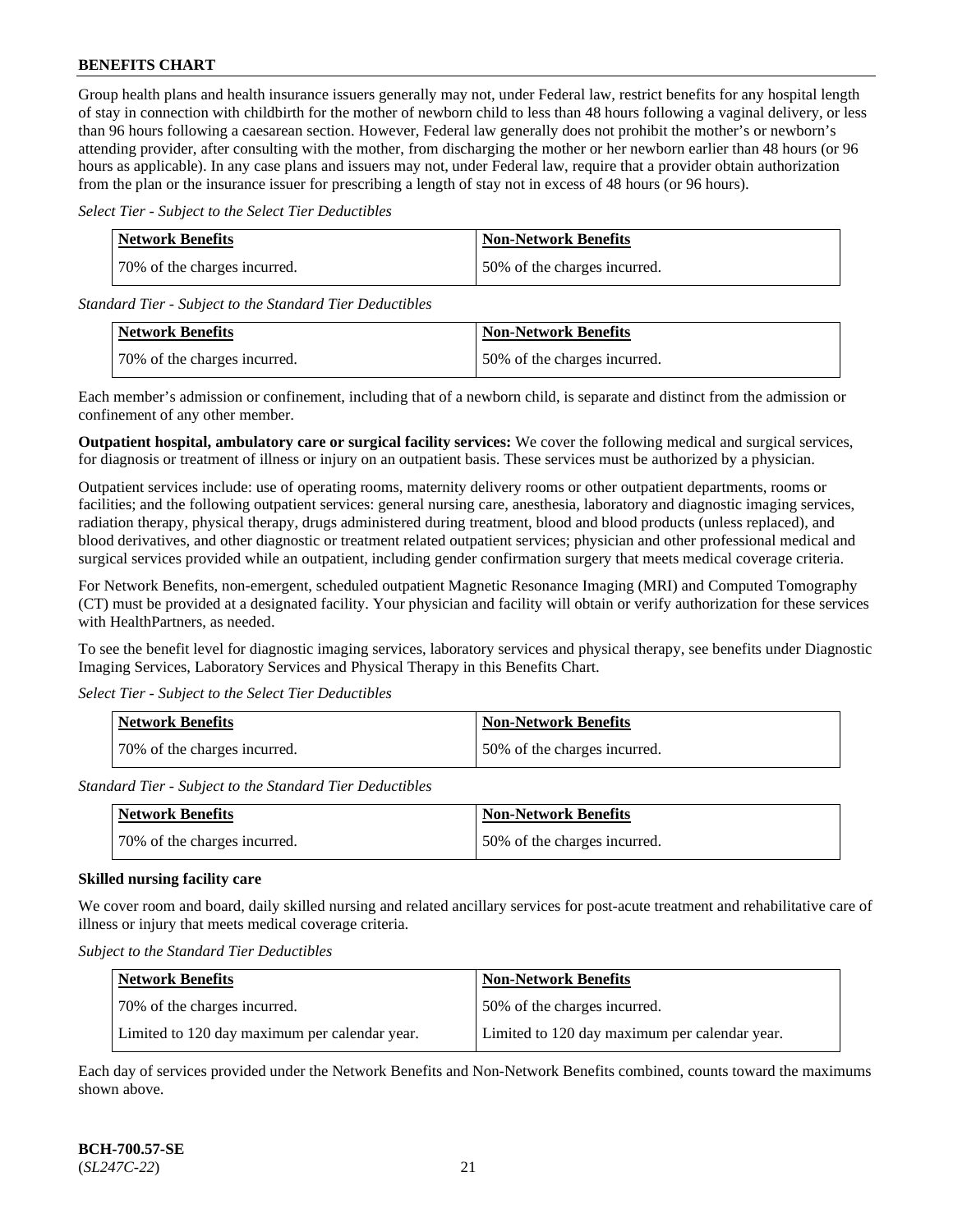Group health plans and health insurance issuers generally may not, under Federal law, restrict benefits for any hospital length of stay in connection with childbirth for the mother of newborn child to less than 48 hours following a vaginal delivery, or less than 96 hours following a caesarean section. However, Federal law generally does not prohibit the mother's or newborn's attending provider, after consulting with the mother, from discharging the mother or her newborn earlier than 48 hours (or 96 hours as applicable). In any case plans and issuers may not, under Federal law, require that a provider obtain authorization from the plan or the insurance issuer for prescribing a length of stay not in excess of 48 hours (or 96 hours).

*Select Tier - Subject to the Select Tier Deductibles*

| Network Benefits             | <b>Non-Network Benefits</b>  |
|------------------------------|------------------------------|
| 70% of the charges incurred. | 50% of the charges incurred. |

*Standard Tier - Subject to the Standard Tier Deductibles*

| <b>Network Benefits</b>       | <b>Non-Network Benefits</b>  |
|-------------------------------|------------------------------|
| 170% of the charges incurred. | 50% of the charges incurred. |

Each member's admission or confinement, including that of a newborn child, is separate and distinct from the admission or confinement of any other member.

**Outpatient hospital, ambulatory care or surgical facility services:** We cover the following medical and surgical services, for diagnosis or treatment of illness or injury on an outpatient basis. These services must be authorized by a physician.

Outpatient services include: use of operating rooms, maternity delivery rooms or other outpatient departments, rooms or facilities; and the following outpatient services: general nursing care, anesthesia, laboratory and diagnostic imaging services, radiation therapy, physical therapy, drugs administered during treatment, blood and blood products (unless replaced), and blood derivatives, and other diagnostic or treatment related outpatient services; physician and other professional medical and surgical services provided while an outpatient, including gender confirmation surgery that meets medical coverage criteria.

For Network Benefits, non-emergent, scheduled outpatient Magnetic Resonance Imaging (MRI) and Computed Tomography (CT) must be provided at a designated facility. Your physician and facility will obtain or verify authorization for these services with HealthPartners, as needed.

To see the benefit level for diagnostic imaging services, laboratory services and physical therapy, see benefits under Diagnostic Imaging Services, Laboratory Services and Physical Therapy in this Benefits Chart.

*Select Tier - Subject to the Select Tier Deductibles*

| Network Benefits             | <b>Non-Network Benefits</b>  |
|------------------------------|------------------------------|
| 70% of the charges incurred. | 50% of the charges incurred. |

*Standard Tier - Subject to the Standard Tier Deductibles*

| Network Benefits             | <b>Non-Network Benefits</b>   |
|------------------------------|-------------------------------|
| 70% of the charges incurred. | 150% of the charges incurred. |

# **Skilled nursing facility care**

We cover room and board, daily skilled nursing and related ancillary services for post-acute treatment and rehabilitative care of illness or injury that meets medical coverage criteria.

*Subject to the Standard Tier Deductibles*

| <b>Network Benefits</b>                       | <b>Non-Network Benefits</b>                   |
|-----------------------------------------------|-----------------------------------------------|
| 70% of the charges incurred.                  | 50% of the charges incurred.                  |
| Limited to 120 day maximum per calendar year. | Limited to 120 day maximum per calendar year. |

Each day of services provided under the Network Benefits and Non-Network Benefits combined, counts toward the maximums shown above.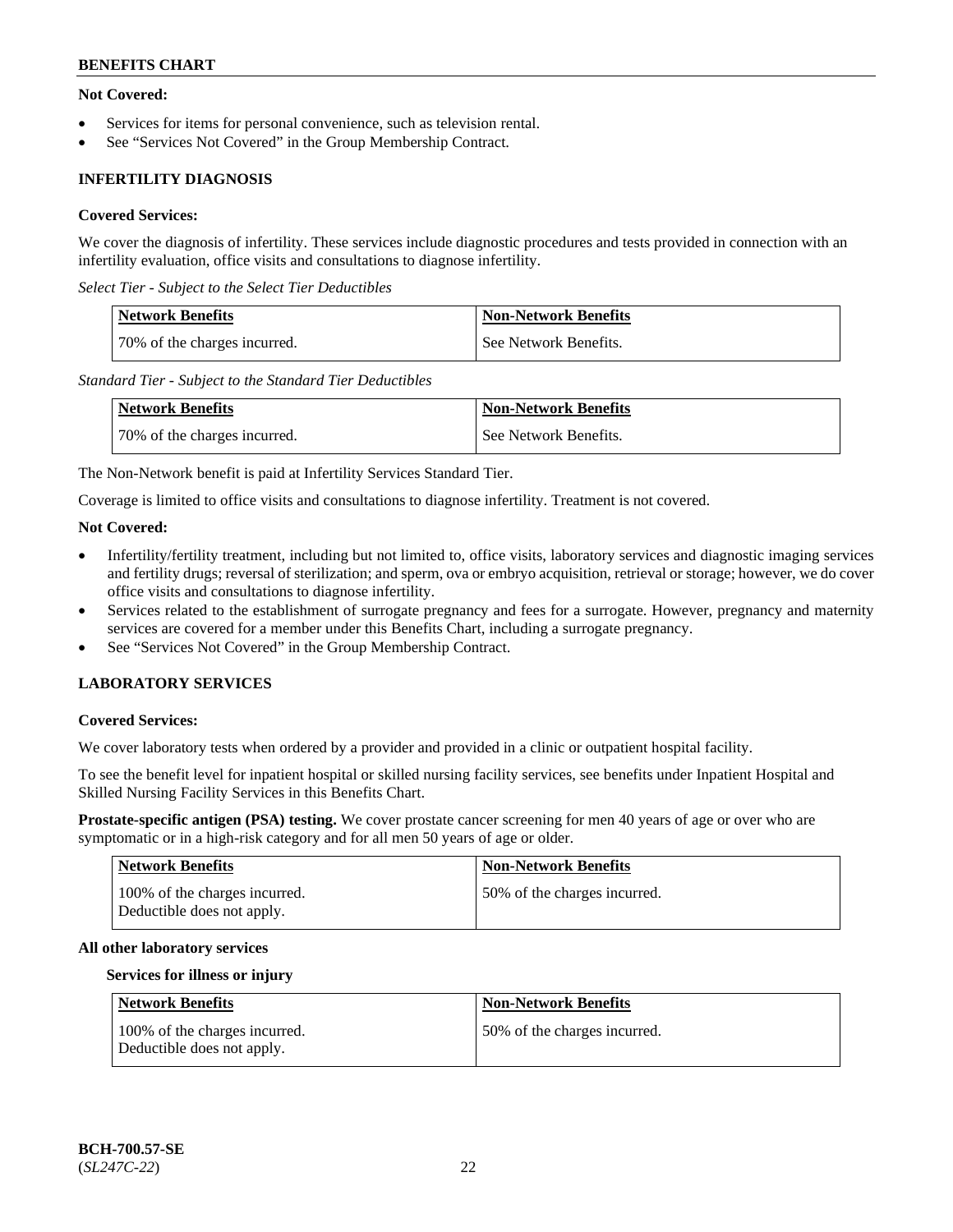# **Not Covered:**

- Services for items for personal convenience, such as television rental.
- See "Services Not Covered" in the Group Membership Contract.

# **INFERTILITY DIAGNOSIS**

# **Covered Services:**

We cover the diagnosis of infertility. These services include diagnostic procedures and tests provided in connection with an infertility evaluation, office visits and consultations to diagnose infertility.

*Select Tier - Subject to the Select Tier Deductibles*

| Network Benefits             | <b>Non-Network Benefits</b> |
|------------------------------|-----------------------------|
| 70% of the charges incurred. | See Network Benefits.       |

*Standard Tier - Subject to the Standard Tier Deductibles*

| <b>Network Benefits</b>      | <b>Non-Network Benefits</b> |
|------------------------------|-----------------------------|
| 70% of the charges incurred. | See Network Benefits.       |

The Non-Network benefit is paid at Infertility Services Standard Tier.

Coverage is limited to office visits and consultations to diagnose infertility. Treatment is not covered.

# **Not Covered:**

- Infertility/fertility treatment, including but not limited to, office visits, laboratory services and diagnostic imaging services and fertility drugs; reversal of sterilization; and sperm, ova or embryo acquisition, retrieval or storage; however, we do cover office visits and consultations to diagnose infertility.
- Services related to the establishment of surrogate pregnancy and fees for a surrogate. However, pregnancy and maternity services are covered for a member under this Benefits Chart, including a surrogate pregnancy.
- See "Services Not Covered" in the Group Membership Contract.

# **LABORATORY SERVICES**

#### **Covered Services:**

We cover laboratory tests when ordered by a provider and provided in a clinic or outpatient hospital facility.

To see the benefit level for inpatient hospital or skilled nursing facility services, see benefits under Inpatient Hospital and Skilled Nursing Facility Services in this Benefits Chart.

**Prostate-specific antigen (PSA) testing.** We cover prostate cancer screening for men 40 years of age or over who are symptomatic or in a high-risk category and for all men 50 years of age or older.

| <b>Network Benefits</b>                                     | <b>Non-Network Benefits</b>  |
|-------------------------------------------------------------|------------------------------|
| 100% of the charges incurred.<br>Deductible does not apply. | 50% of the charges incurred. |

#### **All other laboratory services**

#### **Services for illness or injury**

| Network Benefits                                            | <b>Non-Network Benefits</b>  |
|-------------------------------------------------------------|------------------------------|
| 100% of the charges incurred.<br>Deductible does not apply. | 50% of the charges incurred. |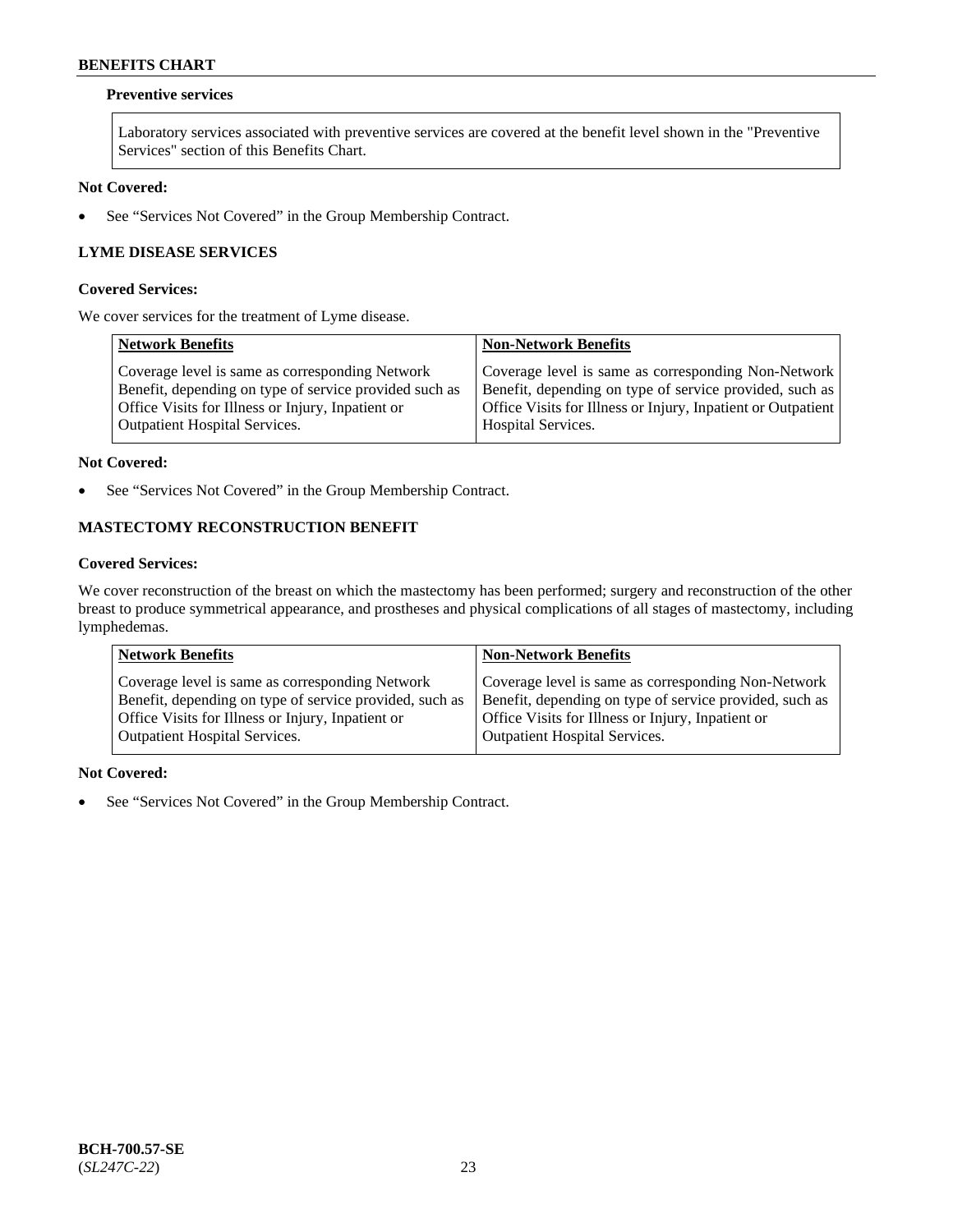# **Preventive services**

Laboratory services associated with preventive services are covered at the benefit level shown in the "Preventive Services" section of this Benefits Chart.

# **Not Covered:**

• See "Services Not Covered" in the Group Membership Contract.

# **LYME DISEASE SERVICES**

### **Covered Services:**

We cover services for the treatment of Lyme disease.

| <b>Network Benefits</b>                                | <b>Non-Network Benefits</b>                                  |
|--------------------------------------------------------|--------------------------------------------------------------|
| Coverage level is same as corresponding Network        | Coverage level is same as corresponding Non-Network          |
| Benefit, depending on type of service provided such as | Benefit, depending on type of service provided, such as      |
| Office Visits for Illness or Injury, Inpatient or      | Office Visits for Illness or Injury, Inpatient or Outpatient |
| <b>Outpatient Hospital Services.</b>                   | Hospital Services.                                           |

### **Not Covered:**

• See "Services Not Covered" in the Group Membership Contract.

# **MASTECTOMY RECONSTRUCTION BENEFIT**

# **Covered Services:**

We cover reconstruction of the breast on which the mastectomy has been performed; surgery and reconstruction of the other breast to produce symmetrical appearance, and prostheses and physical complications of all stages of mastectomy, including lymphedemas.

| <b>Network Benefits</b>                                 | <b>Non-Network Benefits</b>                             |
|---------------------------------------------------------|---------------------------------------------------------|
| Coverage level is same as corresponding Network         | Coverage level is same as corresponding Non-Network     |
| Benefit, depending on type of service provided, such as | Benefit, depending on type of service provided, such as |
| Office Visits for Illness or Injury, Inpatient or       | Office Visits for Illness or Injury, Inpatient or       |
| <b>Outpatient Hospital Services.</b>                    | Outpatient Hospital Services.                           |

#### **Not Covered:**

• See "Services Not Covered" in the Group Membership Contract.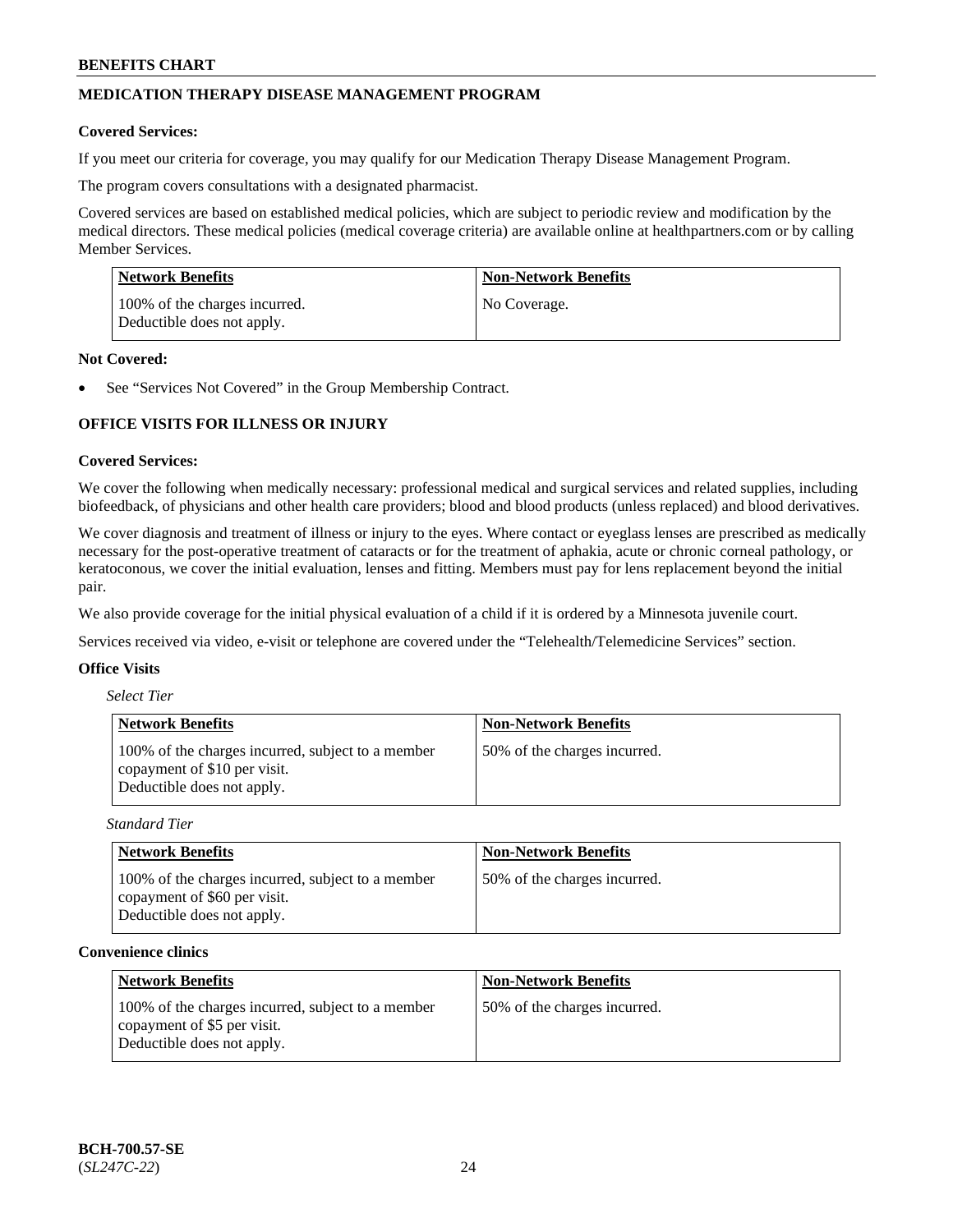# **MEDICATION THERAPY DISEASE MANAGEMENT PROGRAM**

### **Covered Services:**

If you meet our criteria for coverage, you may qualify for our Medication Therapy Disease Management Program.

The program covers consultations with a designated pharmacist.

Covered services are based on established medical policies, which are subject to periodic review and modification by the medical directors. These medical policies (medical coverage criteria) are available online at [healthpartners.com](https://www.healthpartners.com/hp/index.html) or by calling Member Services.

| Network Benefits                                            | <b>Non-Network Benefits</b> |
|-------------------------------------------------------------|-----------------------------|
| 100% of the charges incurred.<br>Deductible does not apply. | No Coverage.                |

### **Not Covered:**

See "Services Not Covered" in the Group Membership Contract.

# **OFFICE VISITS FOR ILLNESS OR INJURY**

### **Covered Services:**

We cover the following when medically necessary: professional medical and surgical services and related supplies, including biofeedback, of physicians and other health care providers; blood and blood products (unless replaced) and blood derivatives.

We cover diagnosis and treatment of illness or injury to the eyes. Where contact or eyeglass lenses are prescribed as medically necessary for the post-operative treatment of cataracts or for the treatment of aphakia, acute or chronic corneal pathology, or keratoconous, we cover the initial evaluation, lenses and fitting. Members must pay for lens replacement beyond the initial pair.

We also provide coverage for the initial physical evaluation of a child if it is ordered by a Minnesota juvenile court.

Services received via video, e-visit or telephone are covered under the "Telehealth/Telemedicine Services" section.

### **Office Visits**

| <b>Select Tier</b> |  |
|--------------------|--|
|--------------------|--|

| <b>Network Benefits</b>                                                                                         | <b>Non-Network Benefits</b>  |
|-----------------------------------------------------------------------------------------------------------------|------------------------------|
| 100% of the charges incurred, subject to a member<br>copayment of \$10 per visit.<br>Deductible does not apply. | 50% of the charges incurred. |

*Standard Tier*

| <b>Network Benefits</b>                                                                                         | <b>Non-Network Benefits</b>  |
|-----------------------------------------------------------------------------------------------------------------|------------------------------|
| 100% of the charges incurred, subject to a member<br>copayment of \$60 per visit.<br>Deductible does not apply. | 50% of the charges incurred. |

### **Convenience clinics**

| <b>Network Benefits</b>                                                                                        | <b>Non-Network Benefits</b>  |
|----------------------------------------------------------------------------------------------------------------|------------------------------|
| 100% of the charges incurred, subject to a member<br>copayment of \$5 per visit.<br>Deductible does not apply. | 50% of the charges incurred. |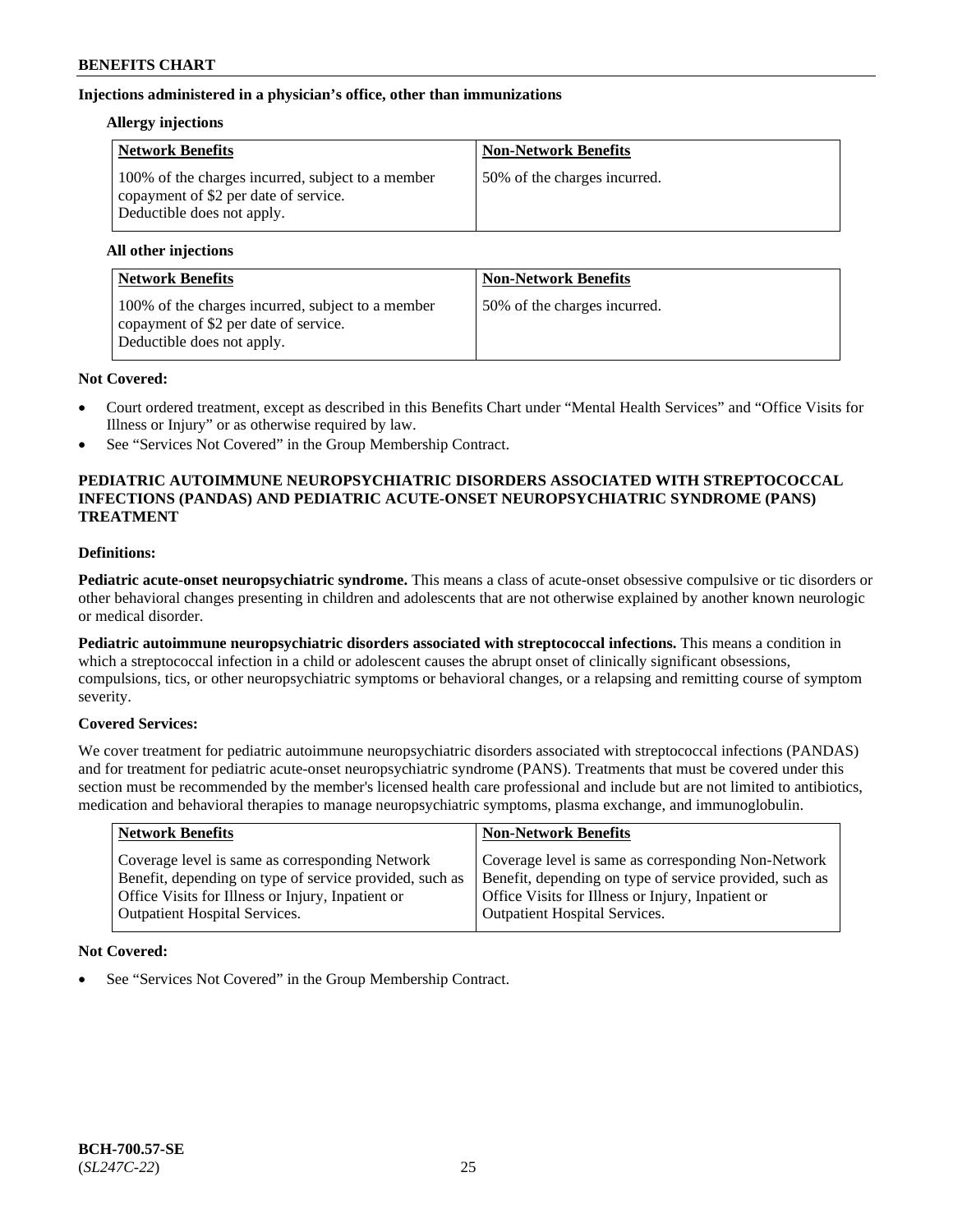# **Injections administered in a physician's office, other than immunizations**

### **Allergy injections**

| <b>Network Benefits</b>                                                                                                  | <b>Non-Network Benefits</b>  |
|--------------------------------------------------------------------------------------------------------------------------|------------------------------|
| 100% of the charges incurred, subject to a member<br>copayment of \$2 per date of service.<br>Deductible does not apply. | 50% of the charges incurred. |

### **All other injections**

| <b>Network Benefits</b>                                                                                                  | <b>Non-Network Benefits</b>  |
|--------------------------------------------------------------------------------------------------------------------------|------------------------------|
| 100% of the charges incurred, subject to a member<br>copayment of \$2 per date of service.<br>Deductible does not apply. | 50% of the charges incurred. |

# **Not Covered:**

- Court ordered treatment, except as described in this Benefits Chart under "Mental Health Services" and "Office Visits for Illness or Injury" or as otherwise required by law.
- See "Services Not Covered" in the Group Membership Contract.

# **PEDIATRIC AUTOIMMUNE NEUROPSYCHIATRIC DISORDERS ASSOCIATED WITH STREPTOCOCCAL INFECTIONS (PANDAS) AND PEDIATRIC ACUTE-ONSET NEUROPSYCHIATRIC SYNDROME (PANS) TREATMENT**

# **Definitions:**

**Pediatric acute-onset neuropsychiatric syndrome.** This means a class of acute-onset obsessive compulsive or tic disorders or other behavioral changes presenting in children and adolescents that are not otherwise explained by another known neurologic or medical disorder.

**Pediatric autoimmune neuropsychiatric disorders associated with streptococcal infections.** This means a condition in which a streptococcal infection in a child or adolescent causes the abrupt onset of clinically significant obsessions, compulsions, tics, or other neuropsychiatric symptoms or behavioral changes, or a relapsing and remitting course of symptom severity.

# **Covered Services:**

We cover treatment for pediatric autoimmune neuropsychiatric disorders associated with streptococcal infections (PANDAS) and for treatment for pediatric acute-onset neuropsychiatric syndrome (PANS). Treatments that must be covered under this section must be recommended by the member's licensed health care professional and include but are not limited to antibiotics, medication and behavioral therapies to manage neuropsychiatric symptoms, plasma exchange, and immunoglobulin.

| <b>Network Benefits</b>                                                                                                                                                                                 | <b>Non-Network Benefits</b>                                                                                                                                                                                 |
|---------------------------------------------------------------------------------------------------------------------------------------------------------------------------------------------------------|-------------------------------------------------------------------------------------------------------------------------------------------------------------------------------------------------------------|
| Coverage level is same as corresponding Network<br>Benefit, depending on type of service provided, such as<br>Office Visits for Illness or Injury, Inpatient or<br><b>Outpatient Hospital Services.</b> | Coverage level is same as corresponding Non-Network<br>Benefit, depending on type of service provided, such as<br>Office Visits for Illness or Injury, Inpatient or<br><b>Outpatient Hospital Services.</b> |
|                                                                                                                                                                                                         |                                                                                                                                                                                                             |

# **Not Covered:**

See "Services Not Covered" in the Group Membership Contract.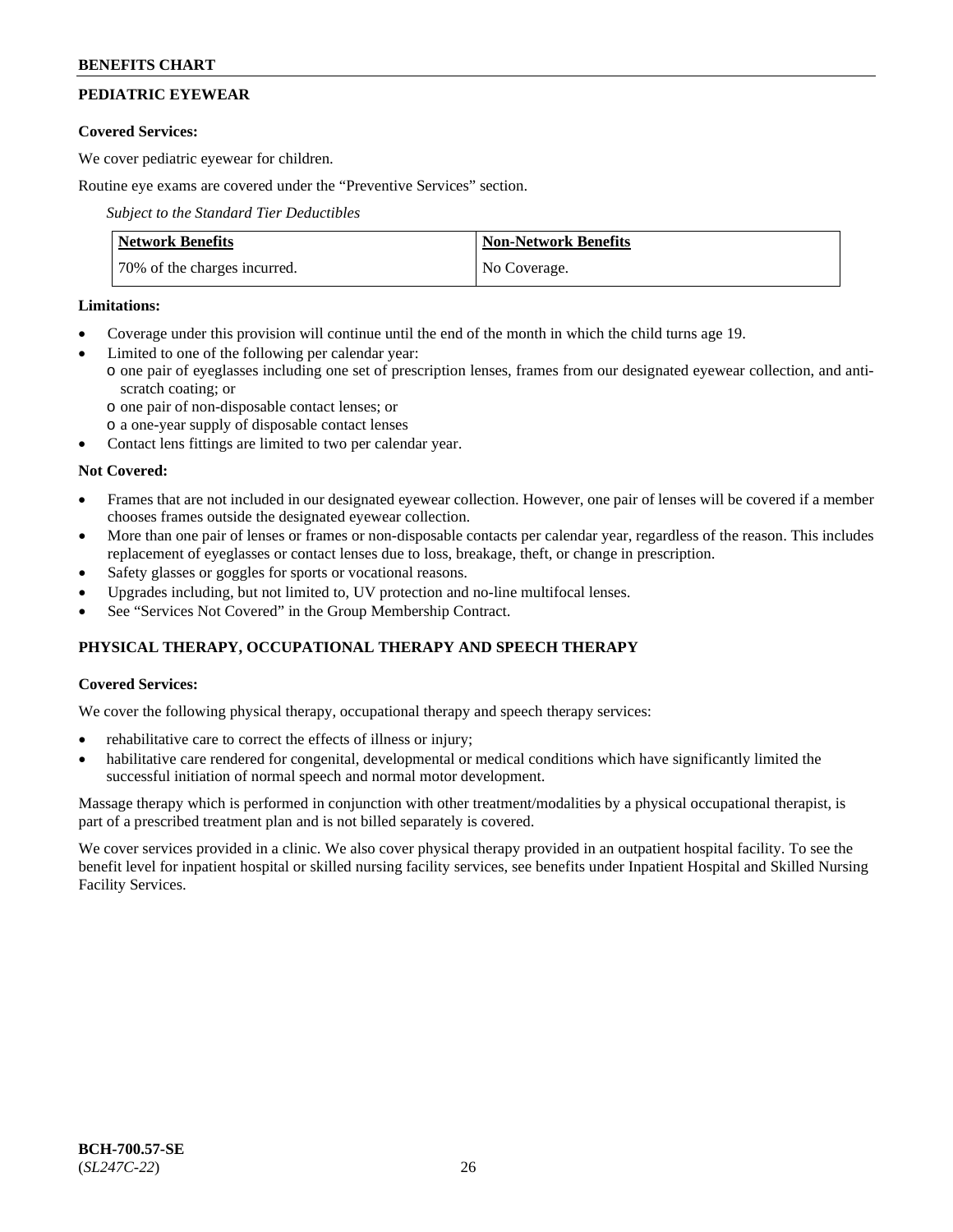# **PEDIATRIC EYEWEAR**

# **Covered Services:**

We cover pediatric eyewear for children.

Routine eye exams are covered under the "Preventive Services" section.

*Subject to the Standard Tier Deductibles*

| <b>Network Benefits</b>      | <b>Non-Network Benefits</b> |
|------------------------------|-----------------------------|
| 70% of the charges incurred. | No Coverage.                |

# **Limitations:**

- Coverage under this provision will continue until the end of the month in which the child turns age 19.
- Limited to one of the following per calendar year:
- o one pair of eyeglasses including one set of prescription lenses, frames from our designated eyewear collection, and antiscratch coating; or
	- o one pair of non-disposable contact lenses; or
	- o a one-year supply of disposable contact lenses
- Contact lens fittings are limited to two per calendar year.

# **Not Covered:**

- Frames that are not included in our designated eyewear collection. However, one pair of lenses will be covered if a member chooses frames outside the designated eyewear collection.
- More than one pair of lenses or frames or non-disposable contacts per calendar year, regardless of the reason. This includes replacement of eyeglasses or contact lenses due to loss, breakage, theft, or change in prescription.
- Safety glasses or goggles for sports or vocational reasons.
- Upgrades including, but not limited to, UV protection and no-line multifocal lenses.
- See "Services Not Covered" in the Group Membership Contract.

# **PHYSICAL THERAPY, OCCUPATIONAL THERAPY AND SPEECH THERAPY**

# **Covered Services:**

We cover the following physical therapy, occupational therapy and speech therapy services:

- rehabilitative care to correct the effects of illness or injury;
- habilitative care rendered for congenital, developmental or medical conditions which have significantly limited the successful initiation of normal speech and normal motor development.

Massage therapy which is performed in conjunction with other treatment/modalities by a physical occupational therapist, is part of a prescribed treatment plan and is not billed separately is covered.

We cover services provided in a clinic. We also cover physical therapy provided in an outpatient hospital facility. To see the benefit level for inpatient hospital or skilled nursing facility services, see benefits under Inpatient Hospital and Skilled Nursing Facility Services.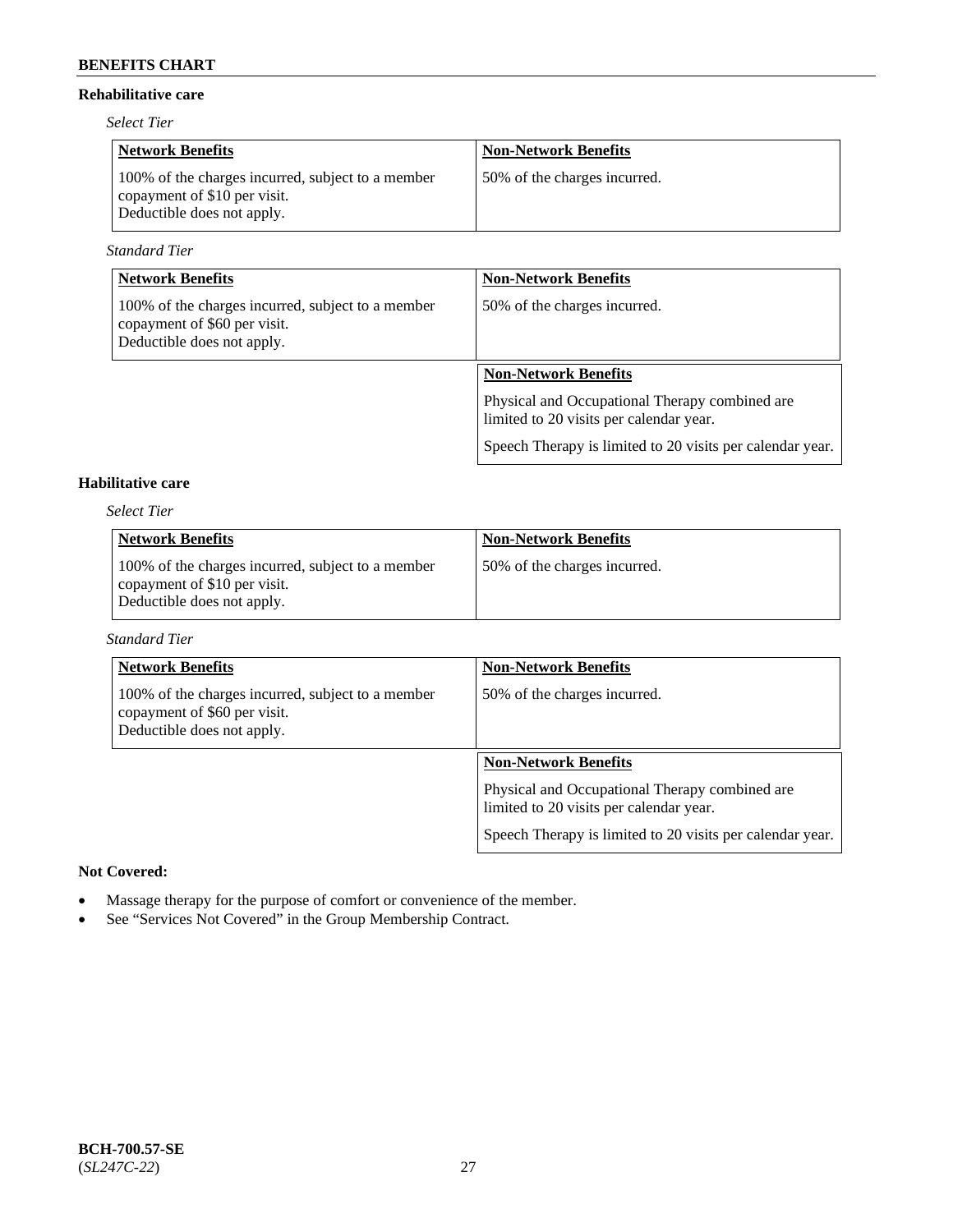# **Rehabilitative care**

*Select Tier*

| <b>Network Benefits</b>                                                                                         | <b>Non-Network Benefits</b>  |
|-----------------------------------------------------------------------------------------------------------------|------------------------------|
| 100% of the charges incurred, subject to a member<br>copayment of \$10 per visit.<br>Deductible does not apply. | 50% of the charges incurred. |

*Standard Tier*

| <b>Network Benefits</b>                                                                                         | <b>Non-Network Benefits</b>                                                               |
|-----------------------------------------------------------------------------------------------------------------|-------------------------------------------------------------------------------------------|
| 100% of the charges incurred, subject to a member<br>copayment of \$60 per visit.<br>Deductible does not apply. | 50% of the charges incurred.                                                              |
|                                                                                                                 | <b>Non-Network Benefits</b>                                                               |
|                                                                                                                 | Physical and Occupational Therapy combined are<br>limited to 20 visits per calendar year. |
|                                                                                                                 | Speech Therapy is limited to 20 visits per calendar year.                                 |

# **Habilitative care**

*Select Tier*

| <b>Network Benefits</b>                                                                                         | <b>Non-Network Benefits</b>  |
|-----------------------------------------------------------------------------------------------------------------|------------------------------|
| 100% of the charges incurred, subject to a member<br>copayment of \$10 per visit.<br>Deductible does not apply. | 50% of the charges incurred. |

### *Standard Tier*

| <b>Network Benefits</b>                                                                                         | <b>Non-Network Benefits</b>                                                               |
|-----------------------------------------------------------------------------------------------------------------|-------------------------------------------------------------------------------------------|
| 100% of the charges incurred, subject to a member<br>copayment of \$60 per visit.<br>Deductible does not apply. | 50% of the charges incurred.                                                              |
|                                                                                                                 | <b>Non-Network Benefits</b>                                                               |
|                                                                                                                 | Physical and Occupational Therapy combined are<br>limited to 20 visits per calendar year. |
|                                                                                                                 | Speech Therapy is limited to 20 visits per calendar year.                                 |

# **Not Covered:**

- Massage therapy for the purpose of comfort or convenience of the member.
- See "Services Not Covered" in the Group Membership Contract.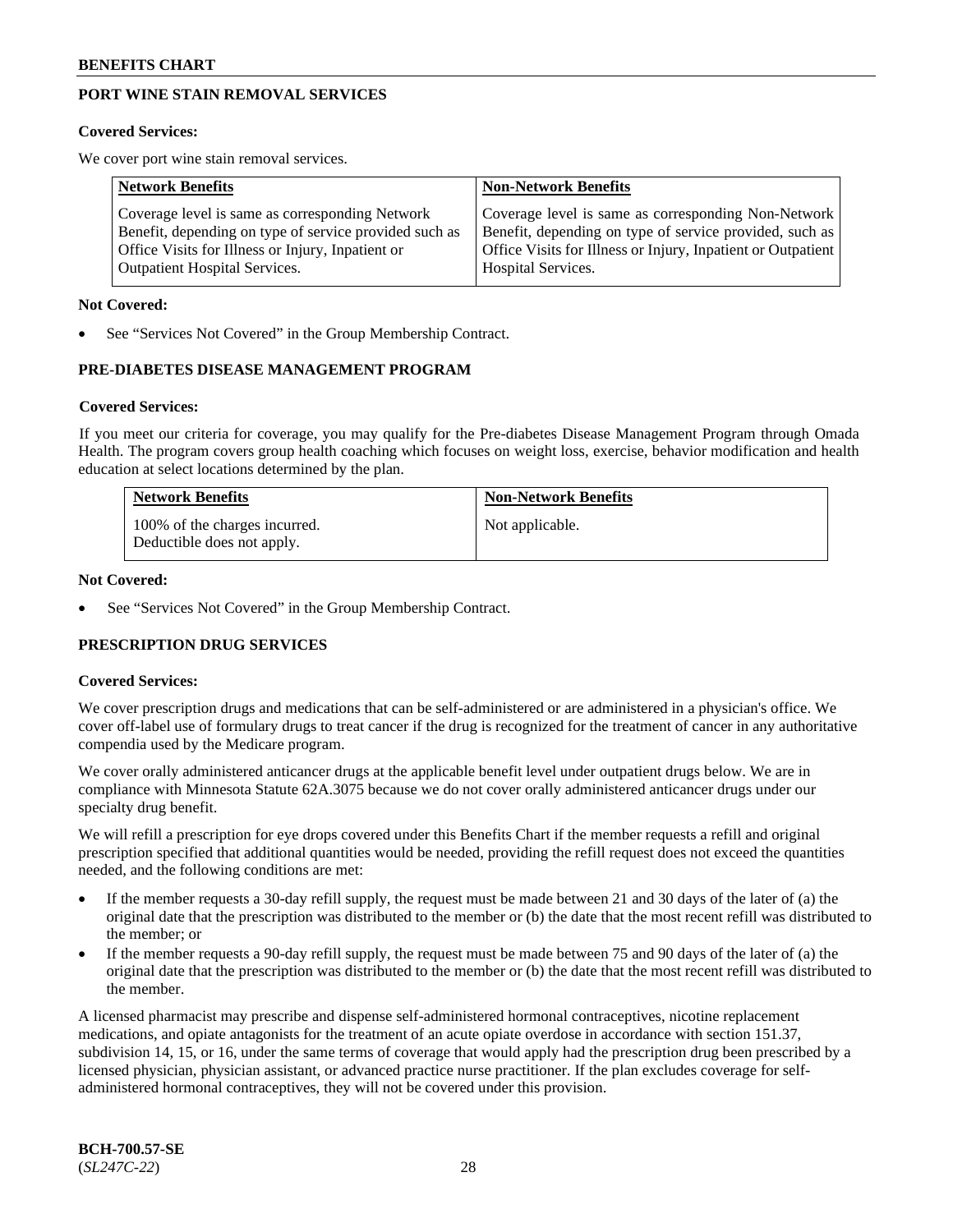# **PORT WINE STAIN REMOVAL SERVICES**

#### **Covered Services:**

We cover port wine stain removal services.

| <b>Network Benefits</b>                                | <b>Non-Network Benefits</b>                                  |
|--------------------------------------------------------|--------------------------------------------------------------|
| Coverage level is same as corresponding Network        | Coverage level is same as corresponding Non-Network          |
| Benefit, depending on type of service provided such as | Benefit, depending on type of service provided, such as      |
| Office Visits for Illness or Injury, Inpatient or      | Office Visits for Illness or Injury, Inpatient or Outpatient |
| <b>Outpatient Hospital Services.</b>                   | Hospital Services.                                           |

#### **Not Covered:**

See "Services Not Covered" in the Group Membership Contract.

# **PRE-DIABETES DISEASE MANAGEMENT PROGRAM**

#### **Covered Services:**

If you meet our criteria for coverage, you may qualify for the Pre-diabetes Disease Management Program through Omada Health. The program covers group health coaching which focuses on weight loss, exercise, behavior modification and health education at select locations determined by the plan.

| <b>Network Benefits</b>                                     | <b>Non-Network Benefits</b> |
|-------------------------------------------------------------|-----------------------------|
| 100% of the charges incurred.<br>Deductible does not apply. | Not applicable.             |

### **Not Covered:**

See "Services Not Covered" in the Group Membership Contract.

# **PRESCRIPTION DRUG SERVICES**

#### **Covered Services:**

We cover prescription drugs and medications that can be self-administered or are administered in a physician's office. We cover off-label use of formulary drugs to treat cancer if the drug is recognized for the treatment of cancer in any authoritative compendia used by the Medicare program.

We cover orally administered anticancer drugs at the applicable benefit level under outpatient drugs below. We are in compliance with Minnesota Statute 62A.3075 because we do not cover orally administered anticancer drugs under our specialty drug benefit.

We will refill a prescription for eye drops covered under this Benefits Chart if the member requests a refill and original prescription specified that additional quantities would be needed, providing the refill request does not exceed the quantities needed, and the following conditions are met:

- If the member requests a 30-day refill supply, the request must be made between 21 and 30 days of the later of (a) the original date that the prescription was distributed to the member or (b) the date that the most recent refill was distributed to the member; or
- If the member requests a 90-day refill supply, the request must be made between 75 and 90 days of the later of (a) the original date that the prescription was distributed to the member or (b) the date that the most recent refill was distributed to the member.

A licensed pharmacist may prescribe and dispense self-administered hormonal contraceptives, nicotine replacement medications, and opiate antagonists for the treatment of an acute opiate overdose in accordance with section 151.37, subdivision 14, 15, or 16, under the same terms of coverage that would apply had the prescription drug been prescribed by a licensed physician, physician assistant, or advanced practice nurse practitioner. If the plan excludes coverage for selfadministered hormonal contraceptives, they will not be covered under this provision.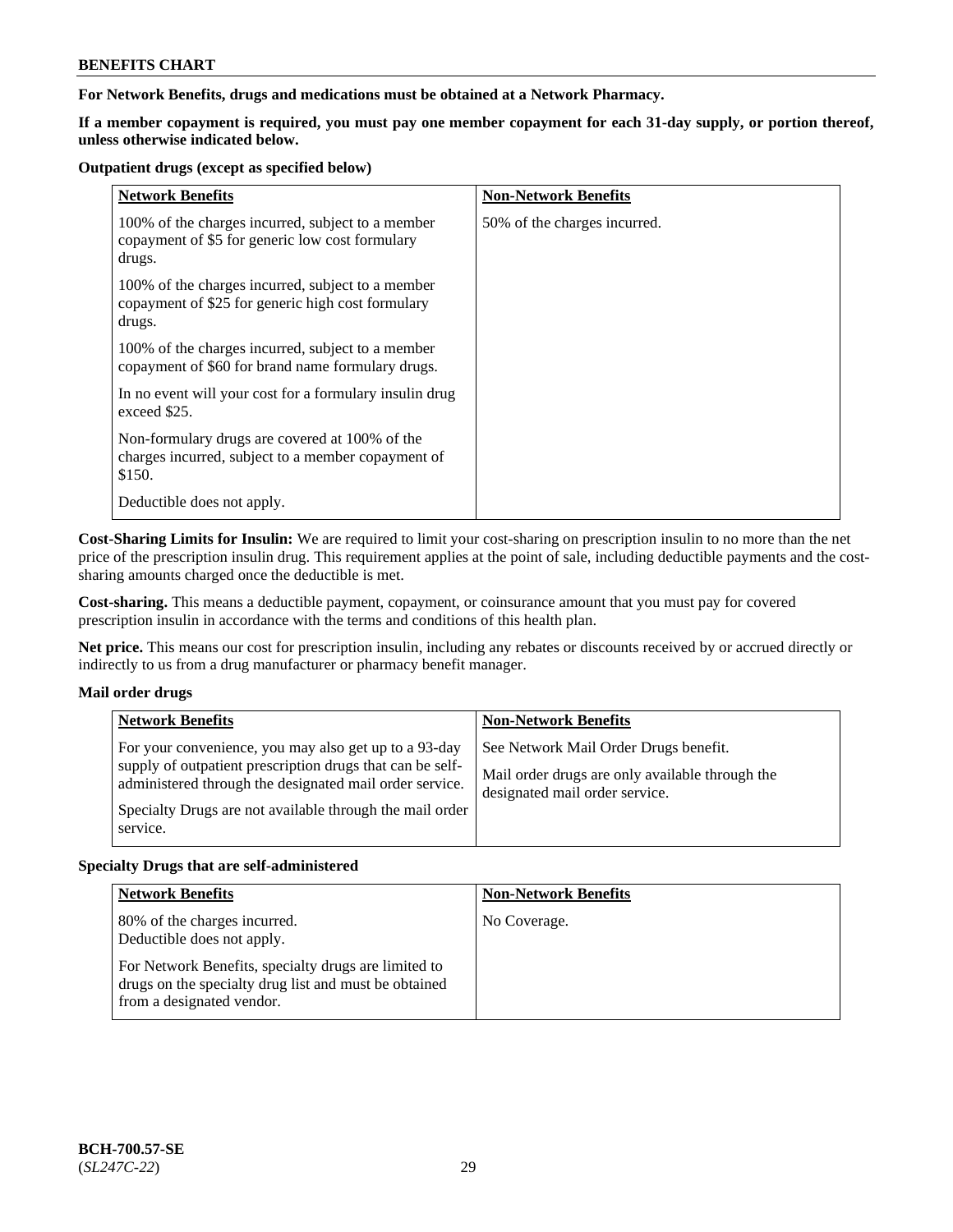**For Network Benefits, drugs and medications must be obtained at a Network Pharmacy.**

**If a member copayment is required, you must pay one member copayment for each 31-day supply, or portion thereof, unless otherwise indicated below.**

### **Outpatient drugs (except as specified below)**

| <b>Network Benefits</b>                                                                                          | <b>Non-Network Benefits</b>  |
|------------------------------------------------------------------------------------------------------------------|------------------------------|
| 100% of the charges incurred, subject to a member<br>copayment of \$5 for generic low cost formulary<br>drugs.   | 50% of the charges incurred. |
| 100% of the charges incurred, subject to a member<br>copayment of \$25 for generic high cost formulary<br>drugs. |                              |
| 100% of the charges incurred, subject to a member<br>copayment of \$60 for brand name formulary drugs.           |                              |
| In no event will your cost for a formulary insulin drug<br>exceed \$25.                                          |                              |
| Non-formulary drugs are covered at 100% of the<br>charges incurred, subject to a member copayment of<br>\$150.   |                              |
| Deductible does not apply.                                                                                       |                              |

**Cost-Sharing Limits for Insulin:** We are required to limit your cost-sharing on prescription insulin to no more than the net price of the prescription insulin drug. This requirement applies at the point of sale, including deductible payments and the costsharing amounts charged once the deductible is met.

**Cost-sharing.** This means a deductible payment, copayment, or coinsurance amount that you must pay for covered prescription insulin in accordance with the terms and conditions of this health plan.

**Net price.** This means our cost for prescription insulin, including any rebates or discounts received by or accrued directly or indirectly to us from a drug manufacturer or pharmacy benefit manager.

# **Mail order drugs**

|          | <b>Network Benefits</b>                                                                                                                                                                                                                   | <b>Non-Network Benefits</b>                                                                                                |
|----------|-------------------------------------------------------------------------------------------------------------------------------------------------------------------------------------------------------------------------------------------|----------------------------------------------------------------------------------------------------------------------------|
| service. | For your convenience, you may also get up to a 93-day<br>supply of outpatient prescription drugs that can be self-<br>administered through the designated mail order service.<br>Specialty Drugs are not available through the mail order | See Network Mail Order Drugs benefit.<br>Mail order drugs are only available through the<br>designated mail order service. |

# **Specialty Drugs that are self-administered**

| <b>Network Benefits</b>                                                                                                                    | <b>Non-Network Benefits</b> |
|--------------------------------------------------------------------------------------------------------------------------------------------|-----------------------------|
| 80% of the charges incurred.<br>Deductible does not apply.                                                                                 | No Coverage.                |
| For Network Benefits, specialty drugs are limited to<br>drugs on the specialty drug list and must be obtained<br>from a designated vendor. |                             |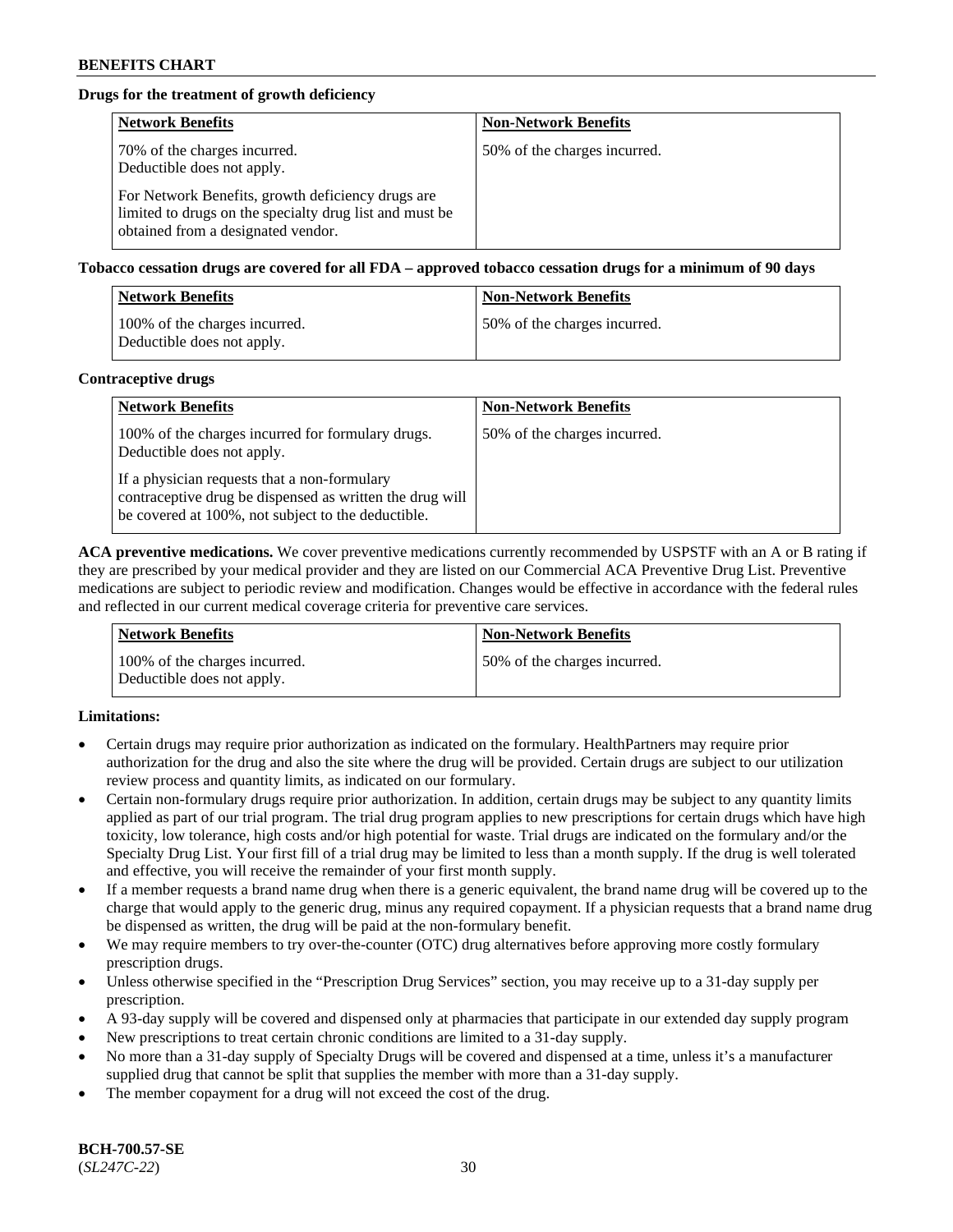# **Drugs for the treatment of growth deficiency**

| <b>Network Benefits</b>                                                                                                                            | <b>Non-Network Benefits</b>  |
|----------------------------------------------------------------------------------------------------------------------------------------------------|------------------------------|
| 70% of the charges incurred.<br>Deductible does not apply.                                                                                         | 50% of the charges incurred. |
| For Network Benefits, growth deficiency drugs are<br>limited to drugs on the specialty drug list and must be<br>obtained from a designated vendor. |                              |

**Tobacco cessation drugs are covered for all FDA – approved tobacco cessation drugs for a minimum of 90 days**

| <b>Network Benefits</b>                                     | <b>Non-Network Benefits</b>  |
|-------------------------------------------------------------|------------------------------|
| 100% of the charges incurred.<br>Deductible does not apply. | 50% of the charges incurred. |

### **Contraceptive drugs**

| <b>Network Benefits</b>                                                                                                                                        | <b>Non-Network Benefits</b>  |
|----------------------------------------------------------------------------------------------------------------------------------------------------------------|------------------------------|
| 100% of the charges incurred for formulary drugs.<br>Deductible does not apply.                                                                                | 50% of the charges incurred. |
| If a physician requests that a non-formulary<br>contraceptive drug be dispensed as written the drug will<br>be covered at 100%, not subject to the deductible. |                              |

**ACA preventive medications.** We cover preventive medications currently recommended by USPSTF with an A or B rating if they are prescribed by your medical provider and they are listed on our Commercial ACA Preventive Drug List. Preventive medications are subject to periodic review and modification. Changes would be effective in accordance with the federal rules and reflected in our current medical coverage criteria for preventive care services.

| <b>Network Benefits</b>                                     | <b>Non-Network Benefits</b>  |
|-------------------------------------------------------------|------------------------------|
| 100% of the charges incurred.<br>Deductible does not apply. | 50% of the charges incurred. |

# **Limitations:**

- Certain drugs may require prior authorization as indicated on the formulary. HealthPartners may require prior authorization for the drug and also the site where the drug will be provided. Certain drugs are subject to our utilization review process and quantity limits, as indicated on our formulary.
- Certain non-formulary drugs require prior authorization. In addition, certain drugs may be subject to any quantity limits applied as part of our trial program. The trial drug program applies to new prescriptions for certain drugs which have high toxicity, low tolerance, high costs and/or high potential for waste. Trial drugs are indicated on the formulary and/or the Specialty Drug List. Your first fill of a trial drug may be limited to less than a month supply. If the drug is well tolerated and effective, you will receive the remainder of your first month supply.
- If a member requests a brand name drug when there is a generic equivalent, the brand name drug will be covered up to the charge that would apply to the generic drug, minus any required copayment. If a physician requests that a brand name drug be dispensed as written, the drug will be paid at the non-formulary benefit.
- We may require members to try over-the-counter (OTC) drug alternatives before approving more costly formulary prescription drugs.
- Unless otherwise specified in the "Prescription Drug Services" section, you may receive up to a 31-day supply per prescription.
- A 93-day supply will be covered and dispensed only at pharmacies that participate in our extended day supply program
- New prescriptions to treat certain chronic conditions are limited to a 31-day supply.
- No more than a 31-day supply of Specialty Drugs will be covered and dispensed at a time, unless it's a manufacturer supplied drug that cannot be split that supplies the member with more than a 31-day supply.
- The member copayment for a drug will not exceed the cost of the drug.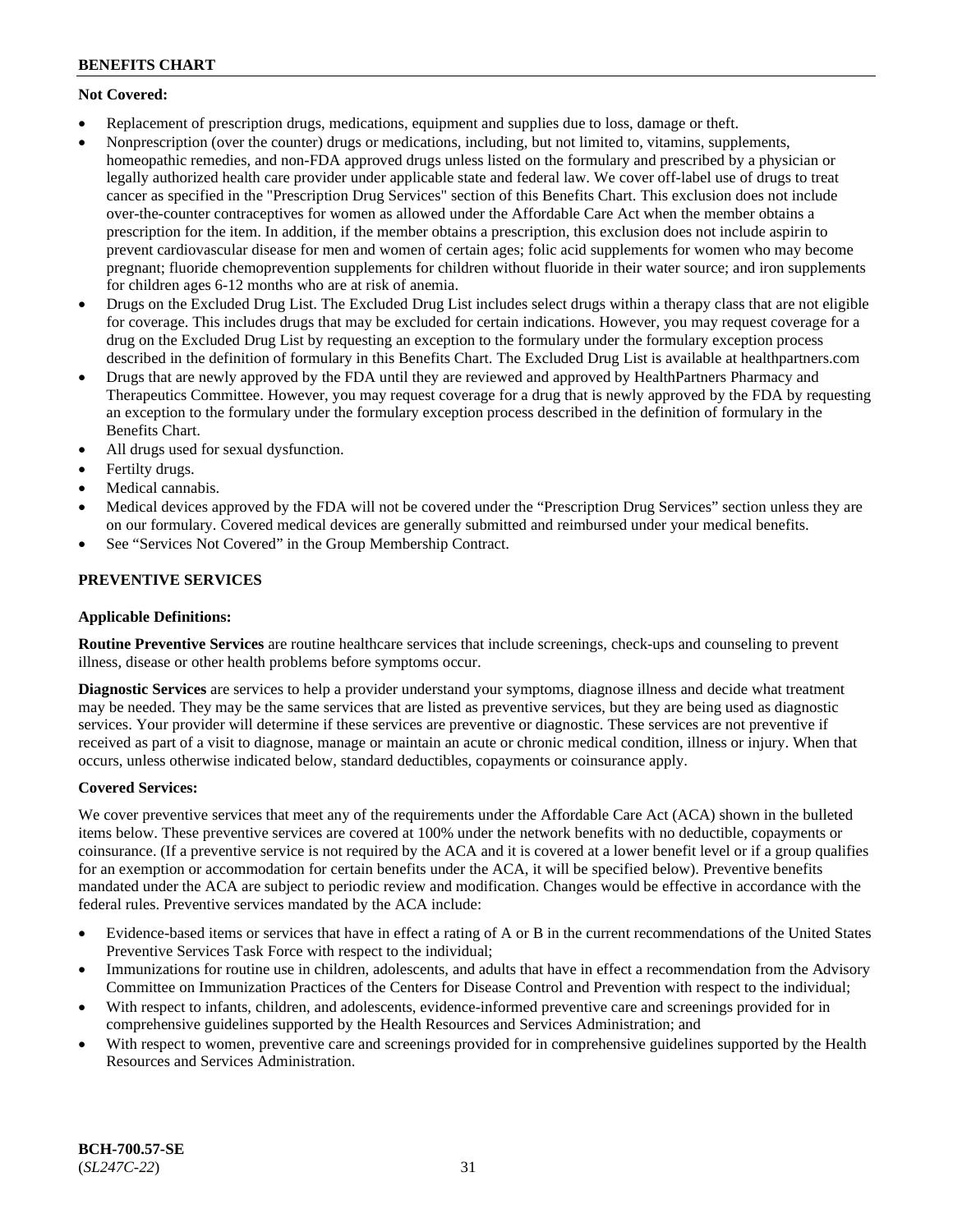# **Not Covered:**

- Replacement of prescription drugs, medications, equipment and supplies due to loss, damage or theft.
- Nonprescription (over the counter) drugs or medications, including, but not limited to, vitamins, supplements, homeopathic remedies, and non-FDA approved drugs unless listed on the formulary and prescribed by a physician or legally authorized health care provider under applicable state and federal law. We cover off-label use of drugs to treat cancer as specified in the "Prescription Drug Services" section of this Benefits Chart. This exclusion does not include over-the-counter contraceptives for women as allowed under the Affordable Care Act when the member obtains a prescription for the item. In addition, if the member obtains a prescription, this exclusion does not include aspirin to prevent cardiovascular disease for men and women of certain ages; folic acid supplements for women who may become pregnant; fluoride chemoprevention supplements for children without fluoride in their water source; and iron supplements for children ages 6-12 months who are at risk of anemia.
- Drugs on the Excluded Drug List. The Excluded Drug List includes select drugs within a therapy class that are not eligible for coverage. This includes drugs that may be excluded for certain indications. However, you may request coverage for a drug on the Excluded Drug List by requesting an exception to the formulary under the formulary exception process described in the definition of formulary in this Benefits Chart. The Excluded Drug List is available at [healthpartners.com](http://www.healthpartners.com/)
- Drugs that are newly approved by the FDA until they are reviewed and approved by HealthPartners Pharmacy and Therapeutics Committee. However, you may request coverage for a drug that is newly approved by the FDA by requesting an exception to the formulary under the formulary exception process described in the definition of formulary in the Benefits Chart.
- All drugs used for sexual dysfunction.
- Fertilty drugs.
- Medical cannabis.
- Medical devices approved by the FDA will not be covered under the "Prescription Drug Services" section unless they are on our formulary. Covered medical devices are generally submitted and reimbursed under your medical benefits.
- See "Services Not Covered" in the Group Membership Contract.

# **PREVENTIVE SERVICES**

# **Applicable Definitions:**

**Routine Preventive Services** are routine healthcare services that include screenings, check-ups and counseling to prevent illness, disease or other health problems before symptoms occur.

**Diagnostic Services** are services to help a provider understand your symptoms, diagnose illness and decide what treatment may be needed. They may be the same services that are listed as preventive services, but they are being used as diagnostic services. Your provider will determine if these services are preventive or diagnostic. These services are not preventive if received as part of a visit to diagnose, manage or maintain an acute or chronic medical condition, illness or injury. When that occurs, unless otherwise indicated below, standard deductibles, copayments or coinsurance apply.

# **Covered Services:**

We cover preventive services that meet any of the requirements under the Affordable Care Act (ACA) shown in the bulleted items below. These preventive services are covered at 100% under the network benefits with no deductible, copayments or coinsurance. (If a preventive service is not required by the ACA and it is covered at a lower benefit level or if a group qualifies for an exemption or accommodation for certain benefits under the ACA, it will be specified below). Preventive benefits mandated under the ACA are subject to periodic review and modification. Changes would be effective in accordance with the federal rules. Preventive services mandated by the ACA include:

- Evidence-based items or services that have in effect a rating of A or B in the current recommendations of the United States Preventive Services Task Force with respect to the individual;
- Immunizations for routine use in children, adolescents, and adults that have in effect a recommendation from the Advisory Committee on Immunization Practices of the Centers for Disease Control and Prevention with respect to the individual;
- With respect to infants, children, and adolescents, evidence-informed preventive care and screenings provided for in comprehensive guidelines supported by the Health Resources and Services Administration; and
- With respect to women, preventive care and screenings provided for in comprehensive guidelines supported by the Health Resources and Services Administration.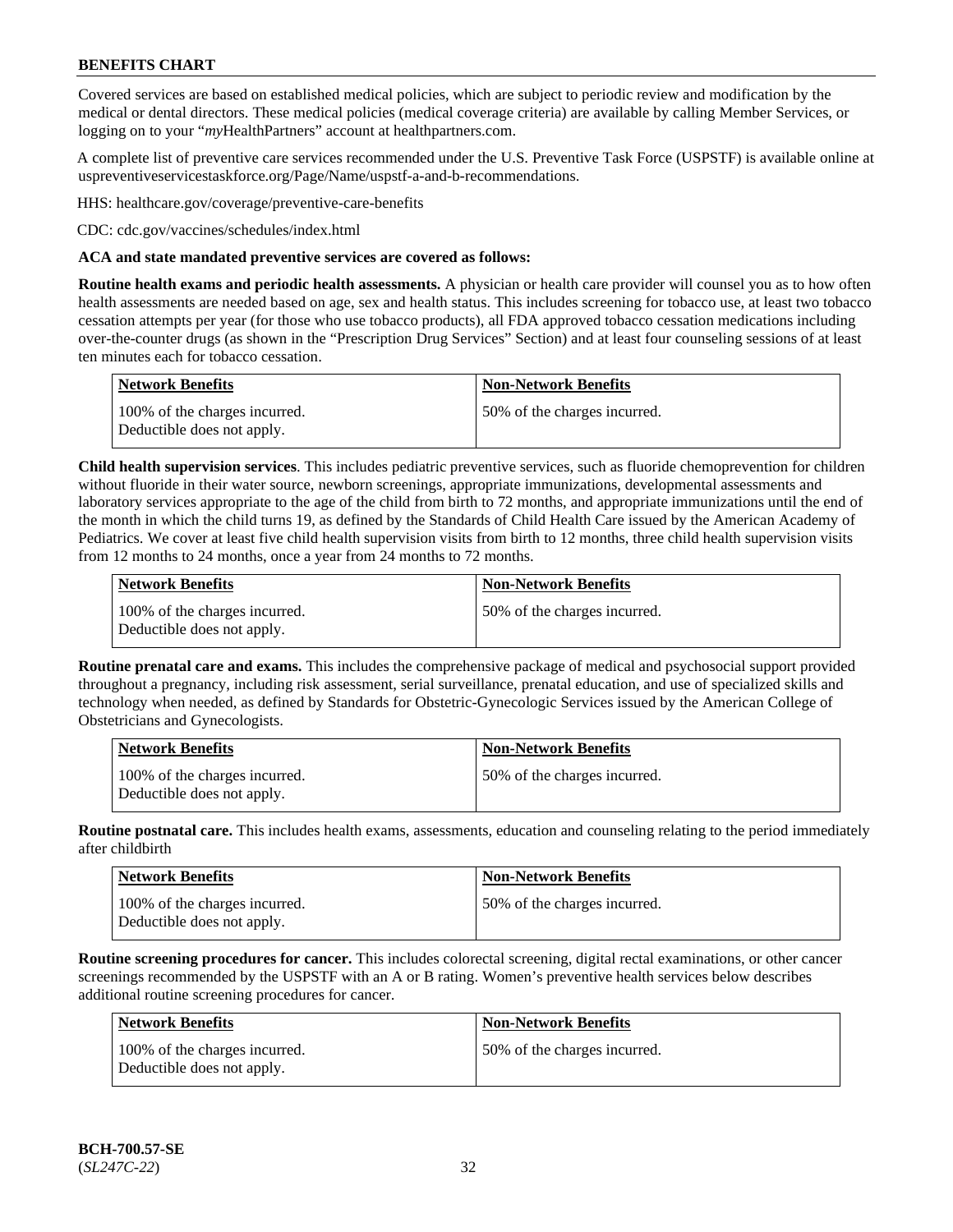Covered services are based on established medical policies, which are subject to periodic review and modification by the medical or dental directors. These medical policies (medical coverage criteria) are available by calling Member Services, or logging on to your "*my*HealthPartners" account at [healthpartners.com.](http://www.healthpartners.com/)

A complete list of preventive care services recommended under the U.S. Preventive Task Force (USPSTF) is available online at [uspreventiveservicestaskforce.org/Page/Name/uspstf-a-and-b-recommendations.](https://www.uspreventiveservicestaskforce.org/Page/Name/uspstf-a-and-b-recommendations-by-date/)

HHS: [healthcare.gov/coverage/preventive-care-benefits](https://www.healthcare.gov/coverage/preventive-care-benefits/)

CDC: [cdc.gov/vaccines/schedules/index.html](https://www.cdc.gov/vaccines/schedules/index.html)

### **ACA and state mandated preventive services are covered as follows:**

**Routine health exams and periodic health assessments.** A physician or health care provider will counsel you as to how often health assessments are needed based on age, sex and health status. This includes screening for tobacco use, at least two tobacco cessation attempts per year (for those who use tobacco products), all FDA approved tobacco cessation medications including over-the-counter drugs (as shown in the "Prescription Drug Services" Section) and at least four counseling sessions of at least ten minutes each for tobacco cessation.

| Network Benefits                                            | <b>Non-Network Benefits</b>  |
|-------------------------------------------------------------|------------------------------|
| 100% of the charges incurred.<br>Deductible does not apply. | 50% of the charges incurred. |

**Child health supervision services**. This includes pediatric preventive services, such as fluoride chemoprevention for children without fluoride in their water source, newborn screenings, appropriate immunizations, developmental assessments and laboratory services appropriate to the age of the child from birth to 72 months, and appropriate immunizations until the end of the month in which the child turns 19, as defined by the Standards of Child Health Care issued by the American Academy of Pediatrics. We cover at least five child health supervision visits from birth to 12 months, three child health supervision visits from 12 months to 24 months, once a year from 24 months to 72 months.

| Network Benefits                                            | <b>Non-Network Benefits</b>  |
|-------------------------------------------------------------|------------------------------|
| 100% of the charges incurred.<br>Deductible does not apply. | 50% of the charges incurred. |

**Routine prenatal care and exams.** This includes the comprehensive package of medical and psychosocial support provided throughout a pregnancy, including risk assessment, serial surveillance, prenatal education, and use of specialized skills and technology when needed, as defined by Standards for Obstetric-Gynecologic Services issued by the American College of Obstetricians and Gynecologists.

| <b>Network Benefits</b>                                     | <b>Non-Network Benefits</b>   |
|-------------------------------------------------------------|-------------------------------|
| 100% of the charges incurred.<br>Deductible does not apply. | 150% of the charges incurred. |

**Routine postnatal care.** This includes health exams, assessments, education and counseling relating to the period immediately after childbirth

| <b>Network Benefits</b>                                     | <b>Non-Network Benefits</b>  |
|-------------------------------------------------------------|------------------------------|
| 100% of the charges incurred.<br>Deductible does not apply. | 50% of the charges incurred. |

**Routine screening procedures for cancer.** This includes colorectal screening, digital rectal examinations, or other cancer screenings recommended by the USPSTF with an A or B rating. Women's preventive health services below describes additional routine screening procedures for cancer.

| <b>Network Benefits</b>                                     | <b>Non-Network Benefits</b>  |
|-------------------------------------------------------------|------------------------------|
| 100% of the charges incurred.<br>Deductible does not apply. | 50% of the charges incurred. |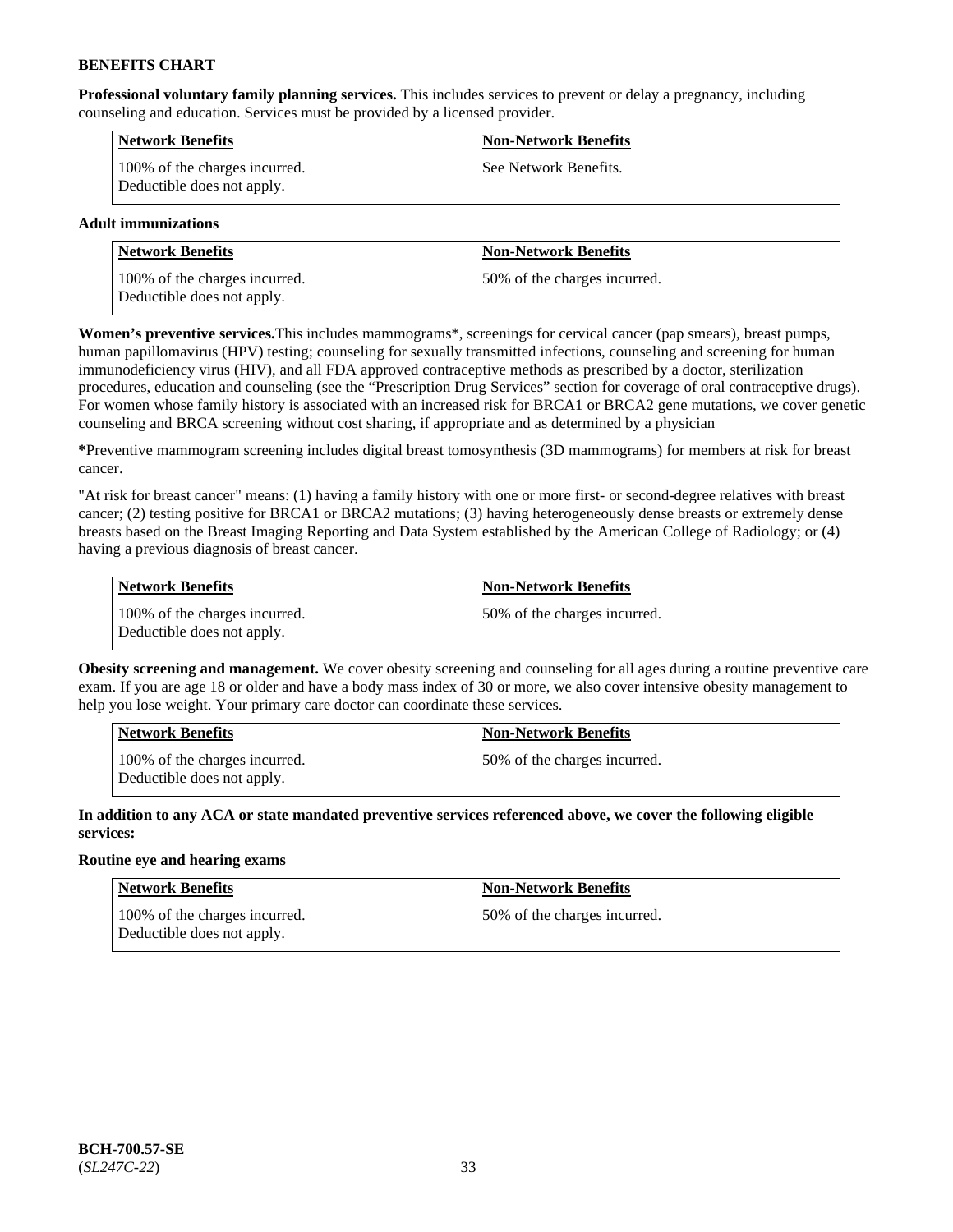**Professional voluntary family planning services.** This includes services to prevent or delay a pregnancy, including counseling and education. Services must be provided by a licensed provider.

| <b>Network Benefits</b>                                     | <b>Non-Network Benefits</b> |
|-------------------------------------------------------------|-----------------------------|
| 100% of the charges incurred.<br>Deductible does not apply. | See Network Benefits.       |

# **Adult immunizations**

| <b>Network Benefits</b>                                     | <b>Non-Network Benefits</b>  |
|-------------------------------------------------------------|------------------------------|
| 100% of the charges incurred.<br>Deductible does not apply. | 50% of the charges incurred. |

**Women's preventive services.**This includes mammograms\*, screenings for cervical cancer (pap smears), breast pumps, human papillomavirus (HPV) testing; counseling for sexually transmitted infections, counseling and screening for human immunodeficiency virus (HIV), and all FDA approved contraceptive methods as prescribed by a doctor, sterilization procedures, education and counseling (see the "Prescription Drug Services" section for coverage of oral contraceptive drugs). For women whose family history is associated with an increased risk for BRCA1 or BRCA2 gene mutations, we cover genetic counseling and BRCA screening without cost sharing, if appropriate and as determined by a physician

**\***Preventive mammogram screening includes digital breast tomosynthesis (3D mammograms) for members at risk for breast cancer.

"At risk for breast cancer" means: (1) having a family history with one or more first- or second-degree relatives with breast cancer; (2) testing positive for BRCA1 or BRCA2 mutations; (3) having heterogeneously dense breasts or extremely dense breasts based on the Breast Imaging Reporting and Data System established by the American College of Radiology; or (4) having a previous diagnosis of breast cancer.

| Network Benefits                                            | <b>Non-Network Benefits</b>  |
|-------------------------------------------------------------|------------------------------|
| 100% of the charges incurred.<br>Deductible does not apply. | 50% of the charges incurred. |

**Obesity screening and management.** We cover obesity screening and counseling for all ages during a routine preventive care exam. If you are age 18 or older and have a body mass index of 30 or more, we also cover intensive obesity management to help you lose weight. Your primary care doctor can coordinate these services.

| Network Benefits                                            | <b>Non-Network Benefits</b>  |
|-------------------------------------------------------------|------------------------------|
| 100% of the charges incurred.<br>Deductible does not apply. | 50% of the charges incurred. |

**In addition to any ACA or state mandated preventive services referenced above, we cover the following eligible services:**

# **Routine eye and hearing exams**

| <b>Network Benefits</b>                                     | <b>Non-Network Benefits</b>  |
|-------------------------------------------------------------|------------------------------|
| 100% of the charges incurred.<br>Deductible does not apply. | 50% of the charges incurred. |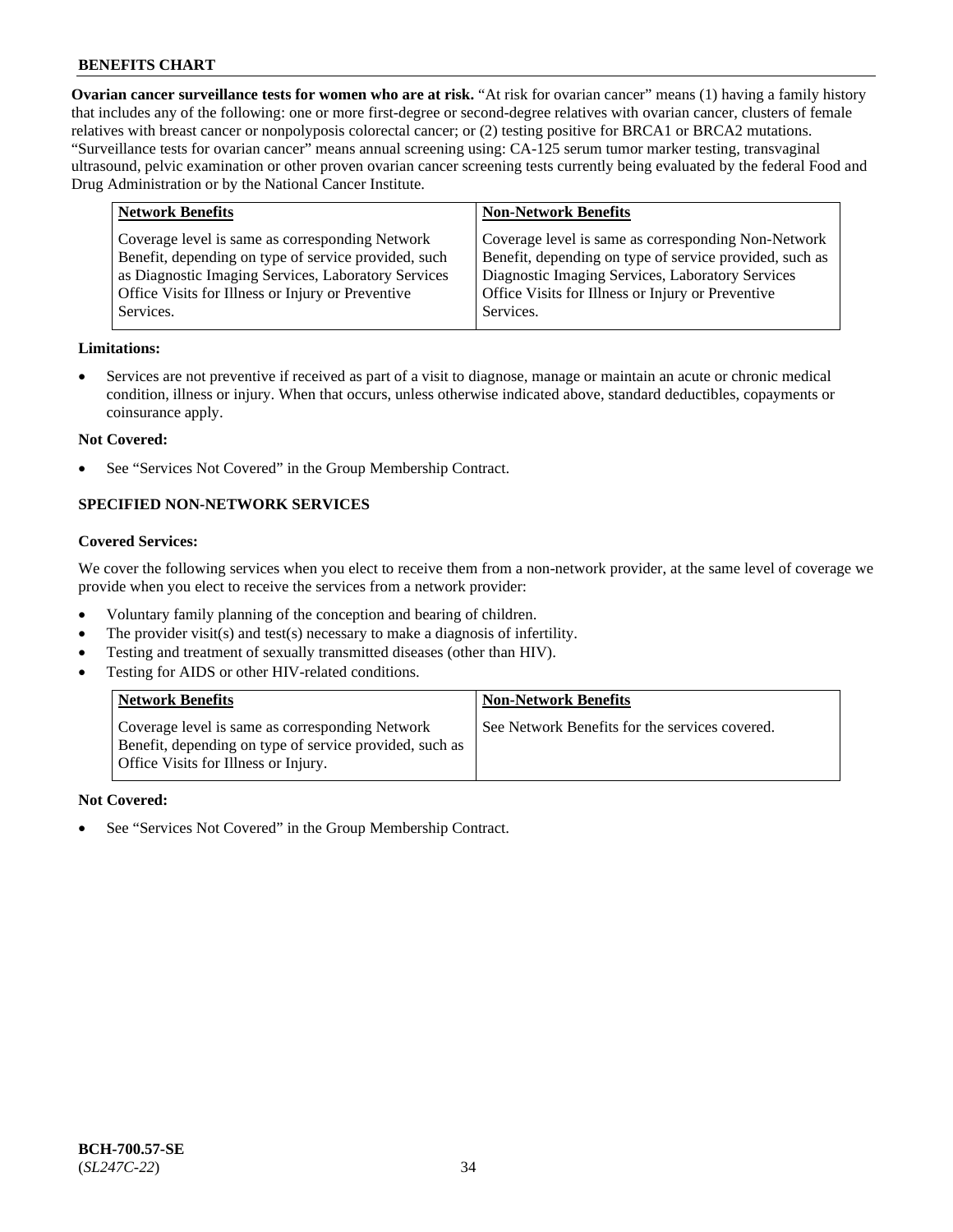**Ovarian cancer surveillance tests for women who are at risk.** "At risk for ovarian cancer" means (1) having a family history that includes any of the following: one or more first-degree or second-degree relatives with ovarian cancer, clusters of female relatives with breast cancer or nonpolyposis colorectal cancer; or (2) testing positive for BRCA1 or BRCA2 mutations. "Surveillance tests for ovarian cancer" means annual screening using: CA-125 serum tumor marker testing, transvaginal ultrasound, pelvic examination or other proven ovarian cancer screening tests currently being evaluated by the federal Food and Drug Administration or by the National Cancer Institute.

| <b>Network Benefits</b>                                                                                                                                                                                                          | <b>Non-Network Benefits</b>                                                                                                                                                                                                          |
|----------------------------------------------------------------------------------------------------------------------------------------------------------------------------------------------------------------------------------|--------------------------------------------------------------------------------------------------------------------------------------------------------------------------------------------------------------------------------------|
| Coverage level is same as corresponding Network<br>Benefit, depending on type of service provided, such<br>as Diagnostic Imaging Services, Laboratory Services<br>Office Visits for Illness or Injury or Preventive<br>Services. | Coverage level is same as corresponding Non-Network<br>Benefit, depending on type of service provided, such as<br>Diagnostic Imaging Services, Laboratory Services<br>Office Visits for Illness or Injury or Preventive<br>Services. |
|                                                                                                                                                                                                                                  |                                                                                                                                                                                                                                      |

### **Limitations:**

• Services are not preventive if received as part of a visit to diagnose, manage or maintain an acute or chronic medical condition, illness or injury. When that occurs, unless otherwise indicated above, standard deductibles, copayments or coinsurance apply.

#### **Not Covered:**

See "Services Not Covered" in the Group Membership Contract.

# **SPECIFIED NON-NETWORK SERVICES**

# **Covered Services:**

We cover the following services when you elect to receive them from a non-network provider, at the same level of coverage we provide when you elect to receive the services from a network provider:

- Voluntary family planning of the conception and bearing of children.
- The provider visit(s) and test(s) necessary to make a diagnosis of infertility.
- Testing and treatment of sexually transmitted diseases (other than HIV).
- Testing for AIDS or other HIV-related conditions.

| <b>Network Benefits</b>                                                                                                                            | <b>Non-Network Benefits</b>                    |
|----------------------------------------------------------------------------------------------------------------------------------------------------|------------------------------------------------|
| Coverage level is same as corresponding Network<br>Benefit, depending on type of service provided, such as<br>Office Visits for Illness or Injury. | See Network Benefits for the services covered. |

#### **Not Covered:**

See "Services Not Covered" in the Group Membership Contract.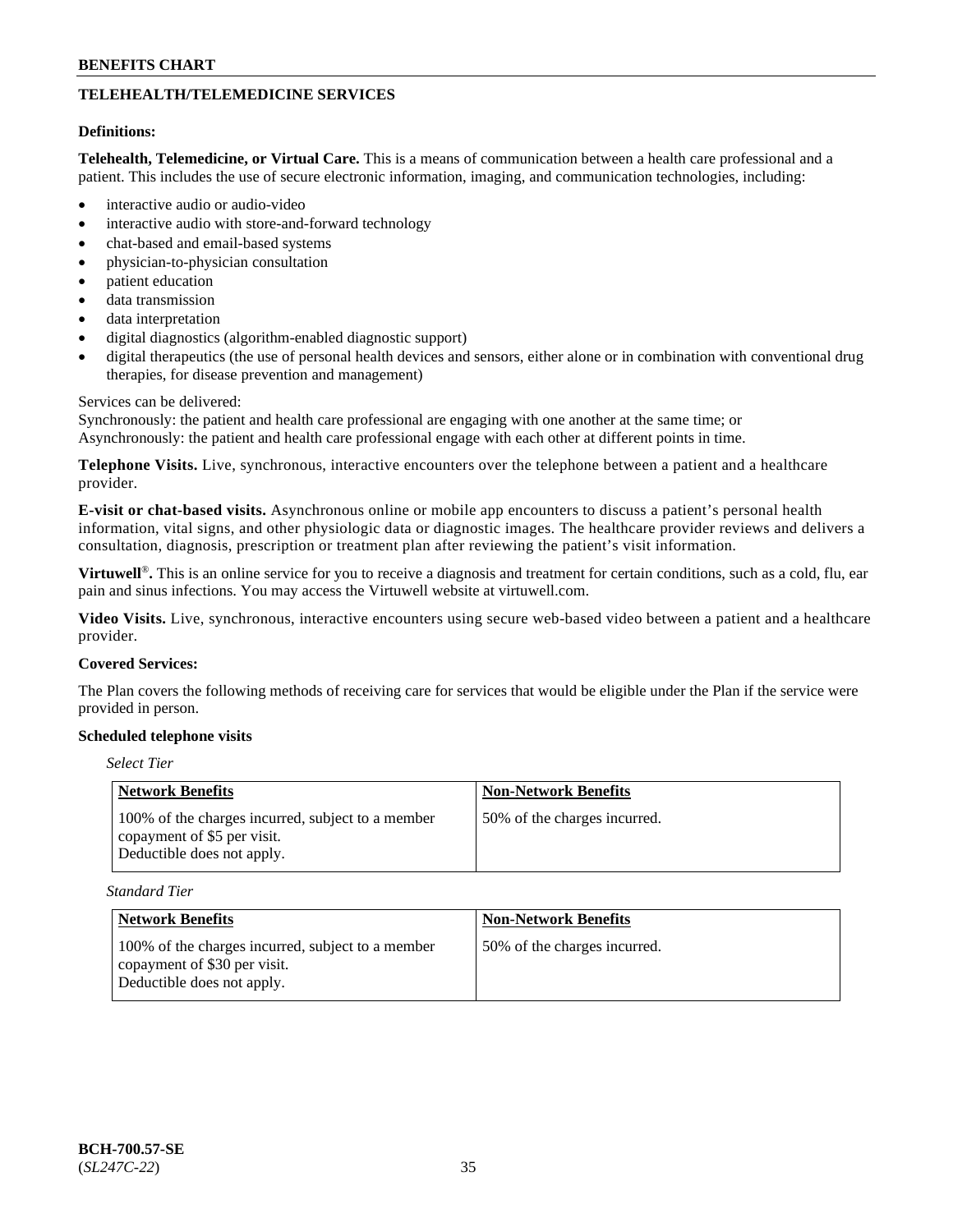# **TELEHEALTH/TELEMEDICINE SERVICES**

# **Definitions:**

**Telehealth, Telemedicine, or Virtual Care.** This is a means of communication between a health care professional and a patient. This includes the use of secure electronic information, imaging, and communication technologies, including:

- interactive audio or audio-video
- interactive audio with store-and-forward technology
- chat-based and email-based systems
- physician-to-physician consultation
- patient education
- data transmission
- data interpretation
- digital diagnostics (algorithm-enabled diagnostic support)
- digital therapeutics (the use of personal health devices and sensors, either alone or in combination with conventional drug therapies, for disease prevention and management)

### Services can be delivered:

Synchronously: the patient and health care professional are engaging with one another at the same time; or Asynchronously: the patient and health care professional engage with each other at different points in time.

**Telephone Visits.** Live, synchronous, interactive encounters over the telephone between a patient and a healthcare provider.

**E-visit or chat-based visits.** Asynchronous online or mobile app encounters to discuss a patient's personal health information, vital signs, and other physiologic data or diagnostic images. The healthcare provider reviews and delivers a consultation, diagnosis, prescription or treatment plan after reviewing the patient's visit information.

**Virtuwell<sup>®</sup>**. This is an online service for you to receive a diagnosis and treatment for certain conditions, such as a cold, flu, ear pain and sinus infections. You may access the Virtuwell website at [virtuwell.com.](https://www.virtuwell.com/)

**Video Visits.** Live, synchronous, interactive encounters using secure web-based video between a patient and a healthcare provider.

# **Covered Services:**

The Plan covers the following methods of receiving care for services that would be eligible under the Plan if the service were provided in person.

# **Scheduled telephone visits**

# *Select Tier*

| Network Benefits                                                                                               | <b>Non-Network Benefits</b>  |
|----------------------------------------------------------------------------------------------------------------|------------------------------|
| 100% of the charges incurred, subject to a member<br>copayment of \$5 per visit.<br>Deductible does not apply. | 50% of the charges incurred. |

*Standard Tier*

| Network Benefits                                                                                                | <b>Non-Network Benefits</b>  |
|-----------------------------------------------------------------------------------------------------------------|------------------------------|
| 100% of the charges incurred, subject to a member<br>copayment of \$30 per visit.<br>Deductible does not apply. | 50% of the charges incurred. |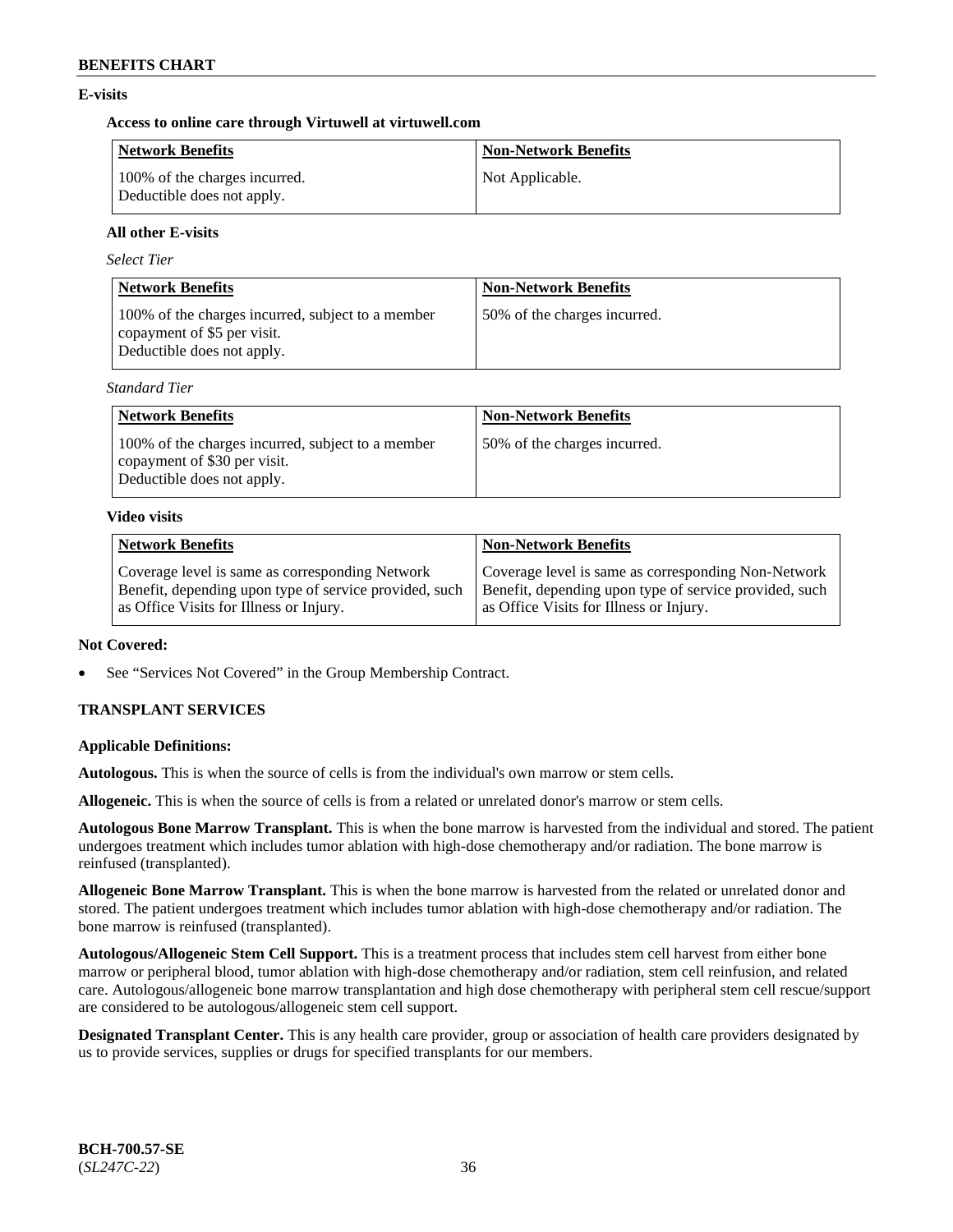# **E-visits**

# **Access to online care through Virtuwell at [virtuwell.com](https://www.virtuwell.com/)**

| <b>Network Benefits</b>                                     | <b>Non-Network Benefits</b> |
|-------------------------------------------------------------|-----------------------------|
| 100% of the charges incurred.<br>Deductible does not apply. | Not Applicable.             |

# **All other E-visits**

*Select Tier*

| <b>Network Benefits</b>                                                                                        | <b>Non-Network Benefits</b>  |
|----------------------------------------------------------------------------------------------------------------|------------------------------|
| 100% of the charges incurred, subject to a member<br>copayment of \$5 per visit.<br>Deductible does not apply. | 50% of the charges incurred. |

*Standard Tier*

| <b>Network Benefits</b>                                                                                         | <b>Non-Network Benefits</b>  |
|-----------------------------------------------------------------------------------------------------------------|------------------------------|
| 100% of the charges incurred, subject to a member<br>copayment of \$30 per visit.<br>Deductible does not apply. | 50% of the charges incurred. |

# **Video visits**

| <b>Network Benefits</b>                                | <b>Non-Network Benefits</b>                            |
|--------------------------------------------------------|--------------------------------------------------------|
| Coverage level is same as corresponding Network        | Coverage level is same as corresponding Non-Network    |
| Benefit, depending upon type of service provided, such | Benefit, depending upon type of service provided, such |
| as Office Visits for Illness or Injury.                | as Office Visits for Illness or Injury.                |

# **Not Covered:**

See "Services Not Covered" in the Group Membership Contract.

# **TRANSPLANT SERVICES**

# **Applicable Definitions:**

**Autologous.** This is when the source of cells is from the individual's own marrow or stem cells.

**Allogeneic.** This is when the source of cells is from a related or unrelated donor's marrow or stem cells.

**Autologous Bone Marrow Transplant.** This is when the bone marrow is harvested from the individual and stored. The patient undergoes treatment which includes tumor ablation with high-dose chemotherapy and/or radiation. The bone marrow is reinfused (transplanted).

**Allogeneic Bone Marrow Transplant.** This is when the bone marrow is harvested from the related or unrelated donor and stored. The patient undergoes treatment which includes tumor ablation with high-dose chemotherapy and/or radiation. The bone marrow is reinfused (transplanted).

**Autologous/Allogeneic Stem Cell Support.** This is a treatment process that includes stem cell harvest from either bone marrow or peripheral blood, tumor ablation with high-dose chemotherapy and/or radiation, stem cell reinfusion, and related care. Autologous/allogeneic bone marrow transplantation and high dose chemotherapy with peripheral stem cell rescue/support are considered to be autologous/allogeneic stem cell support.

**Designated Transplant Center.** This is any health care provider, group or association of health care providers designated by us to provide services, supplies or drugs for specified transplants for our members.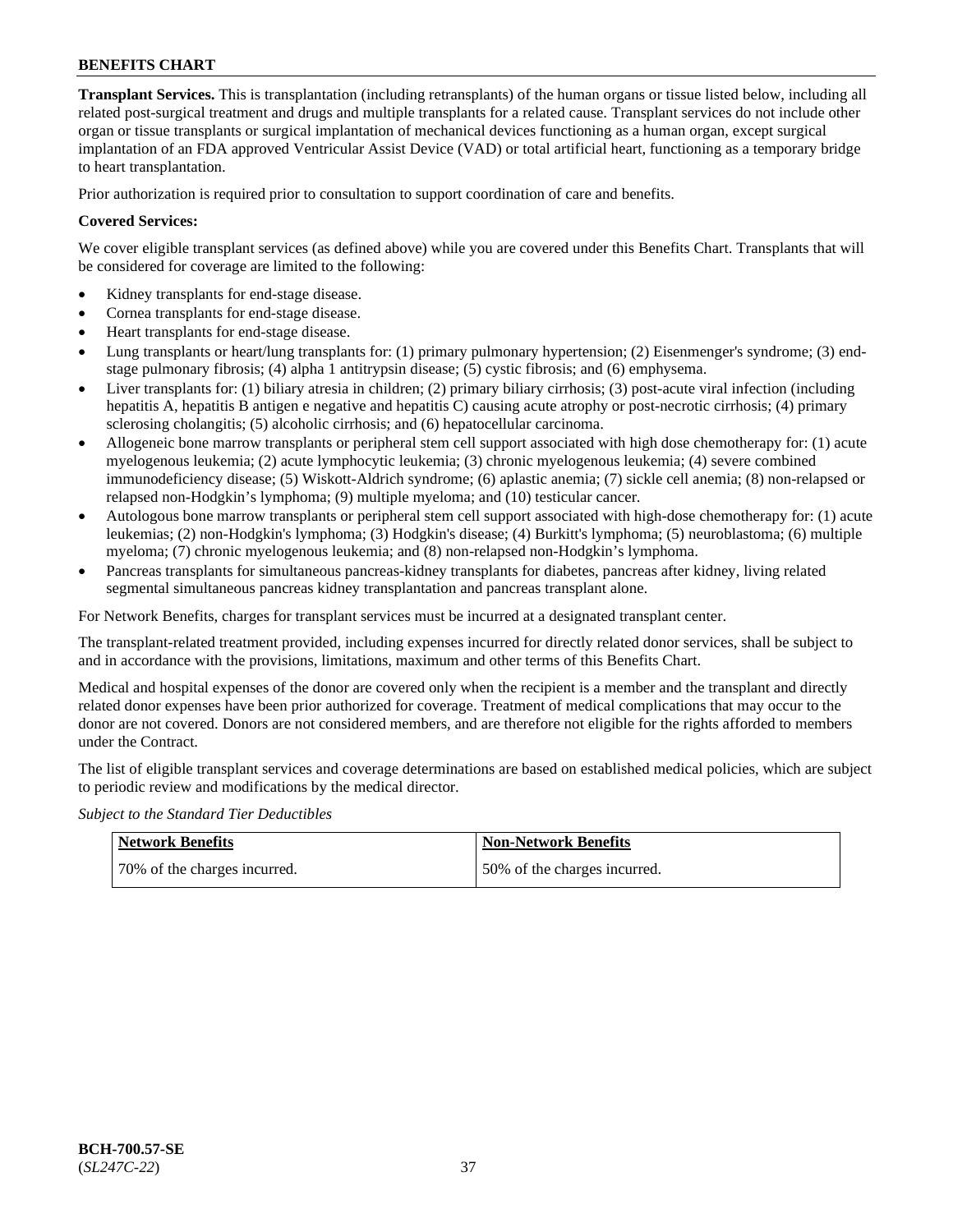**Transplant Services.** This is transplantation (including retransplants) of the human organs or tissue listed below, including all related post-surgical treatment and drugs and multiple transplants for a related cause. Transplant services do not include other organ or tissue transplants or surgical implantation of mechanical devices functioning as a human organ, except surgical implantation of an FDA approved Ventricular Assist Device (VAD) or total artificial heart, functioning as a temporary bridge to heart transplantation.

Prior authorization is required prior to consultation to support coordination of care and benefits.

### **Covered Services:**

We cover eligible transplant services (as defined above) while you are covered under this Benefits Chart. Transplants that will be considered for coverage are limited to the following:

- Kidney transplants for end-stage disease.
- Cornea transplants for end-stage disease.
- Heart transplants for end-stage disease.
- Lung transplants or heart/lung transplants for: (1) primary pulmonary hypertension; (2) Eisenmenger's syndrome; (3) endstage pulmonary fibrosis; (4) alpha 1 antitrypsin disease; (5) cystic fibrosis; and (6) emphysema.
- Liver transplants for: (1) biliary atresia in children; (2) primary biliary cirrhosis; (3) post-acute viral infection (including hepatitis A, hepatitis B antigen e negative and hepatitis C) causing acute atrophy or post-necrotic cirrhosis; (4) primary sclerosing cholangitis; (5) alcoholic cirrhosis; and (6) hepatocellular carcinoma.
- Allogeneic bone marrow transplants or peripheral stem cell support associated with high dose chemotherapy for: (1) acute myelogenous leukemia; (2) acute lymphocytic leukemia; (3) chronic myelogenous leukemia; (4) severe combined immunodeficiency disease; (5) Wiskott-Aldrich syndrome; (6) aplastic anemia; (7) sickle cell anemia; (8) non-relapsed or relapsed non-Hodgkin's lymphoma; (9) multiple myeloma; and (10) testicular cancer.
- Autologous bone marrow transplants or peripheral stem cell support associated with high-dose chemotherapy for: (1) acute leukemias; (2) non-Hodgkin's lymphoma; (3) Hodgkin's disease; (4) Burkitt's lymphoma; (5) neuroblastoma; (6) multiple myeloma; (7) chronic myelogenous leukemia; and (8) non-relapsed non-Hodgkin's lymphoma.
- Pancreas transplants for simultaneous pancreas-kidney transplants for diabetes, pancreas after kidney, living related segmental simultaneous pancreas kidney transplantation and pancreas transplant alone.

For Network Benefits, charges for transplant services must be incurred at a designated transplant center.

The transplant-related treatment provided, including expenses incurred for directly related donor services, shall be subject to and in accordance with the provisions, limitations, maximum and other terms of this Benefits Chart.

Medical and hospital expenses of the donor are covered only when the recipient is a member and the transplant and directly related donor expenses have been prior authorized for coverage. Treatment of medical complications that may occur to the donor are not covered. Donors are not considered members, and are therefore not eligible for the rights afforded to members under the Contract.

The list of eligible transplant services and coverage determinations are based on established medical policies, which are subject to periodic review and modifications by the medical director.

*Subject to the Standard Tier Deductibles*

| <b>Network Benefits</b>       | Non-Network Benefits         |
|-------------------------------|------------------------------|
| 170% of the charges incurred. | 50% of the charges incurred. |